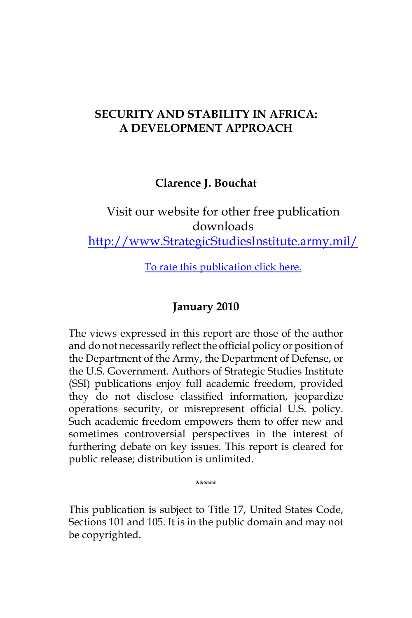# **SECURITY AND STABILITY IN AFRICA: A DEVELOPMENT APPROACH**

#### **Clarence J. Bouchat**

# Visit our website for other free publication downloads http://www.StrategicStudiesInstitute.army.mil/

[To rate this publication click here.](http://www.strategicstudiesinstitute.army.mil/pubs/display.cfm?pubID=964)

# **January 2010**

The views expressed in this report are those of the author and do not necessarily reflect the official policy or position of the Department of the Army, the Department of Defense, or the U.S. Government. Authors of Strategic Studies Institute (SSI) publications enjoy full academic freedom, provided they do not disclose classified information, jeopardize operations security, or misrepresent official U.S. policy. Such academic freedom empowers them to offer new and sometimes controversial perspectives in the interest of furthering debate on key issues. This report is cleared for public release; distribution is unlimited.

\*\*\*\*\*

This publication is subject to Title 17, United States Code, Sections 101 and 105. It is in the public domain and may not be copyrighted.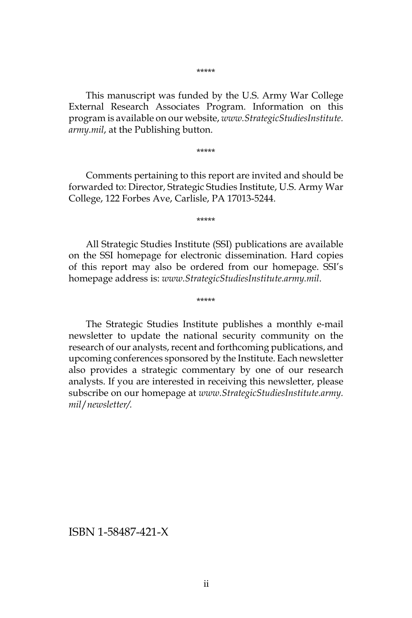This manuscript was funded by the U.S. Army War College External Research Associates Program. Information on this program is available on our website, *www.StrategicStudiesInstitute. army.mil*, at the Publishing button.

\*\*\*\*\*

Comments pertaining to this report are invited and should be forwarded to: Director, Strategic Studies Institute, U.S. Army War College, 122 Forbes Ave, Carlisle, PA 17013-5244.

\*\*\*\*\*

All Strategic Studies Institute (SSI) publications are available on the SSI homepage for electronic dissemination. Hard copies of this report may also be ordered from our homepage. SSI's homepage address is: *www.StrategicStudiesInstitute.army.mil*.

\*\*\*\*\*

The Strategic Studies Institute publishes a monthly e-mail newsletter to update the national security community on the research of our analysts, recent and forthcoming publications, and upcoming conferences sponsored by the Institute. Each newsletter also provides a strategic commentary by one of our research analysts. If you are interested in receiving this newsletter, please subscribe on our homepage at *www.StrategicStudiesInstitute.army. mil*/*newsletter/.*

ISBN 1-58487-421-X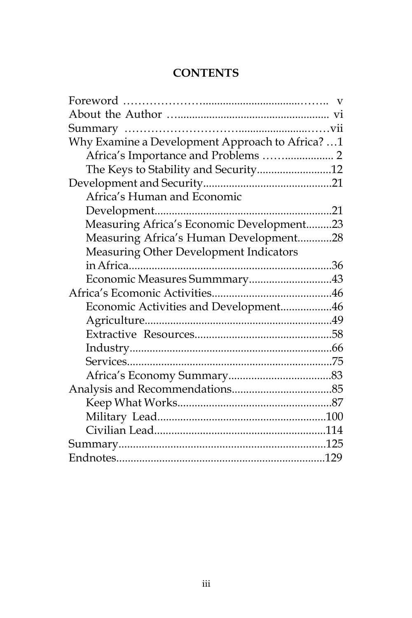# **CONTENTS**

| Why Examine a Development Approach to Africa? 1 |
|-------------------------------------------------|
|                                                 |
| The Keys to Stability and Security12            |
|                                                 |
|                                                 |
|                                                 |
| Measuring Africa's Economic Development23       |
| Measuring Africa's Human Development28          |
|                                                 |
|                                                 |
| Economic Measures Summmary43                    |
|                                                 |
| Economic Activities and Development46           |
|                                                 |
|                                                 |
|                                                 |
|                                                 |
|                                                 |
|                                                 |
|                                                 |
|                                                 |
|                                                 |
|                                                 |
|                                                 |
|                                                 |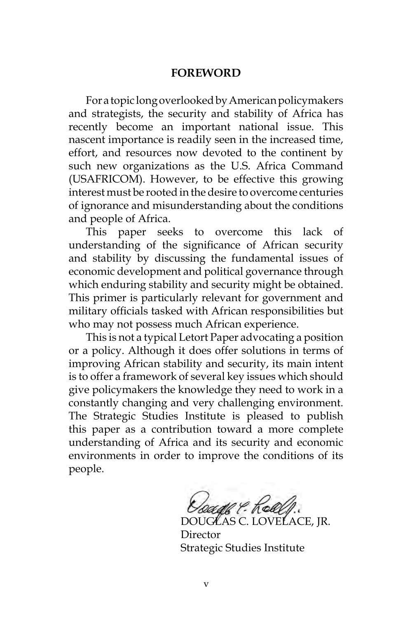#### **FOREWORD**

For a topic long overlooked by American policymakers and strategists, the security and stability of Africa has recently become an important national issue. This nascent importance is readily seen in the increased time, effort, and resources now devoted to the continent by such new organizations as the U.S. Africa Command (USAFRICOM). However, to be effective this growing interest must be rooted in the desire to overcome centuries of ignorance and misunderstanding about the conditions and people of Africa.

This paper seeks to overcome this lack of understanding of the significance of African security and stability by discussing the fundamental issues of economic development and political governance through which enduring stability and security might be obtained. This primer is particularly relevant for government and military officials tasked with African responsibilities but who may not possess much African experience.

This is not a typical Letort Paper advocating a position or a policy. Although it does offer solutions in terms of improving African stability and security, its main intent is to offer a framework of several key issues which should give policymakers the knowledge they need to work in a constantly changing and very challenging environment. The Strategic Studies Institute is pleased to publish this paper as a contribution toward a more complete understanding of Africa and its security and economic environments in order to improve the conditions of its people.

DVELACE, JR. Director Strategic Studies Institute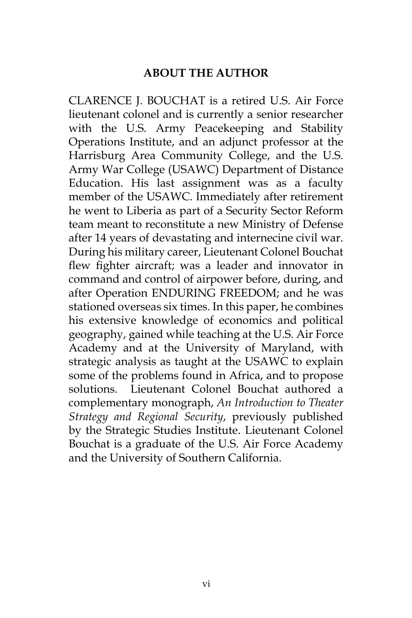## **ABOUT THE AUTHOR**

CLARENCE J. BOUCHAT is a retired U.S. Air Force lieutenant colonel and is currently a senior researcher with the U.S. Army Peacekeeping and Stability Operations Institute, and an adjunct professor at the Harrisburg Area Community College, and the U.S. Army War College (USAWC) Department of Distance Education. His last assignment was as a faculty member of the USAWC. Immediately after retirement he went to Liberia as part of a Security Sector Reform team meant to reconstitute a new Ministry of Defense after 14 years of devastating and internecine civil war. During his military career, Lieutenant Colonel Bouchat flew fighter aircraft; was a leader and innovator in command and control of airpower before, during, and after Operation ENDURING FREEDOM; and he was stationed overseas six times. In this paper, he combines his extensive knowledge of economics and political geography, gained while teaching at the U.S. Air Force Academy and at the University of Maryland, with strategic analysis as taught at the USAWC to explain some of the problems found in Africa, and to propose solutions. Lieutenant Colonel Bouchat authored a complementary monograph, *An Introduction to Theater Strategy and Regional Security*, previously published by the Strategic Studies Institute. Lieutenant Colonel Bouchat is a graduate of the U.S. Air Force Academy and the University of Southern California.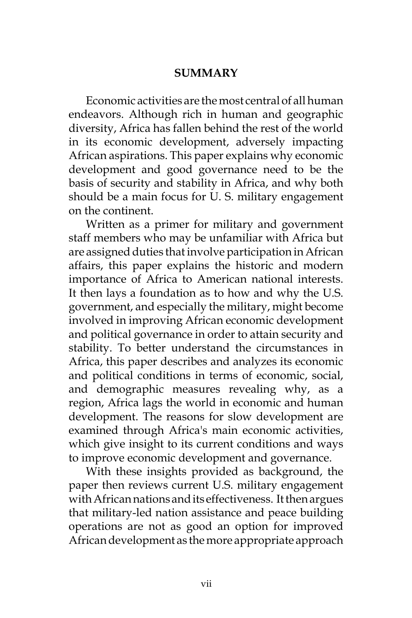#### **SUMMARY**

Economic activities are the most central of all human endeavors. Although rich in human and geographic diversity, Africa has fallen behind the rest of the world in its economic development, adversely impacting African aspirations. This paper explains why economic development and good governance need to be the basis of security and stability in Africa, and why both should be a main focus for U. S. military engagement on the continent.

Written as a primer for military and government staff members who may be unfamiliar with Africa but are assigned duties that involve participation in African affairs, this paper explains the historic and modern importance of Africa to American national interests. It then lays a foundation as to how and why the U.S. government, and especially the military, might become involved in improving African economic development and political governance in order to attain security and stability. To better understand the circumstances in Africa, this paper describes and analyzes its economic and political conditions in terms of economic, social, and demographic measures revealing why, as a region, Africa lags the world in economic and human development. The reasons for slow development are examined through Africa's main economic activities, which give insight to its current conditions and ways to improve economic development and governance.

With these insights provided as background, the paper then reviews current U.S. military engagement with African nations and its effectiveness. It then argues that military-led nation assistance and peace building operations are not as good an option for improved African development as the more appropriate approach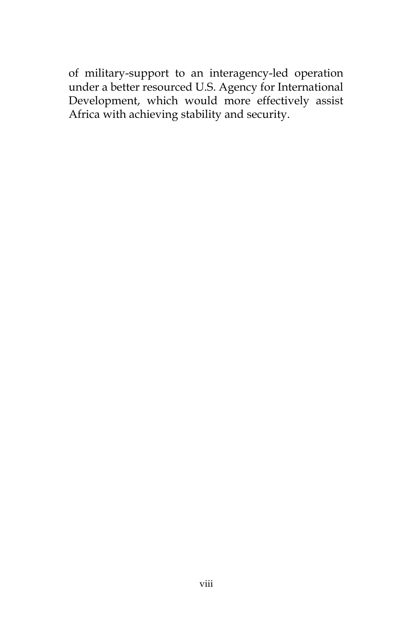of military-support to an interagency-led operation under a better resourced U.S. Agency for International Development, which would more effectively assist Africa with achieving stability and security.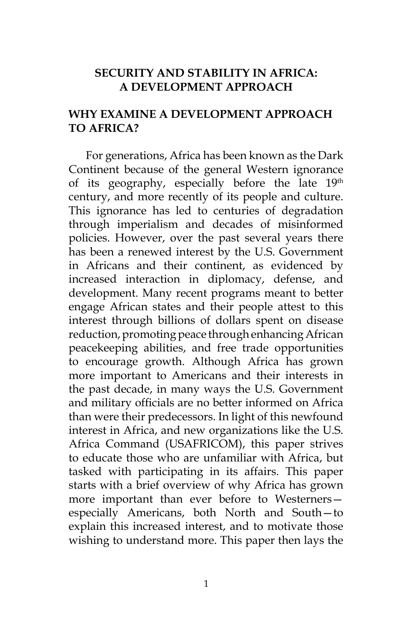#### **SECURITY AND STABILITY IN AFRICA: A DEVELOPMENT APPROACH**

# **WHY EXAMINE A DEVELOPMENT APPROACH TO AFRICA?**

For generations, Africa has been known as the Dark Continent because of the general Western ignorance of its geography, especially before the late 19th century, and more recently of its people and culture. This ignorance has led to centuries of degradation through imperialism and decades of misinformed policies. However, over the past several years there has been a renewed interest by the U.S. Government in Africans and their continent, as evidenced by increased interaction in diplomacy, defense, and development. Many recent programs meant to better engage African states and their people attest to this interest through billions of dollars spent on disease reduction, promoting peace through enhancing African peacekeeping abilities, and free trade opportunities to encourage growth. Although Africa has grown more important to Americans and their interests in the past decade, in many ways the U.S. Government and military officials are no better informed on Africa than were their predecessors. In light of this newfound interest in Africa, and new organizations like the U.S. Africa Command (USAFRICOM), this paper strives to educate those who are unfamiliar with Africa, but tasked with participating in its affairs. This paper starts with a brief overview of why Africa has grown more important than ever before to Westerners especially Americans, both North and South—to explain this increased interest, and to motivate those wishing to understand more. This paper then lays the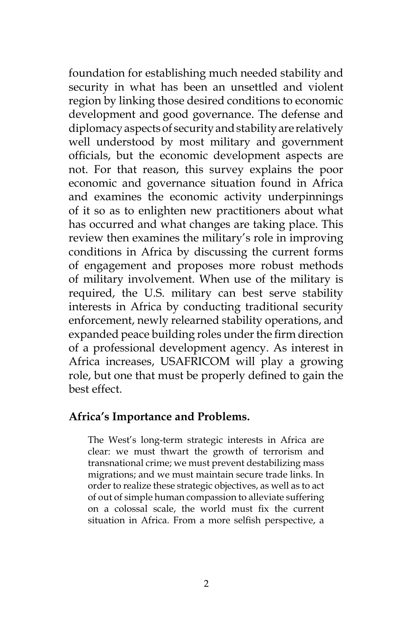foundation for establishing much needed stability and security in what has been an unsettled and violent region by linking those desired conditions to economic development and good governance. The defense and diplomacy aspects of security and stability are relatively well understood by most military and government officials, but the economic development aspects are not. For that reason, this survey explains the poor economic and governance situation found in Africa and examines the economic activity underpinnings of it so as to enlighten new practitioners about what has occurred and what changes are taking place. This review then examines the military's role in improving conditions in Africa by discussing the current forms of engagement and proposes more robust methods of military involvement. When use of the military is required, the U.S. military can best serve stability interests in Africa by conducting traditional security enforcement, newly relearned stability operations, and expanded peace building roles under the firm direction of a professional development agency. As interest in Africa increases, USAFRICOM will play a growing role, but one that must be properly defined to gain the best effect.

## **Africa's Importance and Problems.**

The West's long-term strategic interests in Africa are clear: we must thwart the growth of terrorism and transnational crime; we must prevent destabilizing mass migrations; and we must maintain secure trade links. In order to realize these strategic objectives, as well as to act of out of simple human compassion to alleviate suffering on a colossal scale, the world must fix the current situation in Africa. From a more selfish perspective, a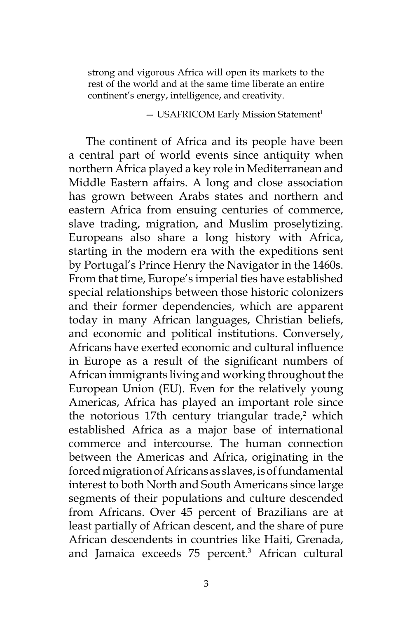strong and vigorous Africa will open its markets to the rest of the world and at the same time liberate an entire continent's energy, intelligence, and creativity.

- USAFRICOM Early Mission Statement<sup>1</sup>

The continent of Africa and its people have been a central part of world events since antiquity when northern Africa played a key role in Mediterranean and Middle Eastern affairs. A long and close association has grown between Arabs states and northern and eastern Africa from ensuing centuries of commerce, slave trading, migration, and Muslim proselytizing. Europeans also share a long history with Africa, starting in the modern era with the expeditions sent by Portugal's Prince Henry the Navigator in the 1460s. From that time, Europe's imperial ties have established special relationships between those historic colonizers and their former dependencies, which are apparent today in many African languages, Christian beliefs, and economic and political institutions. Conversely, Africans have exerted economic and cultural influence in Europe as a result of the significant numbers of African immigrants living and working throughout the European Union (EU). Even for the relatively young Americas, Africa has played an important role since the notorious 17th century triangular trade, $2$  which established Africa as a major base of international commerce and intercourse. The human connection between the Americas and Africa, originating in the forced migration of Africans as slaves, is of fundamental interest to both North and South Americans since large segments of their populations and culture descended from Africans. Over 45 percent of Brazilians are at least partially of African descent, and the share of pure African descendents in countries like Haiti, Grenada, and Jamaica exceeds 75 percent.<sup>3</sup> African cultural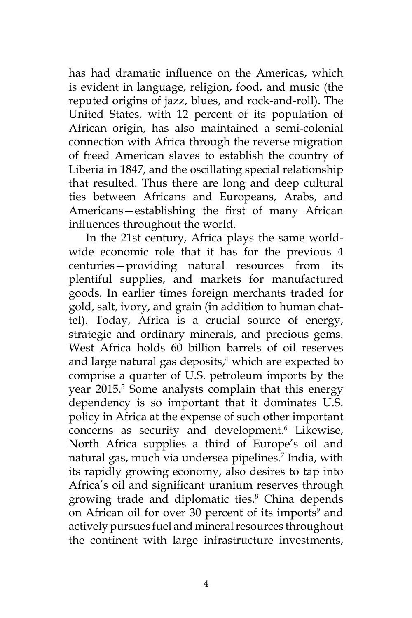has had dramatic influence on the Americas, which is evident in language, religion, food, and music (the reputed origins of jazz, blues, and rock-and-roll). The United States, with 12 percent of its population of African origin, has also maintained a semi-colonial connection with Africa through the reverse migration of freed American slaves to establish the country of Liberia in 1847, and the oscillating special relationship that resulted. Thus there are long and deep cultural ties between Africans and Europeans, Arabs, and Americans—establishing the first of many African influences throughout the world.

In the 21st century, Africa plays the same worldwide economic role that it has for the previous 4 centuries—providing natural resources from its plentiful supplies, and markets for manufactured goods. In earlier times foreign merchants traded for gold, salt, ivory, and grain (in addition to human chattel). Today, Africa is a crucial source of energy, strategic and ordinary minerals, and precious gems. West Africa holds 60 billion barrels of oil reserves and large natural gas deposits,<sup>4</sup> which are expected to comprise a quarter of U.S. petroleum imports by the year 2015.<sup>5</sup> Some analysts complain that this energy dependency is so important that it dominates U.S. policy in Africa at the expense of such other important concerns as security and development.<sup>6</sup> Likewise, North Africa supplies a third of Europe's oil and natural gas, much via undersea pipelines.7 India, with its rapidly growing economy, also desires to tap into Africa's oil and significant uranium reserves through growing trade and diplomatic ties.<sup>8</sup> China depends on African oil for over 30 percent of its imports<sup>9</sup> and actively pursues fuel and mineral resources throughout the continent with large infrastructure investments,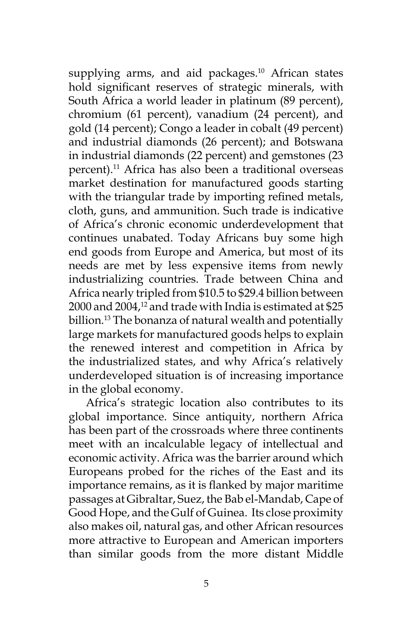supplying arms, and aid packages.<sup>10</sup> African states hold significant reserves of strategic minerals, with South Africa a world leader in platinum (89 percent), chromium (61 percent), vanadium (24 percent), and gold (14 percent); Congo a leader in cobalt (49 percent) and industrial diamonds (26 percent); and Botswana in industrial diamonds (22 percent) and gemstones (23 percent).11 Africa has also been a traditional overseas market destination for manufactured goods starting with the triangular trade by importing refined metals, cloth, guns, and ammunition. Such trade is indicative of Africa's chronic economic underdevelopment that continues unabated. Today Africans buy some high end goods from Europe and America, but most of its needs are met by less expensive items from newly industrializing countries. Trade between China and Africa nearly tripled from \$10.5 to \$29.4 billion between 2000 and  $2004<sup>12</sup>$  and trade with India is estimated at \$25 billion.13 The bonanza of natural wealth and potentially large markets for manufactured goods helps to explain the renewed interest and competition in Africa by the industrialized states, and why Africa's relatively underdeveloped situation is of increasing importance in the global economy.

Africa's strategic location also contributes to its global importance. Since antiquity, northern Africa has been part of the crossroads where three continents meet with an incalculable legacy of intellectual and economic activity. Africa was the barrier around which Europeans probed for the riches of the East and its importance remains, as it is flanked by major maritime passages at Gibraltar, Suez, the Bab el-Mandab, Cape of Good Hope, and the Gulf of Guinea. Its close proximity also makes oil, natural gas, and other African resources more attractive to European and American importers than similar goods from the more distant Middle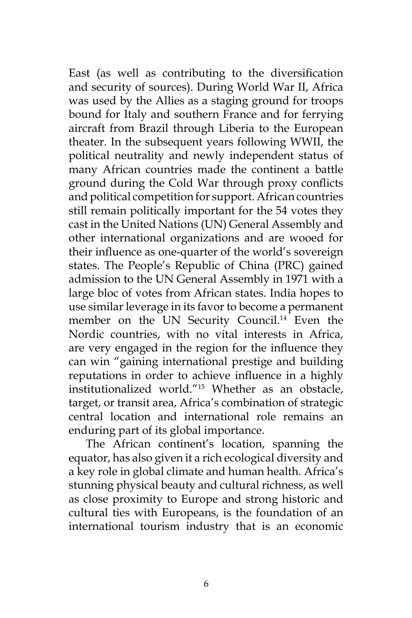East (as well as contributing to the diversification and security of sources). During World War II, Africa was used by the Allies as a staging ground for troops bound for Italy and southern France and for ferrying aircraft from Brazil through Liberia to the European theater. In the subsequent years following WWII, the political neutrality and newly independent status of many African countries made the continent a battle ground during the Cold War through proxy conflicts and political competition for support. African countries still remain politically important for the 54 votes they cast in the United Nations (UN) General Assembly and other international organizations and are wooed for their influence as one-quarter of the world's sovereign states. The People's Republic of China (PRC) gained admission to the UN General Assembly in 1971 with a large bloc of votes from African states. India hopes to use similar leverage in its favor to become a permanent member on the UN Security Council.<sup>14</sup> Even the Nordic countries, with no vital interests in Africa, are very engaged in the region for the influence they can win "gaining international prestige and building reputations in order to achieve influence in a highly institutionalized world."15 Whether as an obstacle, target, or transit area, Africa's combination of strategic central location and international role remains an enduring part of its global importance.

The African continent's location, spanning the equator, has also given it a rich ecological diversity and a key role in global climate and human health. Africa's stunning physical beauty and cultural richness, as well as close proximity to Europe and strong historic and cultural ties with Europeans, is the foundation of an international tourism industry that is an economic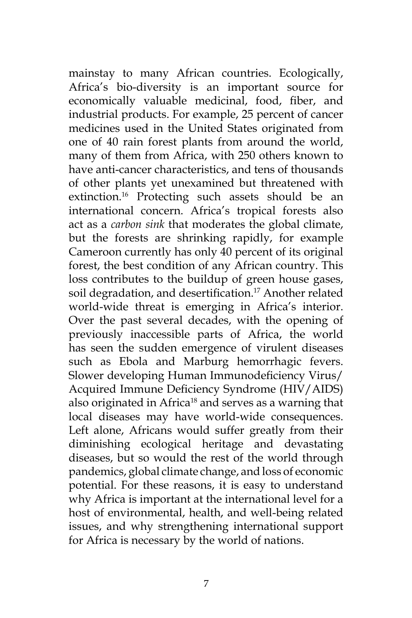mainstay to many African countries. Ecologically, Africa's bio-diversity is an important source for economically valuable medicinal, food, fiber, and industrial products. For example, 25 percent of cancer medicines used in the United States originated from one of 40 rain forest plants from around the world, many of them from Africa, with 250 others known to have anti-cancer characteristics, and tens of thousands of other plants yet unexamined but threatened with extinction.<sup>16</sup> Protecting such assets should be an international concern. Africa's tropical forests also act as a *carbon sink* that moderates the global climate, but the forests are shrinking rapidly, for example Cameroon currently has only 40 percent of its original forest, the best condition of any African country. This loss contributes to the buildup of green house gases, soil degradation, and desertification.<sup>17</sup> Another related world-wide threat is emerging in Africa's interior. Over the past several decades, with the opening of previously inaccessible parts of Africa, the world has seen the sudden emergence of virulent diseases such as Ebola and Marburg hemorrhagic fevers. Slower developing Human Immunodeficiency Virus/ Acquired Immune Deficiency Syndrome (HIV/AIDS) also originated in Africa<sup>18</sup> and serves as a warning that local diseases may have world-wide consequences. Left alone, Africans would suffer greatly from their diminishing ecological heritage and devastating diseases, but so would the rest of the world through pandemics, global climate change, and loss of economic potential. For these reasons, it is easy to understand why Africa is important at the international level for a host of environmental, health, and well-being related issues, and why strengthening international support for Africa is necessary by the world of nations.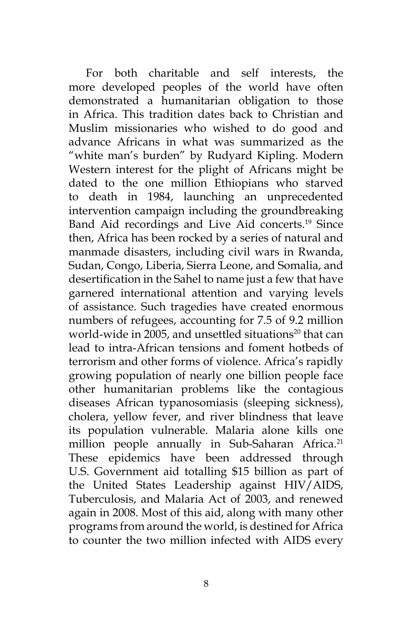For both charitable and self interests, the more developed peoples of the world have often demonstrated a humanitarian obligation to those in Africa. This tradition dates back to Christian and Muslim missionaries who wished to do good and advance Africans in what was summarized as the "white man's burden" by Rudyard Kipling. Modern Western interest for the plight of Africans might be dated to the one million Ethiopians who starved to death in 1984, launching an unprecedented intervention campaign including the groundbreaking Band Aid recordings and Live Aid concerts.<sup>19</sup> Since then, Africa has been rocked by a series of natural and manmade disasters, including civil wars in Rwanda, Sudan, Congo, Liberia, Sierra Leone, and Somalia, and desertification in the Sahel to name just a few that have garnered international attention and varying levels of assistance. Such tragedies have created enormous numbers of refugees, accounting for 7.5 of 9.2 million world-wide in 2005, and unsettled situations<sup>20</sup> that can lead to intra-African tensions and foment hotbeds of terrorism and other forms of violence. Africa's rapidly growing population of nearly one billion people face other humanitarian problems like the contagious diseases African typanosomiasis (sleeping sickness), cholera, yellow fever, and river blindness that leave its population vulnerable. Malaria alone kills one million people annually in Sub-Saharan Africa.<sup>21</sup> These epidemics have been addressed through U.S. Government aid totalling \$15 billion as part of the United States Leadership against HIV/AIDS, Tuberculosis, and Malaria Act of 2003, and renewed again in 2008. Most of this aid, along with many other programs from around the world, is destined for Africa to counter the two million infected with AIDS every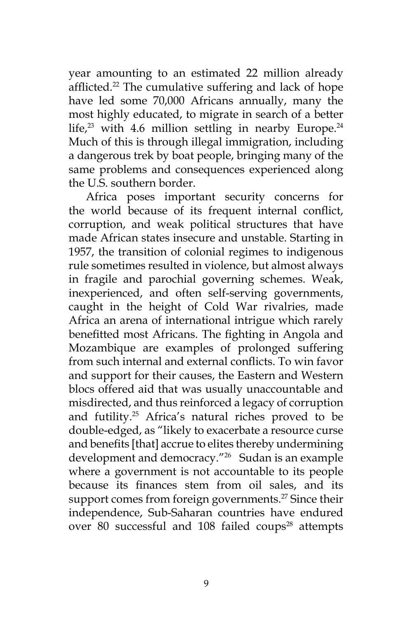year amounting to an estimated 22 million already afflicted.<sup>22</sup> The cumulative suffering and lack of hope have led some 70,000 Africans annually, many the most highly educated, to migrate in search of a better life, $23$  with 4.6 million settling in nearby Europe. $24$ Much of this is through illegal immigration, including a dangerous trek by boat people, bringing many of the same problems and consequences experienced along the U.S. southern border.

Africa poses important security concerns for the world because of its frequent internal conflict, corruption, and weak political structures that have made African states insecure and unstable. Starting in 1957, the transition of colonial regimes to indigenous rule sometimes resulted in violence, but almost always in fragile and parochial governing schemes. Weak, inexperienced, and often self-serving governments, caught in the height of Cold War rivalries, made Africa an arena of international intrigue which rarely benefitted most Africans. The fighting in Angola and Mozambique are examples of prolonged suffering from such internal and external conflicts. To win favor and support for their causes, the Eastern and Western blocs offered aid that was usually unaccountable and misdirected, and thus reinforced a legacy of corruption and futility.25 Africa's natural riches proved to be double-edged, as "likely to exacerbate a resource curse and benefits [that] accrue to elites thereby undermining development and democracy."26 Sudan is an example where a government is not accountable to its people because its finances stem from oil sales, and its support comes from foreign governments.<sup>27</sup> Since their independence, Sub-Saharan countries have endured over 80 successful and 108 failed coups<sup>28</sup> attempts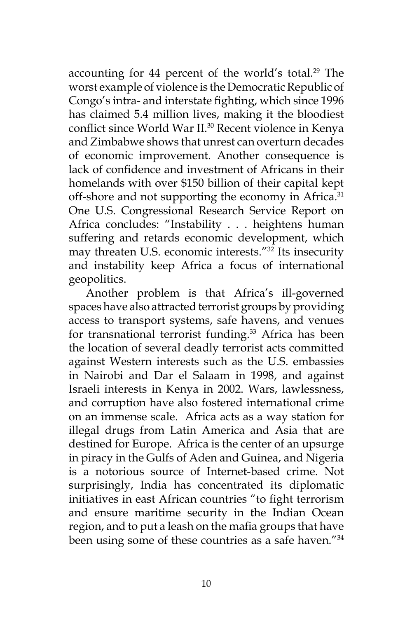accounting for 44 percent of the world's total.<sup>29</sup> The worst example of violence is the Democratic Republic of Congo's intra- and interstate fighting, which since 1996 has claimed 5.4 million lives, making it the bloodiest conflict since World War II.<sup>30</sup> Recent violence in Kenya and Zimbabwe shows that unrest can overturn decades of economic improvement. Another consequence is lack of confidence and investment of Africans in their homelands with over \$150 billion of their capital kept off-shore and not supporting the economy in Africa.<sup>31</sup> One U.S. Congressional Research Service Report on Africa concludes: "Instability . . . heightens human suffering and retards economic development, which may threaten U.S. economic interests."32 Its insecurity and instability keep Africa a focus of international geopolitics.

Another problem is that Africa's ill-governed spaces have also attracted terrorist groups by providing access to transport systems, safe havens, and venues for transnational terrorist funding.<sup>33</sup> Africa has been the location of several deadly terrorist acts committed against Western interests such as the U.S. embassies in Nairobi and Dar el Salaam in 1998, and against Israeli interests in Kenya in 2002. Wars, lawlessness, and corruption have also fostered international crime on an immense scale. Africa acts as a way station for illegal drugs from Latin America and Asia that are destined for Europe. Africa is the center of an upsurge in piracy in the Gulfs of Aden and Guinea, and Nigeria is a notorious source of Internet-based crime. Not surprisingly, India has concentrated its diplomatic initiatives in east African countries "to fight terrorism and ensure maritime security in the Indian Ocean region, and to put a leash on the mafia groups that have been using some of these countries as a safe haven."<sup>34</sup>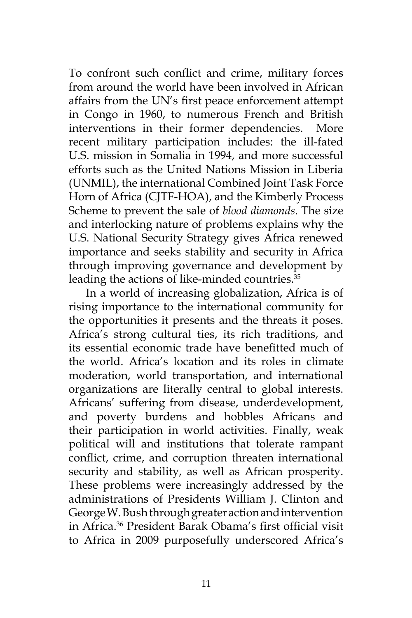To confront such conflict and crime, military forces from around the world have been involved in African affairs from the UN's first peace enforcement attempt in Congo in 1960, to numerous French and British interventions in their former dependencies. More recent military participation includes: the ill-fated U.S. mission in Somalia in 1994, and more successful efforts such as the United Nations Mission in Liberia (UNMIL), the international Combined Joint Task Force Horn of Africa (CJTF-HOA), and the Kimberly Process Scheme to prevent the sale of *blood diamonds*. The size and interlocking nature of problems explains why the U.S. National Security Strategy gives Africa renewed importance and seeks stability and security in Africa through improving governance and development by leading the actions of like-minded countries.<sup>35</sup>

In a world of increasing globalization, Africa is of rising importance to the international community for the opportunities it presents and the threats it poses. Africa's strong cultural ties, its rich traditions, and its essential economic trade have benefitted much of the world. Africa's location and its roles in climate moderation, world transportation, and international organizations are literally central to global interests. Africans' suffering from disease, underdevelopment, and poverty burdens and hobbles Africans and their participation in world activities. Finally, weak political will and institutions that tolerate rampant conflict, crime, and corruption threaten international security and stability, as well as African prosperity. These problems were increasingly addressed by the administrations of Presidents William J. Clinton and George W. Bush through greater action and intervention in Africa.36 President Barak Obama's first official visit to Africa in 2009 purposefully underscored Africa's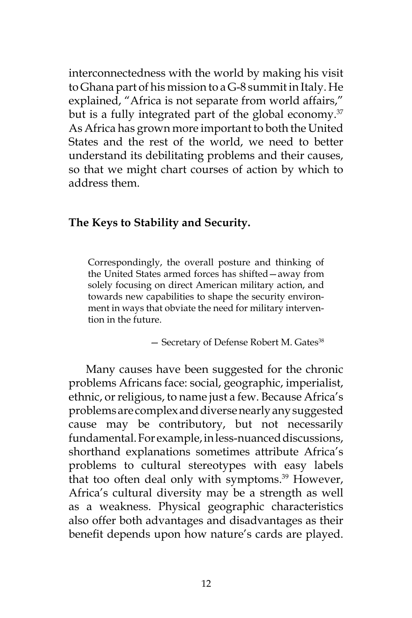interconnectedness with the world by making his visit to Ghana part of his mission to a G-8 summit in Italy. He explained, "Africa is not separate from world affairs," but is a fully integrated part of the global economy.<sup>37</sup> As Africa has grown more important to both the United States and the rest of the world, we need to better understand its debilitating problems and their causes, so that we might chart courses of action by which to address them.

#### **The Keys to Stability and Security.**

Correspondingly, the overall posture and thinking of the United States armed forces has shifted—away from solely focusing on direct American military action, and towards new capabilities to shape the security environment in ways that obviate the need for military intervention in the future.

- Secretary of Defense Robert M. Gates<sup>38</sup>

Many causes have been suggested for the chronic problems Africans face: social, geographic, imperialist, ethnic, or religious, to name just a few. Because Africa's problems are complex and diverse nearly any suggested cause may be contributory, but not necessarily fundamental. For example, in less-nuanced discussions, shorthand explanations sometimes attribute Africa's problems to cultural stereotypes with easy labels that too often deal only with symptoms.39 However, Africa's cultural diversity may be a strength as well as a weakness. Physical geographic characteristics also offer both advantages and disadvantages as their benefit depends upon how nature's cards are played.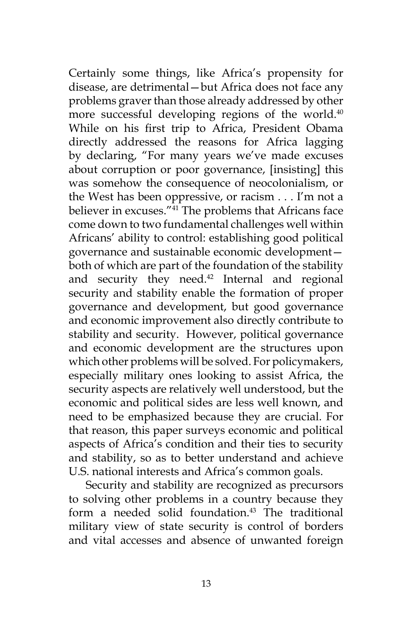Certainly some things, like Africa's propensity for disease, are detrimental—but Africa does not face any problems graver than those already addressed by other more successful developing regions of the world.<sup>40</sup> While on his first trip to Africa, President Obama directly addressed the reasons for Africa lagging by declaring, "For many years we've made excuses about corruption or poor governance, [insisting] this was somehow the consequence of neocolonialism, or the West has been oppressive, or racism . . . I'm not a believer in excuses."41 The problems that Africans face come down to two fundamental challenges well within Africans' ability to control: establishing good political governance and sustainable economic development both of which are part of the foundation of the stability and security they need.<sup>42</sup> Internal and regional security and stability enable the formation of proper governance and development, but good governance and economic improvement also directly contribute to stability and security. However, political governance and economic development are the structures upon which other problems will be solved. For policymakers, especially military ones looking to assist Africa, the security aspects are relatively well understood, but the economic and political sides are less well known, and need to be emphasized because they are crucial. For that reason, this paper surveys economic and political aspects of Africa's condition and their ties to security and stability, so as to better understand and achieve U.S. national interests and Africa's common goals.

Security and stability are recognized as precursors to solving other problems in a country because they form a needed solid foundation.<sup>43</sup> The traditional military view of state security is control of borders and vital accesses and absence of unwanted foreign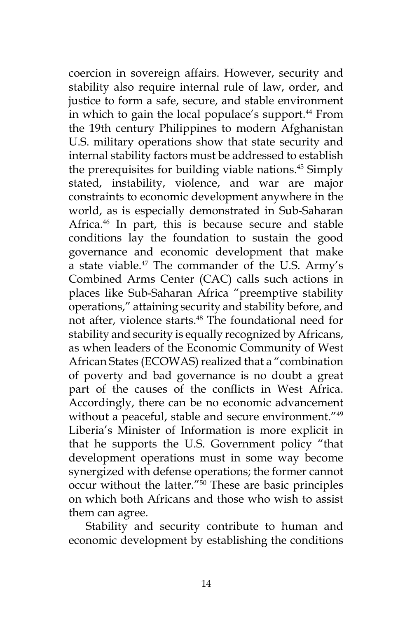coercion in sovereign affairs. However, security and stability also require internal rule of law, order, and justice to form a safe, secure, and stable environment in which to gain the local populace's support.<sup>44</sup> From the 19th century Philippines to modern Afghanistan U.S. military operations show that state security and internal stability factors must be addressed to establish the prerequisites for building viable nations.<sup>45</sup> Simply stated, instability, violence, and war are major constraints to economic development anywhere in the world, as is especially demonstrated in Sub-Saharan Africa.<sup>46</sup> In part, this is because secure and stable conditions lay the foundation to sustain the good governance and economic development that make a state viable.47 The commander of the U.S. Army's Combined Arms Center (CAC) calls such actions in places like Sub-Saharan Africa "preemptive stability operations," attaining security and stability before, and not after, violence starts.48 The foundational need for stability and security is equally recognized by Africans, as when leaders of the Economic Community of West African States (ECOWAS) realized that a "combination of poverty and bad governance is no doubt a great part of the causes of the conflicts in West Africa. Accordingly, there can be no economic advancement without a peaceful, stable and secure environment."<sup>49</sup> Liberia's Minister of Information is more explicit in that he supports the U.S. Government policy "that development operations must in some way become synergized with defense operations; the former cannot occur without the latter."50 These are basic principles on which both Africans and those who wish to assist them can agree.

Stability and security contribute to human and economic development by establishing the conditions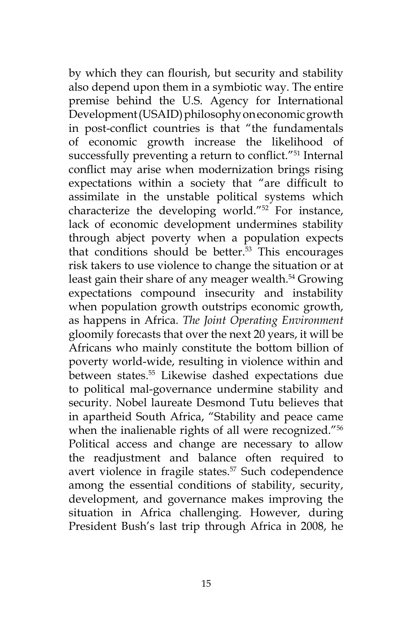by which they can flourish, but security and stability also depend upon them in a symbiotic way. The entire premise behind the U.S. Agency for International Development (USAID) philosophy on economic growth in post-conflict countries is that "the fundamentals of economic growth increase the likelihood of successfully preventing a return to conflict."<sup>51</sup> Internal conflict may arise when modernization brings rising expectations within a society that "are difficult to assimilate in the unstable political systems which characterize the developing world."52 For instance, lack of economic development undermines stability through abject poverty when a population expects that conditions should be better. $53$  This encourages risk takers to use violence to change the situation or at least gain their share of any meager wealth.<sup>54</sup> Growing expectations compound insecurity and instability when population growth outstrips economic growth, as happens in Africa. *The Joint Operating Environment* gloomily forecasts that over the next 20 years, it will be Africans who mainly constitute the bottom billion of poverty world-wide, resulting in violence within and between states.<sup>55</sup> Likewise dashed expectations due to political mal-governance undermine stability and security. Nobel laureate Desmond Tutu believes that in apartheid South Africa, "Stability and peace came when the inalienable rights of all were recognized."<sup>56</sup> Political access and change are necessary to allow the readjustment and balance often required to avert violence in fragile states.<sup>57</sup> Such codependence among the essential conditions of stability, security, development, and governance makes improving the situation in Africa challenging. However, during President Bush's last trip through Africa in 2008, he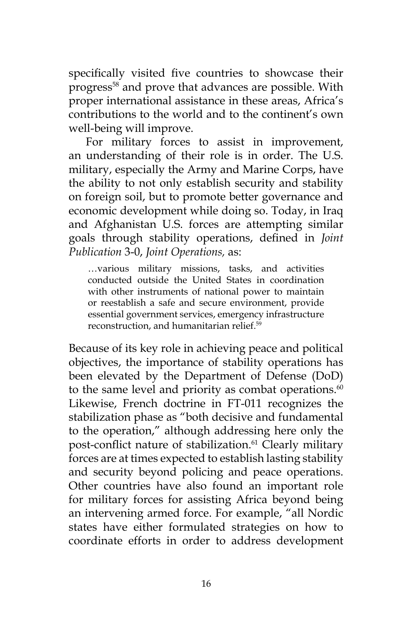specifically visited five countries to showcase their progress<sup>58</sup> and prove that advances are possible. With proper international assistance in these areas, Africa's contributions to the world and to the continent's own well-being will improve.

For military forces to assist in improvement, an understanding of their role is in order. The U.S. military, especially the Army and Marine Corps, have the ability to not only establish security and stability on foreign soil, but to promote better governance and economic development while doing so. Today, in Iraq and Afghanistan U.S. forces are attempting similar goals through stability operations, defined in *Joint Publication* 3-0, *Joint Operations,* as:

…various military missions, tasks, and activities conducted outside the United States in coordination with other instruments of national power to maintain or reestablish a safe and secure environment, provide essential government services, emergency infrastructure reconstruction, and humanitarian relief.59

Because of its key role in achieving peace and political objectives, the importance of stability operations has been elevated by the Department of Defense (DoD) to the same level and priority as combat operations. $60$ Likewise, French doctrine in FT-011 recognizes the stabilization phase as "both decisive and fundamental to the operation," although addressing here only the post-conflict nature of stabilization.<sup>61</sup> Clearly military forces are at times expected to establish lasting stability and security beyond policing and peace operations. Other countries have also found an important role for military forces for assisting Africa beyond being an intervening armed force. For example, "all Nordic states have either formulated strategies on how to coordinate efforts in order to address development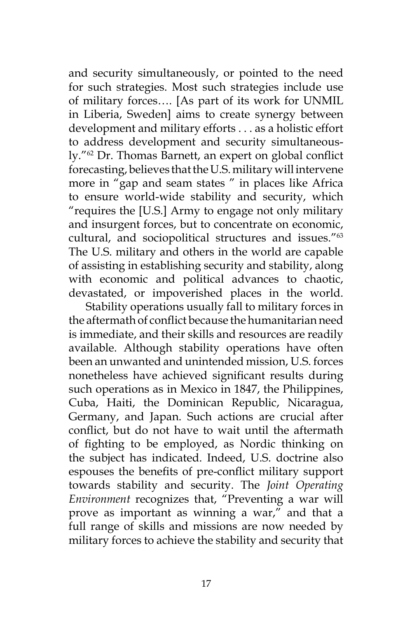and security simultaneously, or pointed to the need for such strategies. Most such strategies include use of military forces…. [As part of its work for UNMIL in Liberia, Sweden] aims to create synergy between development and military efforts . . . as a holistic effort to address development and security simultaneously."62 Dr. Thomas Barnett, an expert on global conflict forecasting, believes that the U.S. military will intervene more in "gap and seam states " in places like Africa to ensure world-wide stability and security, which "requires the [U.S.] Army to engage not only military and insurgent forces, but to concentrate on economic, cultural, and sociopolitical structures and issues."63 The U.S. military and others in the world are capable of assisting in establishing security and stability, along with economic and political advances to chaotic, devastated, or impoverished places in the world.

Stability operations usually fall to military forces in the aftermath of conflict because the humanitarian need is immediate, and their skills and resources are readily available. Although stability operations have often been an unwanted and unintended mission, U.S. forces nonetheless have achieved significant results during such operations as in Mexico in 1847, the Philippines, Cuba, Haiti, the Dominican Republic, Nicaragua, Germany, and Japan. Such actions are crucial after conflict, but do not have to wait until the aftermath of fighting to be employed, as Nordic thinking on the subject has indicated. Indeed, U.S. doctrine also espouses the benefits of pre-conflict military support towards stability and security. The *Joint Operating Environment* recognizes that, "Preventing a war will prove as important as winning a war," and that a full range of skills and missions are now needed by military forces to achieve the stability and security that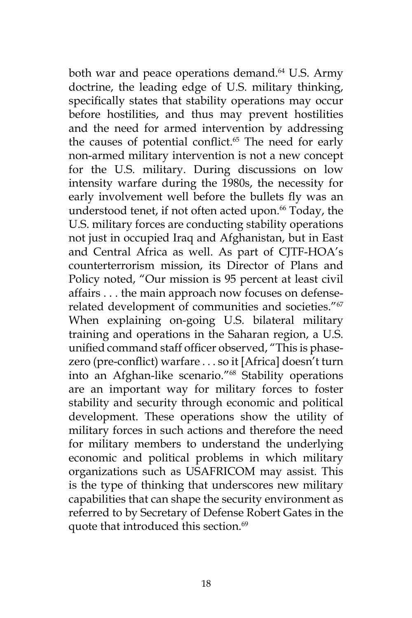both war and peace operations demand.<sup>64</sup> U.S. Army doctrine, the leading edge of U.S. military thinking, specifically states that stability operations may occur before hostilities, and thus may prevent hostilities and the need for armed intervention by addressing the causes of potential conflict.<sup>65</sup> The need for early non-armed military intervention is not a new concept for the U.S. military. During discussions on low intensity warfare during the 1980s, the necessity for early involvement well before the bullets fly was an understood tenet, if not often acted upon.<sup>66</sup> Today, the U.S. military forces are conducting stability operations not just in occupied Iraq and Afghanistan, but in East and Central Africa as well. As part of CJTF-HOA's counterterrorism mission, its Director of Plans and Policy noted, "Our mission is 95 percent at least civil affairs . . . the main approach now focuses on defenserelated development of communities and societies."<sup>67</sup> When explaining on-going U.S. bilateral military training and operations in the Saharan region, a U.S. unified command staff officer observed, "This is phasezero (pre-conflict) warfare . . . so it [Africa] doesn't turn into an Afghan-like scenario."68 Stability operations are an important way for military forces to foster stability and security through economic and political development. These operations show the utility of military forces in such actions and therefore the need for military members to understand the underlying economic and political problems in which military organizations such as USAFRICOM may assist. This is the type of thinking that underscores new military capabilities that can shape the security environment as referred to by Secretary of Defense Robert Gates in the quote that introduced this section.<sup>69</sup>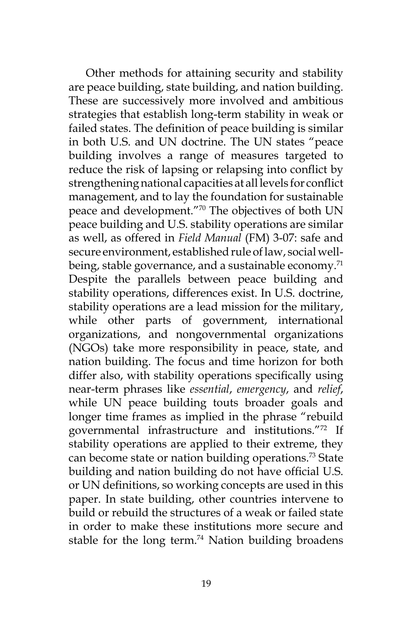Other methods for attaining security and stability are peace building, state building, and nation building. These are successively more involved and ambitious strategies that establish long-term stability in weak or failed states. The definition of peace building is similar in both U.S. and UN doctrine. The UN states "peace building involves a range of measures targeted to reduce the risk of lapsing or relapsing into conflict by strengthening national capacities at all levels for conflict management, and to lay the foundation for sustainable peace and development."70 The objectives of both UN peace building and U.S. stability operations are similar as well, as offered in *Field Manual* (FM) 3-07: safe and secure environment, established rule of law, social wellbeing, stable governance, and a sustainable economy.<sup>71</sup> Despite the parallels between peace building and stability operations, differences exist. In U.S. doctrine, stability operations are a lead mission for the military, while other parts of government, international organizations, and nongovernmental organizations (NGOs) take more responsibility in peace, state, and nation building. The focus and time horizon for both differ also, with stability operations specifically using near-term phrases like *essential*, *emergency*, and *relief*, while UN peace building touts broader goals and longer time frames as implied in the phrase "rebuild governmental infrastructure and institutions."72 If stability operations are applied to their extreme, they can become state or nation building operations.<sup>73</sup> State building and nation building do not have official U.S. or UN definitions, so working concepts are used in this paper. In state building, other countries intervene to build or rebuild the structures of a weak or failed state in order to make these institutions more secure and stable for the long term.<sup>74</sup> Nation building broadens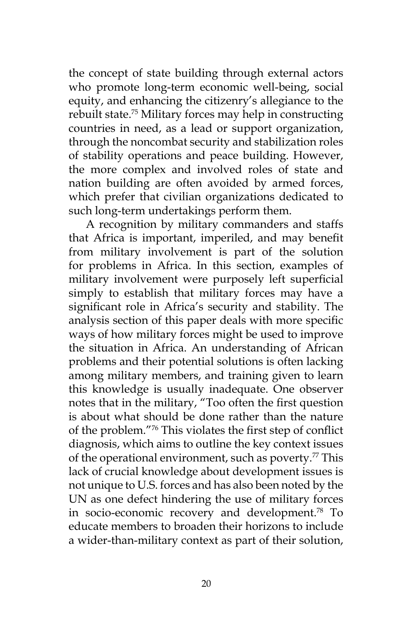the concept of state building through external actors who promote long-term economic well-being, social equity, and enhancing the citizenry's allegiance to the rebuilt state.75 Military forces may help in constructing countries in need, as a lead or support organization, through the noncombat security and stabilization roles of stability operations and peace building. However, the more complex and involved roles of state and nation building are often avoided by armed forces, which prefer that civilian organizations dedicated to such long-term undertakings perform them.

A recognition by military commanders and staffs that Africa is important, imperiled, and may benefit from military involvement is part of the solution for problems in Africa. In this section, examples of military involvement were purposely left superficial simply to establish that military forces may have a significant role in Africa's security and stability. The analysis section of this paper deals with more specific ways of how military forces might be used to improve the situation in Africa. An understanding of African problems and their potential solutions is often lacking among military members, and training given to learn this knowledge is usually inadequate. One observer notes that in the military, "Too often the first question is about what should be done rather than the nature of the problem."76 This violates the first step of conflict diagnosis, which aims to outline the key context issues of the operational environment, such as poverty.<sup>77</sup> This lack of crucial knowledge about development issues is not unique to U.S. forces and has also been noted by the UN as one defect hindering the use of military forces in socio-economic recovery and development.<sup>78</sup> To educate members to broaden their horizons to include a wider-than-military context as part of their solution,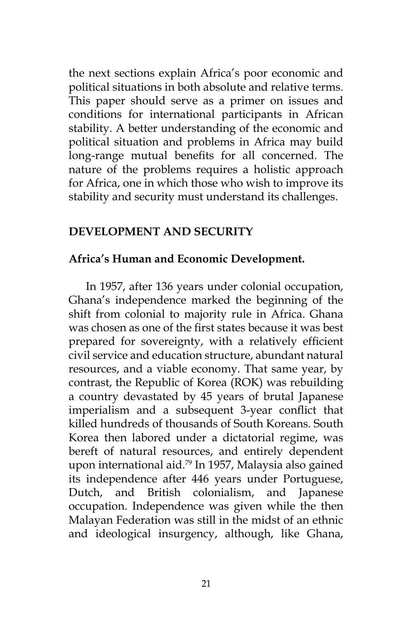the next sections explain Africa's poor economic and political situations in both absolute and relative terms. This paper should serve as a primer on issues and conditions for international participants in African stability. A better understanding of the economic and political situation and problems in Africa may build long-range mutual benefits for all concerned. The nature of the problems requires a holistic approach for Africa, one in which those who wish to improve its stability and security must understand its challenges.

#### **DEVELOPMENT AND SECURITY**

#### **Africa's Human and Economic Development.**

In 1957, after 136 years under colonial occupation, Ghana's independence marked the beginning of the shift from colonial to majority rule in Africa. Ghana was chosen as one of the first states because it was best prepared for sovereignty, with a relatively efficient civil service and education structure, abundant natural resources, and a viable economy. That same year, by contrast, the Republic of Korea (ROK) was rebuilding a country devastated by 45 years of brutal Japanese imperialism and a subsequent 3-year conflict that killed hundreds of thousands of South Koreans. South Korea then labored under a dictatorial regime, was bereft of natural resources, and entirely dependent upon international aid.<sup>79</sup> In 1957, Malaysia also gained its independence after 446 years under Portuguese, Dutch, and British colonialism, and Japanese occupation. Independence was given while the then Malayan Federation was still in the midst of an ethnic and ideological insurgency, although, like Ghana,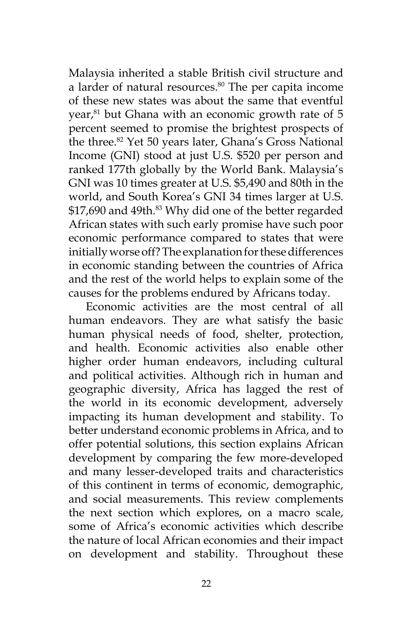Malaysia inherited a stable British civil structure and a larder of natural resources.<sup>80</sup> The per capita income of these new states was about the same that eventful year,<sup>81</sup> but Ghana with an economic growth rate of 5 percent seemed to promise the brightest prospects of the three.<sup>82</sup> Yet 50 years later, Ghana's Gross National Income (GNI) stood at just U.S. \$520 per person and ranked 177th globally by the World Bank. Malaysia's GNI was 10 times greater at U.S. \$5,490 and 80th in the world, and South Korea's GNI 34 times larger at U.S. \$17,690 and 49th.<sup>83</sup> Why did one of the better regarded African states with such early promise have such poor economic performance compared to states that were initially worse off? The explanation for these differences in economic standing between the countries of Africa and the rest of the world helps to explain some of the causes for the problems endured by Africans today.

Economic activities are the most central of all human endeavors. They are what satisfy the basic human physical needs of food, shelter, protection, and health. Economic activities also enable other higher order human endeavors, including cultural and political activities. Although rich in human and geographic diversity, Africa has lagged the rest of the world in its economic development, adversely impacting its human development and stability. To better understand economic problems in Africa, and to offer potential solutions, this section explains African development by comparing the few more-developed and many lesser-developed traits and characteristics of this continent in terms of economic, demographic, and social measurements. This review complements the next section which explores, on a macro scale, some of Africa's economic activities which describe the nature of local African economies and their impact on development and stability. Throughout these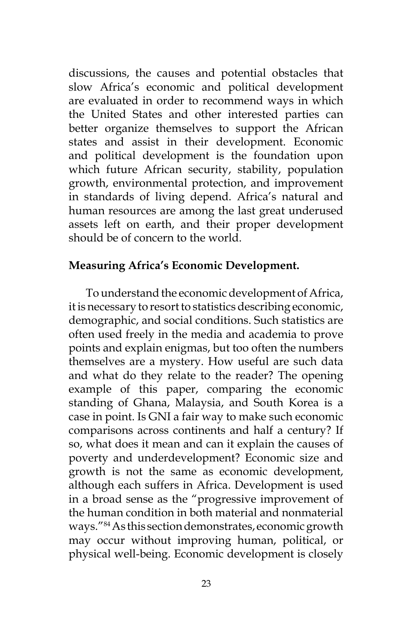discussions, the causes and potential obstacles that slow Africa's economic and political development are evaluated in order to recommend ways in which the United States and other interested parties can better organize themselves to support the African states and assist in their development. Economic and political development is the foundation upon which future African security, stability, population growth, environmental protection, and improvement in standards of living depend. Africa's natural and human resources are among the last great underused assets left on earth, and their proper development should be of concern to the world.

## **Measuring Africa's Economic Development.**

To understand the economic development of Africa, it is necessary to resort to statistics describing economic, demographic, and social conditions. Such statistics are often used freely in the media and academia to prove points and explain enigmas, but too often the numbers themselves are a mystery. How useful are such data and what do they relate to the reader? The opening example of this paper, comparing the economic standing of Ghana, Malaysia, and South Korea is a case in point. Is GNI a fair way to make such economic comparisons across continents and half a century? If so, what does it mean and can it explain the causes of poverty and underdevelopment? Economic size and growth is not the same as economic development, although each suffers in Africa. Development is used in a broad sense as the "progressive improvement of the human condition in both material and nonmaterial ways."84 As this section demonstrates, economic growth may occur without improving human, political, or physical well-being. Economic development is closely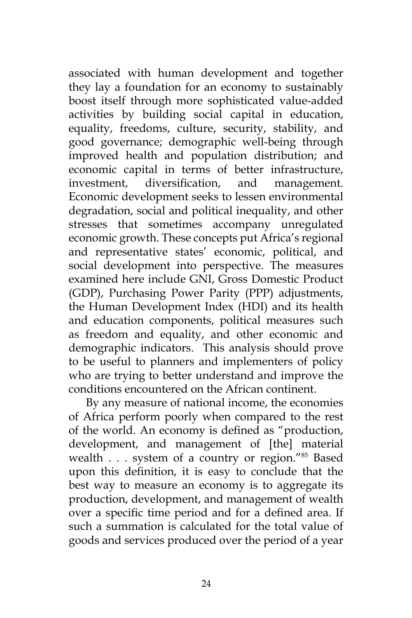associated with human development and together they lay a foundation for an economy to sustainably boost itself through more sophisticated value-added activities by building social capital in education, equality, freedoms, culture, security, stability, and good governance; demographic well-being through improved health and population distribution; and economic capital in terms of better infrastructure, investment, diversification, and management. Economic development seeks to lessen environmental degradation, social and political inequality, and other stresses that sometimes accompany unregulated economic growth. These concepts put Africa's regional and representative states' economic, political, and social development into perspective. The measures examined here include GNI, Gross Domestic Product (GDP), Purchasing Power Parity (PPP) adjustments, the Human Development Index (HDI) and its health and education components, political measures such as freedom and equality, and other economic and demographic indicators. This analysis should prove to be useful to planners and implementers of policy who are trying to better understand and improve the conditions encountered on the African continent.

By any measure of national income, the economies of Africa perform poorly when compared to the rest of the world. An economy is defined as "production, development, and management of [the] material wealth . . . system of a country or region."85 Based upon this definition, it is easy to conclude that the best way to measure an economy is to aggregate its production, development, and management of wealth over a specific time period and for a defined area. If such a summation is calculated for the total value of goods and services produced over the period of a year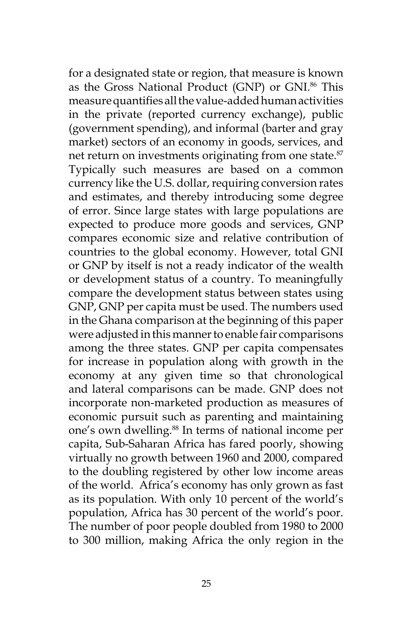for a designated state or region, that measure is known as the Gross National Product (GNP) or GNI.<sup>86</sup> This measure quantifies all the value-added human activities in the private (reported currency exchange), public (government spending), and informal (barter and gray market) sectors of an economy in goods, services, and net return on investments originating from one state.<sup>87</sup> Typically such measures are based on a common currency like the U.S. dollar, requiring conversion rates and estimates, and thereby introducing some degree of error. Since large states with large populations are expected to produce more goods and services, GNP compares economic size and relative contribution of countries to the global economy. However, total GNI or GNP by itself is not a ready indicator of the wealth or development status of a country. To meaningfully compare the development status between states using GNP, GNP per capita must be used. The numbers used in the Ghana comparison at the beginning of this paper were adjusted in this manner to enable fair comparisons among the three states. GNP per capita compensates for increase in population along with growth in the economy at any given time so that chronological and lateral comparisons can be made. GNP does not incorporate non-marketed production as measures of economic pursuit such as parenting and maintaining one's own dwelling.<sup>88</sup> In terms of national income per capita, Sub-Saharan Africa has fared poorly, showing virtually no growth between 1960 and 2000, compared to the doubling registered by other low income areas of the world. Africa's economy has only grown as fast as its population. With only 10 percent of the world's population, Africa has 30 percent of the world's poor. The number of poor people doubled from 1980 to 2000 to 300 million, making Africa the only region in the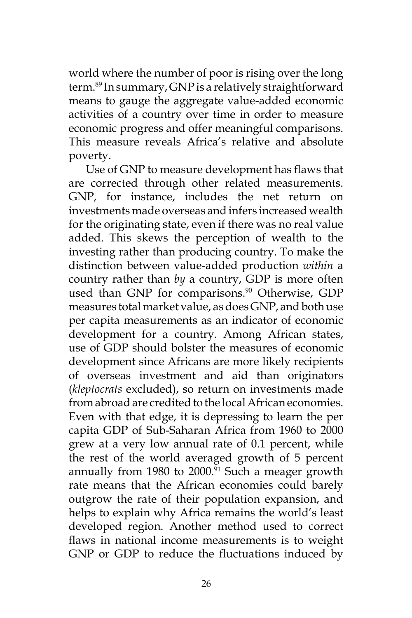world where the number of poor is rising over the long term.89 In summary, GNP is a relatively straightforward means to gauge the aggregate value-added economic activities of a country over time in order to measure economic progress and offer meaningful comparisons. This measure reveals Africa's relative and absolute poverty.

Use of GNP to measure development has flaws that are corrected through other related measurements. GNP, for instance, includes the net return on investments made overseas and infers increased wealth for the originating state, even if there was no real value added. This skews the perception of wealth to the investing rather than producing country. To make the distinction between value-added production *within* a country rather than *by* a country, GDP is more often used than GNP for comparisons.<sup>90</sup> Otherwise, GDP measures total market value, as does GNP, and both use per capita measurements as an indicator of economic development for a country. Among African states, use of GDP should bolster the measures of economic development since Africans are more likely recipients of overseas investment and aid than originators (*kleptocrats* excluded), so return on investments made from abroad are credited to the local African economies. Even with that edge, it is depressing to learn the per capita GDP of Sub-Saharan Africa from 1960 to 2000 grew at a very low annual rate of 0.1 percent, while the rest of the world averaged growth of 5 percent annually from 1980 to 2000. $91$  Such a meager growth rate means that the African economies could barely outgrow the rate of their population expansion, and helps to explain why Africa remains the world's least developed region. Another method used to correct flaws in national income measurements is to weight GNP or GDP to reduce the fluctuations induced by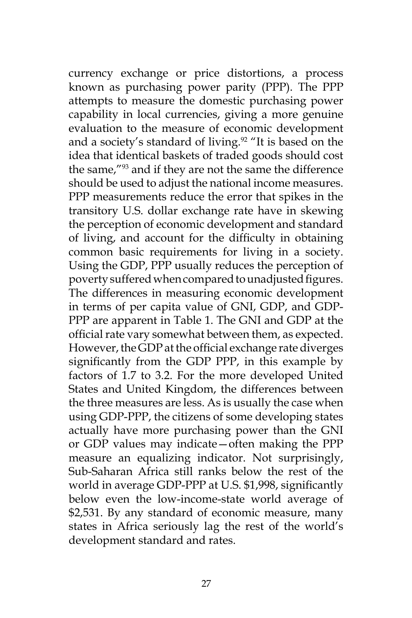currency exchange or price distortions, a process known as purchasing power parity (PPP). The PPP attempts to measure the domestic purchasing power capability in local currencies, giving a more genuine evaluation to the measure of economic development and a society's standard of living.<sup>92</sup> "It is based on the idea that identical baskets of traded goods should cost the same,"93 and if they are not the same the difference should be used to adjust the national income measures. PPP measurements reduce the error that spikes in the transitory U.S. dollar exchange rate have in skewing the perception of economic development and standard of living, and account for the difficulty in obtaining common basic requirements for living in a society. Using the GDP, PPP usually reduces the perception of poverty suffered when compared to unadjusted figures. The differences in measuring economic development in terms of per capita value of GNI, GDP, and GDP-PPP are apparent in Table 1. The GNI and GDP at the official rate vary somewhat between them, as expected. However, the GDP at the official exchange rate diverges significantly from the GDP PPP, in this example by factors of 1.7 to 3.2. For the more developed United States and United Kingdom, the differences between the three measures are less. As is usually the case when using GDP-PPP, the citizens of some developing states actually have more purchasing power than the GNI or GDP values may indicate—often making the PPP measure an equalizing indicator. Not surprisingly, Sub-Saharan Africa still ranks below the rest of the world in average GDP-PPP at U.S. \$1,998, significantly below even the low-income-state world average of \$2,531. By any standard of economic measure, many states in Africa seriously lag the rest of the world's development standard and rates.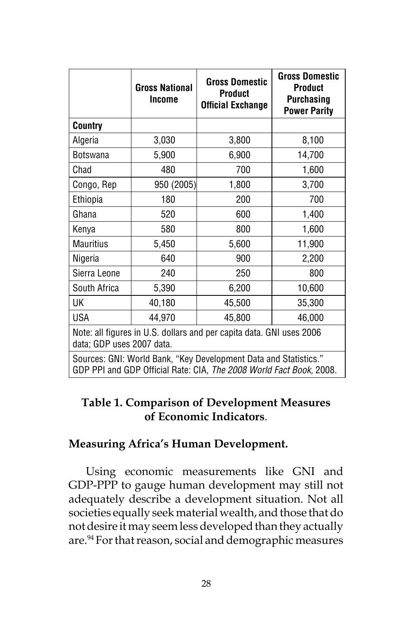|                                                                                                                                         | <b>Gross National</b><br><b>Income</b> | <b>Gross Domestic</b><br><b>Product</b><br><b>Official Exchange</b> | <b>Gross Domestic</b><br><b>Product</b><br><b>Purchasing</b><br><b>Power Parity</b> |  |
|-----------------------------------------------------------------------------------------------------------------------------------------|----------------------------------------|---------------------------------------------------------------------|-------------------------------------------------------------------------------------|--|
| <b>Country</b>                                                                                                                          |                                        |                                                                     |                                                                                     |  |
| Algeria                                                                                                                                 | 3,030                                  | 3,800                                                               | 8,100                                                                               |  |
| <b>Botswana</b>                                                                                                                         | 5,900                                  | 6,900                                                               | 14,700                                                                              |  |
| Chad                                                                                                                                    | 480                                    | 700                                                                 | 1,600                                                                               |  |
| Congo, Rep                                                                                                                              | 950 (2005)                             | 1,800                                                               | 3,700                                                                               |  |
| Ethiopia                                                                                                                                | 180                                    | 200                                                                 | 700                                                                                 |  |
| Ghana                                                                                                                                   | 520                                    | 600                                                                 | 1,400                                                                               |  |
| Kenya                                                                                                                                   | 580                                    | 800                                                                 | 1,600                                                                               |  |
| <b>Mauritius</b>                                                                                                                        | 5,450                                  | 5,600                                                               | 11,900                                                                              |  |
| Nigeria                                                                                                                                 | 640                                    | 900                                                                 | 2,200                                                                               |  |
| Sierra Leone                                                                                                                            | 240                                    | 250                                                                 | 800                                                                                 |  |
| South Africa                                                                                                                            | 5,390                                  | 6,200                                                               | 10,600                                                                              |  |
| UK                                                                                                                                      | 40,180                                 | 45,500                                                              | 35,300                                                                              |  |
| <b>USA</b>                                                                                                                              | 44,970                                 | 45,800                                                              | 46,000                                                                              |  |
| Note: all figures in U.S. dollars and per capita data. GNI uses 2006<br>data; GDP uses 2007 data.                                       |                                        |                                                                     |                                                                                     |  |
| Sources: GNI: World Bank, "Key Development Data and Statistics."<br>GDP PPI and GDP Official Rate: CIA, The 2008 World Fact Book, 2008. |                                        |                                                                     |                                                                                     |  |

# **Table 1. Comparison of Development Measures of Economic Indicators**.

## **Measuring Africa's Human Development.**

Using economic measurements like GNI and GDP-PPP to gauge human development may still not adequately describe a development situation. Not all societies equally seek material wealth, and those that do not desire it may seem less developed than they actually are.<sup>94</sup> For that reason, social and demographic measures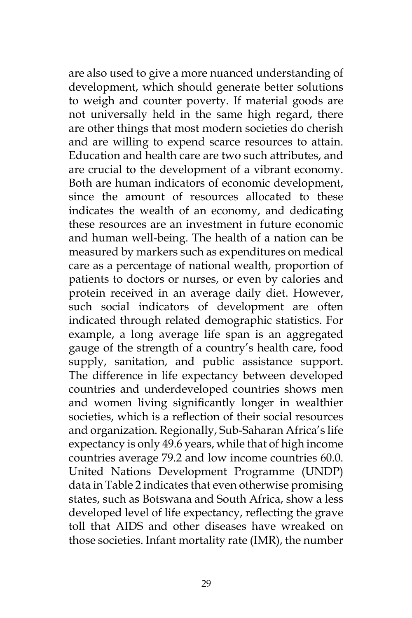are also used to give a more nuanced understanding of development, which should generate better solutions to weigh and counter poverty. If material goods are not universally held in the same high regard, there are other things that most modern societies do cherish and are willing to expend scarce resources to attain. Education and health care are two such attributes, and are crucial to the development of a vibrant economy. Both are human indicators of economic development, since the amount of resources allocated to these indicates the wealth of an economy, and dedicating these resources are an investment in future economic and human well-being. The health of a nation can be measured by markers such as expenditures on medical care as a percentage of national wealth, proportion of patients to doctors or nurses, or even by calories and protein received in an average daily diet. However, such social indicators of development are often indicated through related demographic statistics. For example, a long average life span is an aggregated gauge of the strength of a country's health care, food supply, sanitation, and public assistance support. The difference in life expectancy between developed countries and underdeveloped countries shows men and women living significantly longer in wealthier societies, which is a reflection of their social resources and organization. Regionally, Sub-Saharan Africa's life expectancy is only 49.6 years, while that of high income countries average 79.2 and low income countries 60.0. United Nations Development Programme (UNDP) data in Table 2 indicates that even otherwise promising states, such as Botswana and South Africa, show a less developed level of life expectancy, reflecting the grave toll that AIDS and other diseases have wreaked on those societies. Infant mortality rate (IMR), the number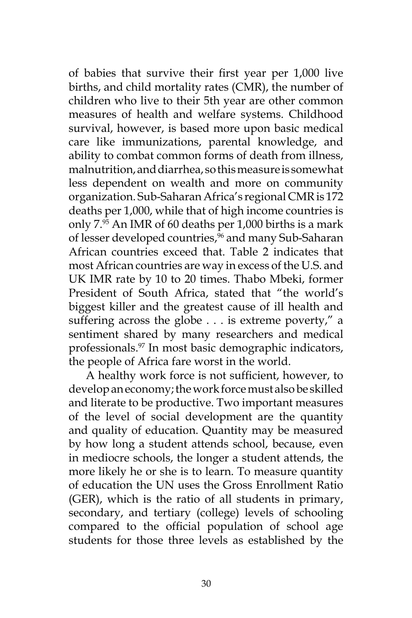of babies that survive their first year per 1,000 live births, and child mortality rates (CMR), the number of children who live to their 5th year are other common measures of health and welfare systems. Childhood survival, however, is based more upon basic medical care like immunizations, parental knowledge, and ability to combat common forms of death from illness, malnutrition, and diarrhea, so this measure is somewhat less dependent on wealth and more on community organization. Sub-Saharan Africa's regional CMR is 172 deaths per 1,000, while that of high income countries is only 7.95 An IMR of 60 deaths per 1,000 births is a mark of lesser developed countries,<sup>96</sup> and many Sub-Saharan African countries exceed that. Table 2 indicates that most African countries are way in excess of the U.S. and UK IMR rate by 10 to 20 times. Thabo Mbeki, former President of South Africa, stated that "the world's biggest killer and the greatest cause of ill health and suffering across the globe . . . is extreme poverty," a sentiment shared by many researchers and medical professionals.<sup>97</sup> In most basic demographic indicators, the people of Africa fare worst in the world.

A healthy work force is not sufficient, however, to develop an economy; the work force must also be skilled and literate to be productive. Two important measures of the level of social development are the quantity and quality of education. Quantity may be measured by how long a student attends school, because, even in mediocre schools, the longer a student attends, the more likely he or she is to learn. To measure quantity of education the UN uses the Gross Enrollment Ratio (GER), which is the ratio of all students in primary, secondary, and tertiary (college) levels of schooling compared to the official population of school age students for those three levels as established by the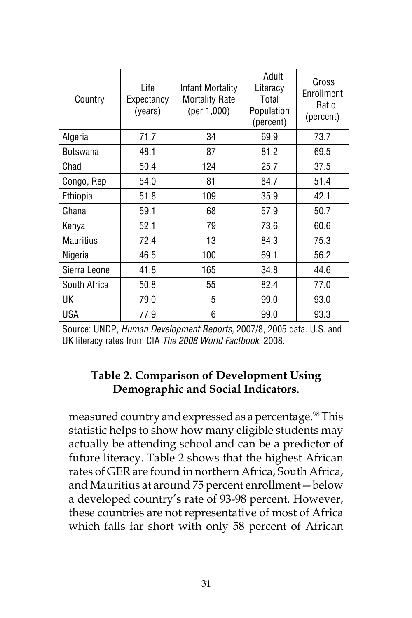| Country                                                              | Life<br>Expectancy<br>(years) | Infant Mortality<br><b>Mortality Rate</b><br>(per 1,000) | Adult<br>Literacy<br>Total<br>Population<br>(percent) | Gross<br>Enrollment<br>Ratio<br>(percent) |
|----------------------------------------------------------------------|-------------------------------|----------------------------------------------------------|-------------------------------------------------------|-------------------------------------------|
| Algeria                                                              | 71.7                          | 34                                                       | 69.9                                                  | 73.7                                      |
| Botswana                                                             | 48.1                          | 87                                                       | 81.2                                                  | 69.5                                      |
| Chad                                                                 | 50.4                          | 124                                                      | 25.7                                                  | 37.5                                      |
| Congo, Rep                                                           | 54.0                          | 81                                                       | 84.7                                                  | 51.4                                      |
| Ethiopia                                                             | 51.8                          | 109                                                      | 35.9                                                  | 42.1                                      |
| Ghana                                                                | 59.1                          | 68                                                       | 57.9                                                  | 50.7                                      |
| Kenya                                                                | 52.1                          | 79                                                       | 73.6                                                  | 60.6                                      |
| <b>Mauritius</b>                                                     | 72.4                          | 13                                                       | 84.3                                                  | 75.3                                      |
| Nigeria                                                              | 46.5                          | 100                                                      | 69.1                                                  | 56.2                                      |
| Sierra Leone                                                         | 41.8                          | 165                                                      | 34.8                                                  | 44.6                                      |
| South Africa                                                         | 50.8                          | 55                                                       | 82.4                                                  | 77.0                                      |
| UK                                                                   | 79.0                          | 5                                                        | 99.0                                                  | 93.0                                      |
| USA                                                                  | 77.9                          | 6                                                        | 99.0                                                  | 93.3                                      |
| Source: UNDP, Human Development Reports, 2007/8, 2005 data. U.S. and |                               |                                                          |                                                       |                                           |

UK literacy rates from CIA The 2008 World Factbook, 2008.

## **Table 2. Comparison of Development Using Demographic and Social Indicators**.

measured country and expressed as a percentage.<sup>98</sup> This statistic helps to show how many eligible students may actually be attending school and can be a predictor of future literacy. Table 2 shows that the highest African rates of GER are found in northern Africa, South Africa, and Mauritius at around 75 percent enrollment—below a developed country's rate of 93-98 percent. However, these countries are not representative of most of Africa which falls far short with only 58 percent of African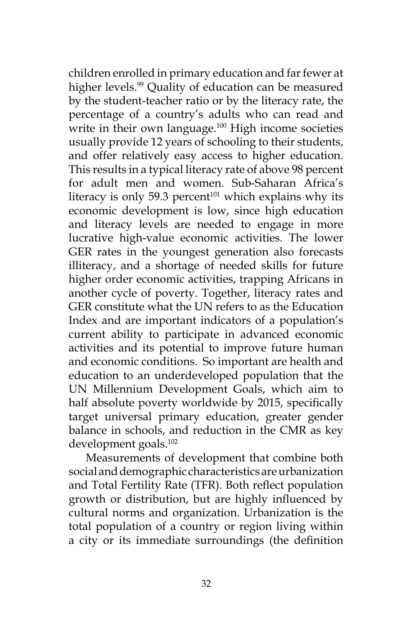children enrolled in primary education and far fewer at higher levels.<sup>99</sup> Quality of education can be measured by the student-teacher ratio or by the literacy rate, the percentage of a country's adults who can read and write in their own language.<sup>100</sup> High income societies usually provide 12 years of schooling to their students, and offer relatively easy access to higher education. This results in a typical literacy rate of above 98 percent for adult men and women. Sub-Saharan Africa's literacy is only 59.3 percent<sup>101</sup> which explains why its economic development is low, since high education and literacy levels are needed to engage in more lucrative high-value economic activities. The lower GER rates in the youngest generation also forecasts illiteracy, and a shortage of needed skills for future higher order economic activities, trapping Africans in another cycle of poverty. Together, literacy rates and GER constitute what the UN refers to as the Education Index and are important indicators of a population's current ability to participate in advanced economic activities and its potential to improve future human and economic conditions. So important are health and education to an underdeveloped population that the UN Millennium Development Goals, which aim to half absolute poverty worldwide by 2015, specifically target universal primary education, greater gender balance in schools, and reduction in the CMR as key development goals.102

Measurements of development that combine both social and demographic characteristics are urbanization and Total Fertility Rate (TFR). Both reflect population growth or distribution, but are highly influenced by cultural norms and organization. Urbanization is the total population of a country or region living within a city or its immediate surroundings (the definition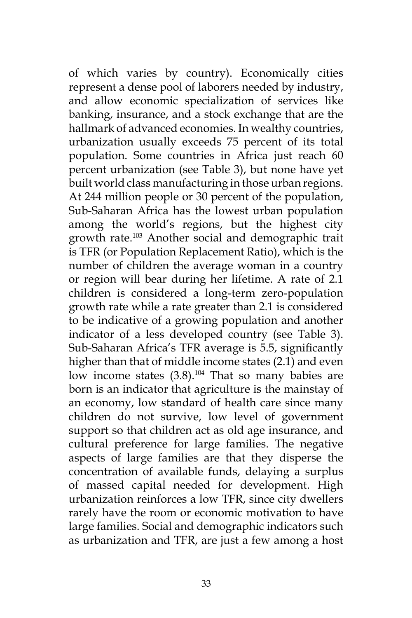of which varies by country). Economically cities represent a dense pool of laborers needed by industry, and allow economic specialization of services like banking, insurance, and a stock exchange that are the hallmark of advanced economies. In wealthy countries, urbanization usually exceeds 75 percent of its total population. Some countries in Africa just reach 60 percent urbanization (see Table 3), but none have yet built world class manufacturing in those urban regions. At 244 million people or 30 percent of the population, Sub-Saharan Africa has the lowest urban population among the world's regions, but the highest city growth rate.103 Another social and demographic trait is TFR (or Population Replacement Ratio), which is the number of children the average woman in a country or region will bear during her lifetime. A rate of 2.1 children is considered a long-term zero-population growth rate while a rate greater than 2.1 is considered to be indicative of a growing population and another indicator of a less developed country (see Table 3). Sub-Saharan Africa's TFR average is 5.5, significantly higher than that of middle income states (2.1) and even low income states  $(3.8)$ .<sup>104</sup> That so many babies are born is an indicator that agriculture is the mainstay of an economy, low standard of health care since many children do not survive, low level of government support so that children act as old age insurance, and cultural preference for large families. The negative aspects of large families are that they disperse the concentration of available funds, delaying a surplus of massed capital needed for development. High urbanization reinforces a low TFR, since city dwellers rarely have the room or economic motivation to have large families. Social and demographic indicators such as urbanization and TFR, are just a few among a host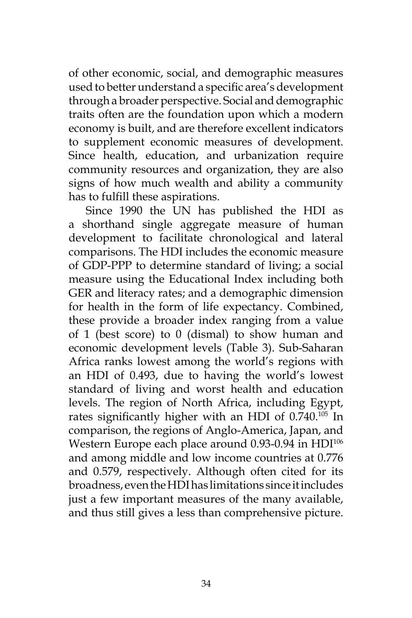of other economic, social, and demographic measures used to better understand a specific area's development through a broader perspective. Social and demographic traits often are the foundation upon which a modern economy is built, and are therefore excellent indicators to supplement economic measures of development. Since health, education, and urbanization require community resources and organization, they are also signs of how much wealth and ability a community has to fulfill these aspirations.

Since 1990 the UN has published the HDI as a shorthand single aggregate measure of human development to facilitate chronological and lateral comparisons. The HDI includes the economic measure of GDP-PPP to determine standard of living; a social measure using the Educational Index including both GER and literacy rates; and a demographic dimension for health in the form of life expectancy. Combined, these provide a broader index ranging from a value of 1 (best score) to 0 (dismal) to show human and economic development levels (Table 3). Sub-Saharan Africa ranks lowest among the world's regions with an HDI of 0.493, due to having the world's lowest standard of living and worst health and education levels. The region of North Africa, including Egypt, rates significantly higher with an HDI of 0.740.105 In comparison, the regions of Anglo-America, Japan, and Western Europe each place around 0.93-0.94 in HDI<sup>106</sup> and among middle and low income countries at 0.776 and 0.579, respectively. Although often cited for its broadness, even the HDI has limitations since it includes just a few important measures of the many available, and thus still gives a less than comprehensive picture.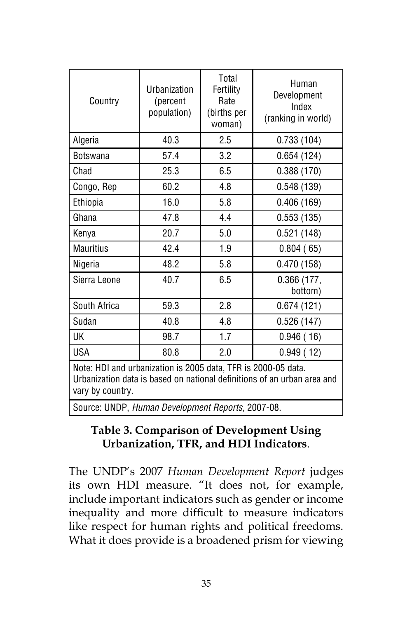| Country                                                                                                                                                      | Urbanization<br>(percent<br>population) | Total<br>Fertility<br>Rate<br>(births per<br>woman) | Human<br>Development<br>Index<br>(ranking in world) |
|--------------------------------------------------------------------------------------------------------------------------------------------------------------|-----------------------------------------|-----------------------------------------------------|-----------------------------------------------------|
| Algeria                                                                                                                                                      | 40.3                                    | 2.5                                                 | 0.733(104)                                          |
| <b>Botswana</b>                                                                                                                                              | 57.4                                    | 3.2                                                 | 0.654(124)                                          |
| Chad                                                                                                                                                         | 25.3                                    | 6.5                                                 | 0.388(170)                                          |
| Congo, Rep                                                                                                                                                   | 60.2                                    | 4.8                                                 | 0.548(139)                                          |
| Ethiopia                                                                                                                                                     | 16.0                                    | 5.8                                                 | 0.406(169)                                          |
| Ghana                                                                                                                                                        | 47.8                                    | 4.4                                                 | 0.553(135)                                          |
| Kenya                                                                                                                                                        | 20.7                                    | 5.0                                                 | 0.521(148)                                          |
| <b>Mauritius</b>                                                                                                                                             | 42.4                                    | 1.9                                                 | 0.804(65)                                           |
| Nigeria                                                                                                                                                      | 48.2                                    | 5.8                                                 | 0.470(158)                                          |
| Sierra Leone                                                                                                                                                 | 40.7                                    | 6.5                                                 | 0.366 (177,<br>bottom)                              |
| South Africa                                                                                                                                                 | 59.3                                    | 2.8                                                 | 0.674(121)                                          |
| Sudan                                                                                                                                                        | 40.8                                    | 4.8                                                 | 0.526(147)                                          |
| UK                                                                                                                                                           | 98.7                                    | 1.7                                                 | 0.946(16)                                           |
| <b>USA</b>                                                                                                                                                   | 80.8                                    | 2.0                                                 | 0.949(12)                                           |
| Note: HDI and urbanization is 2005 data, TFR is 2000-05 data.<br>Urbanization data is based on national definitions of an urban area and<br>vary by country. |                                         |                                                     |                                                     |

Source: UNDP, Human Development Reports, 2007-08.

## **Table 3. Comparison of Development Using Urbanization, TFR, and HDI Indicators**.

The UNDP's 2007 *Human Development Report* judges its own HDI measure. "It does not, for example, include important indicators such as gender or income inequality and more difficult to measure indicators like respect for human rights and political freedoms. What it does provide is a broadened prism for viewing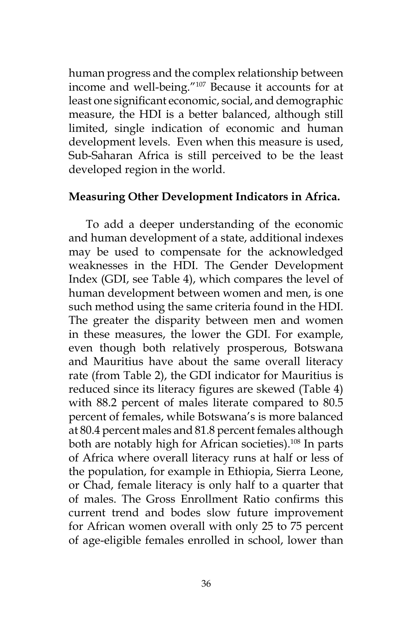human progress and the complex relationship between income and well-being."107 Because it accounts for at least one significant economic, social, and demographic measure, the HDI is a better balanced, although still limited, single indication of economic and human development levels. Even when this measure is used, Sub-Saharan Africa is still perceived to be the least developed region in the world.

#### **Measuring Other Development Indicators in Africa.**

To add a deeper understanding of the economic and human development of a state, additional indexes may be used to compensate for the acknowledged weaknesses in the HDI. The Gender Development Index (GDI, see Table 4), which compares the level of human development between women and men, is one such method using the same criteria found in the HDI. The greater the disparity between men and women in these measures, the lower the GDI. For example, even though both relatively prosperous, Botswana and Mauritius have about the same overall literacy rate (from Table 2), the GDI indicator for Mauritius is reduced since its literacy figures are skewed (Table 4) with 88.2 percent of males literate compared to 80.5 percent of females, while Botswana's is more balanced at 80.4 percent males and 81.8 percent females although both are notably high for African societies).<sup>108</sup> In parts of Africa where overall literacy runs at half or less of the population, for example in Ethiopia, Sierra Leone, or Chad, female literacy is only half to a quarter that of males. The Gross Enrollment Ratio confirms this current trend and bodes slow future improvement for African women overall with only 25 to 75 percent of age-eligible females enrolled in school, lower than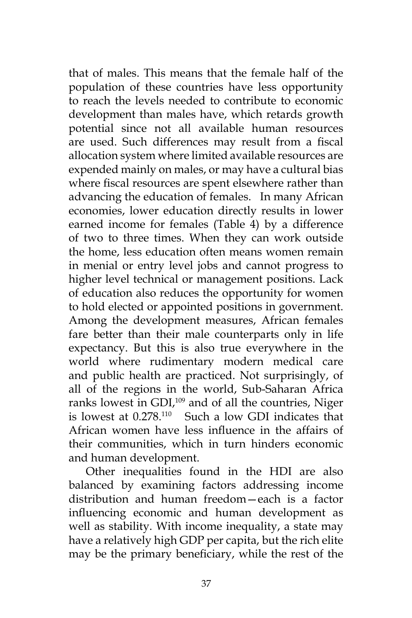that of males. This means that the female half of the population of these countries have less opportunity to reach the levels needed to contribute to economic development than males have, which retards growth potential since not all available human resources are used. Such differences may result from a fiscal allocation system where limited available resources are expended mainly on males, or may have a cultural bias where fiscal resources are spent elsewhere rather than advancing the education of females. In many African economies, lower education directly results in lower earned income for females (Table 4) by a difference of two to three times. When they can work outside the home, less education often means women remain in menial or entry level jobs and cannot progress to higher level technical or management positions. Lack of education also reduces the opportunity for women to hold elected or appointed positions in government. Among the development measures, African females fare better than their male counterparts only in life expectancy. But this is also true everywhere in the world where rudimentary modern medical care and public health are practiced. Not surprisingly, of all of the regions in the world, Sub-Saharan Africa ranks lowest in GDI,<sup>109</sup> and of all the countries, Niger is lowest at 0.278.110 Such a low GDI indicates that African women have less influence in the affairs of their communities, which in turn hinders economic and human development.

Other inequalities found in the HDI are also balanced by examining factors addressing income distribution and human freedom—each is a factor influencing economic and human development as well as stability. With income inequality, a state may have a relatively high GDP per capita, but the rich elite may be the primary beneficiary, while the rest of the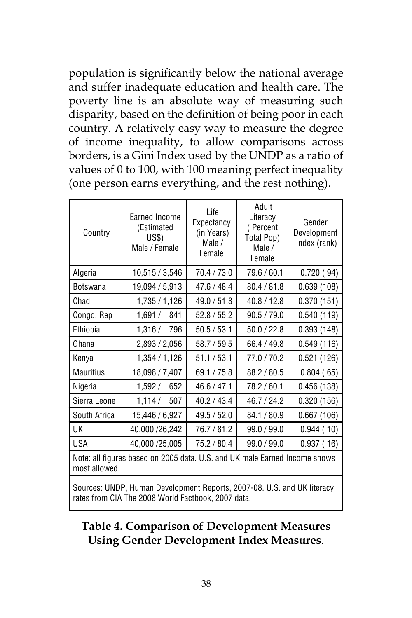population is significantly below the national average and suffer inadequate education and health care. The poverty line is an absolute way of measuring such disparity, based on the definition of being poor in each country. A relatively easy way to measure the degree of income inequality, to allow comparisons across borders, is a Gini Index used by the UNDP as a ratio of values of 0 to 100, with 100 meaning perfect inequality (one person earns everything, and the rest nothing).

| Country                                                                                     | Earned Income<br>(Estimated<br><b>US\$)</b><br>Male / Female | Life<br>Expectancy<br>(in Years)<br>Male /<br>Female | Adult<br>Literacy<br>(Percent<br>Total Pop)<br>Male /<br>Female | Gender<br>Development<br>Index (rank) |
|---------------------------------------------------------------------------------------------|--------------------------------------------------------------|------------------------------------------------------|-----------------------------------------------------------------|---------------------------------------|
| Algeria                                                                                     | 10,515 / 3,546                                               | 70.4 / 73.0                                          | 79.6 / 60.1                                                     | 0.720(94)                             |
| <b>Botswana</b>                                                                             | 19,094 / 5,913                                               | 47.6 / 48.4                                          | 80.4 / 81.8                                                     | 0.639(108)                            |
| Chad                                                                                        | 1,735 / 1,126                                                | 49.0/51.8                                            | 40.8 / 12.8                                                     | 0.370(151)                            |
| Congo, Rep                                                                                  | 1,691 / 841                                                  | 52.8 / 55.2                                          | 90.5 / 79.0                                                     | 0.540(119)                            |
| Ethiopia                                                                                    | 1,316 / 796                                                  | 50.5 / 53.1                                          | 50.0 / 22.8                                                     | 0.393(148)                            |
| Ghana                                                                                       | 2,893 / 2,056                                                | 58.7/59.5                                            | 66.4 / 49.8                                                     | 0.549(116)                            |
| Kenya                                                                                       | 1,354 / 1,126                                                | 51.1 / 53.1                                          | 77.0/70.2                                                       | 0.521(126)                            |
| <b>Mauritius</b>                                                                            | 18,098 / 7,407                                               | 69.1/75.8                                            | 88.2 / 80.5                                                     | 0.804(65)                             |
| Nigeria                                                                                     | 1,592 / 652                                                  | 46.6 / 47.1                                          | 78.2 / 60.1                                                     | 0.456(138)                            |
| Sierra Leone                                                                                | 1,114/507                                                    | 40.2 / 43.4                                          | 46.7 / 24.2                                                     | 0.320(156)                            |
| South Africa                                                                                | 15,446 / 6,927                                               | 49.5 / 52.0                                          | 84.1 / 80.9                                                     | 0.667(106)                            |
| UK                                                                                          | 40,000 /26,242                                               | 76.7 / 81.2                                          | 99.0 / 99.0                                                     | 0.944(10)                             |
| <b>USA</b>                                                                                  | 40,000 /25,005                                               | 75.2 / 80.4                                          | 99.0 / 99.0                                                     | 0.937(16)                             |
| Note: all figures based on 2005 data. U.S. and UK male Earned Income shows<br>most allowed. |                                                              |                                                      |                                                                 |                                       |
| Courses UNDD, Human Davelopment Departs, 2007.00, U.C. and UK litersey                      |                                                              |                                                      |                                                                 |                                       |

Sources: UNDP, Human Development Reports, 2007-08. U.S. and UK literacy rates from CIA The 2008 World Factbook, 2007 data.

# **Table 4. Comparison of Development Measures Using Gender Development Index Measures**.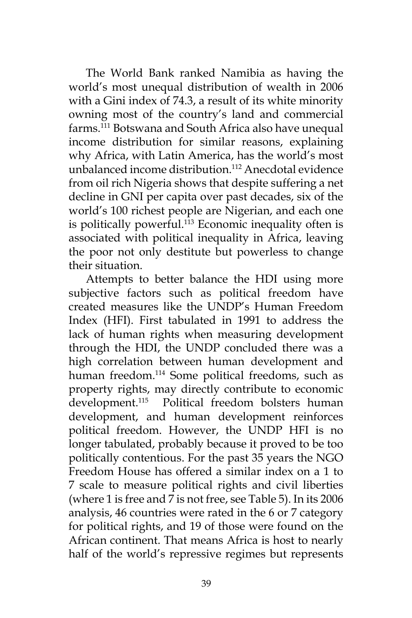The World Bank ranked Namibia as having the world's most unequal distribution of wealth in 2006 with a Gini index of 74.3, a result of its white minority owning most of the country's land and commercial farms.111 Botswana and South Africa also have unequal income distribution for similar reasons, explaining why Africa, with Latin America, has the world's most unbalanced income distribution.112 Anecdotal evidence from oil rich Nigeria shows that despite suffering a net decline in GNI per capita over past decades, six of the world's 100 richest people are Nigerian, and each one is politically powerful.<sup>113</sup> Economic inequality often is associated with political inequality in Africa, leaving the poor not only destitute but powerless to change their situation.

Attempts to better balance the HDI using more subjective factors such as political freedom have created measures like the UNDP's Human Freedom Index (HFI). First tabulated in 1991 to address the lack of human rights when measuring development through the HDI, the UNDP concluded there was a high correlation between human development and human freedom.<sup>114</sup> Some political freedoms, such as property rights, may directly contribute to economic development.115 Political freedom bolsters human development, and human development reinforces political freedom. However, the UNDP HFI is no longer tabulated, probably because it proved to be too politically contentious. For the past 35 years the NGO Freedom House has offered a similar index on a 1 to 7 scale to measure political rights and civil liberties (where 1 is free and 7 is not free, see Table 5). In its 2006 analysis, 46 countries were rated in the 6 or 7 category for political rights, and 19 of those were found on the African continent. That means Africa is host to nearly half of the world's repressive regimes but represents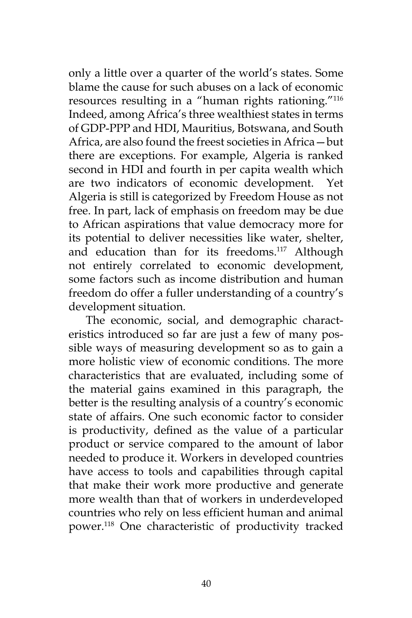only a little over a quarter of the world's states. Some blame the cause for such abuses on a lack of economic resources resulting in a "human rights rationing."116 Indeed, among Africa's three wealthiest states in terms of GDP-PPP and HDI, Mauritius, Botswana, and South Africa, are also found the freest societies in Africa—but there are exceptions. For example, Algeria is ranked second in HDI and fourth in per capita wealth which are two indicators of economic development. Yet Algeria is still is categorized by Freedom House as not free. In part, lack of emphasis on freedom may be due to African aspirations that value democracy more for its potential to deliver necessities like water, shelter, and education than for its freedoms.<sup>117</sup> Although not entirely correlated to economic development, some factors such as income distribution and human freedom do offer a fuller understanding of a country's development situation.

The economic, social, and demographic characteristics introduced so far are just a few of many possible ways of measuring development so as to gain a more holistic view of economic conditions. The more characteristics that are evaluated, including some of the material gains examined in this paragraph, the better is the resulting analysis of a country's economic state of affairs. One such economic factor to consider is productivity, defined as the value of a particular product or service compared to the amount of labor needed to produce it. Workers in developed countries have access to tools and capabilities through capital that make their work more productive and generate more wealth than that of workers in underdeveloped countries who rely on less efficient human and animal power.118 One characteristic of productivity tracked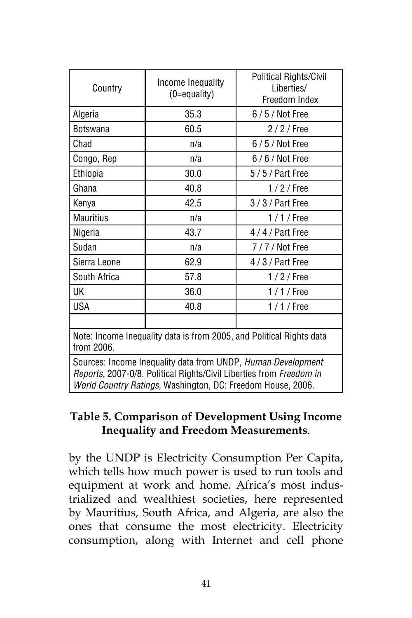| Country                                                                                                                                                                                            | Income Inequality<br>(0=equality) | Political Rights/Civil<br>Liberties/<br>Freedom Index |  |  |  |
|----------------------------------------------------------------------------------------------------------------------------------------------------------------------------------------------------|-----------------------------------|-------------------------------------------------------|--|--|--|
| Algeria                                                                                                                                                                                            | 35.3                              | $6/5/$ Not Free                                       |  |  |  |
| <b>Botswana</b>                                                                                                                                                                                    | 60.5                              | $2/2/$ Free                                           |  |  |  |
| Chad                                                                                                                                                                                               | n/a                               | $6/5/$ Not Free                                       |  |  |  |
| Congo, Rep                                                                                                                                                                                         | n/a                               | $6/6/$ Not Free                                       |  |  |  |
| Ethiopia                                                                                                                                                                                           | 30.0                              | $5/5/$ Part Free                                      |  |  |  |
| Ghana                                                                                                                                                                                              | 40.8                              | $1/2$ / Free                                          |  |  |  |
| Kenya                                                                                                                                                                                              | 42.5                              | $3/3/$ Part Free                                      |  |  |  |
| <b>Mauritius</b>                                                                                                                                                                                   | n/a                               | $1/1/$ Free                                           |  |  |  |
| Nigeria                                                                                                                                                                                            | 43.7                              | 4/4/Part Free                                         |  |  |  |
| Sudan                                                                                                                                                                                              | n/a                               | 7/7/Not Free                                          |  |  |  |
| Sierra Leone                                                                                                                                                                                       | 62.9                              | 4/3/Part Free                                         |  |  |  |
| South Africa                                                                                                                                                                                       | 57.8                              | $1/2$ / Free                                          |  |  |  |
| UK                                                                                                                                                                                                 | 36.0                              | $1/1$ / Free                                          |  |  |  |
| <b>USA</b>                                                                                                                                                                                         | 40.8                              | $1/1$ / Free                                          |  |  |  |
|                                                                                                                                                                                                    |                                   |                                                       |  |  |  |
| Note: Income Inequality data is from 2005, and Political Rights data<br>from 2006.                                                                                                                 |                                   |                                                       |  |  |  |
| Sources: Income Inequality data from UNDP, Human Development<br>Reports, 2007-0/8. Political Rights/Civil Liberties from Freedom in<br>World Country Ratings, Washington, DC: Freedom House, 2006. |                                   |                                                       |  |  |  |

### **Table 5. Comparison of Development Using Income Inequality and Freedom Measurements**.

by the UNDP is Electricity Consumption Per Capita, which tells how much power is used to run tools and equipment at work and home. Africa's most industrialized and wealthiest societies, here represented by Mauritius, South Africa, and Algeria, are also the ones that consume the most electricity. Electricity consumption, along with Internet and cell phone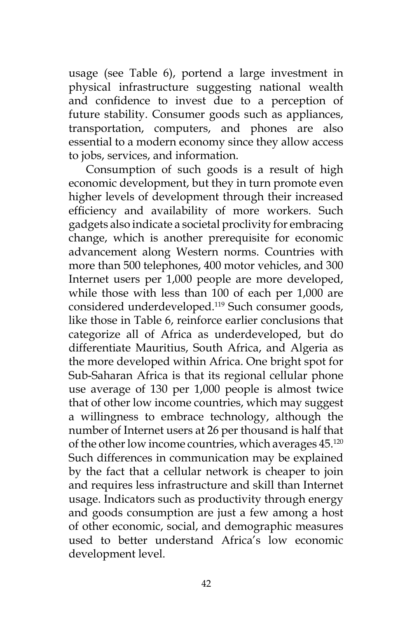usage (see Table 6), portend a large investment in physical infrastructure suggesting national wealth and confidence to invest due to a perception of future stability. Consumer goods such as appliances, transportation, computers, and phones are also essential to a modern economy since they allow access to jobs, services, and information.

Consumption of such goods is a result of high economic development, but they in turn promote even higher levels of development through their increased efficiency and availability of more workers. Such gadgets also indicate a societal proclivity for embracing change, which is another prerequisite for economic advancement along Western norms. Countries with more than 500 telephones, 400 motor vehicles, and 300 Internet users per 1,000 people are more developed, while those with less than 100 of each per 1,000 are considered underdeveloped.119 Such consumer goods, like those in Table 6, reinforce earlier conclusions that categorize all of Africa as underdeveloped, but do differentiate Mauritius, South Africa, and Algeria as the more developed within Africa. One bright spot for Sub-Saharan Africa is that its regional cellular phone use average of 130 per 1,000 people is almost twice that of other low income countries, which may suggest a willingness to embrace technology, although the number of Internet users at 26 per thousand is half that of the other low income countries, which averages 45.<sup>120</sup> Such differences in communication may be explained by the fact that a cellular network is cheaper to join and requires less infrastructure and skill than Internet usage. Indicators such as productivity through energy and goods consumption are just a few among a host of other economic, social, and demographic measures used to better understand Africa's low economic development level.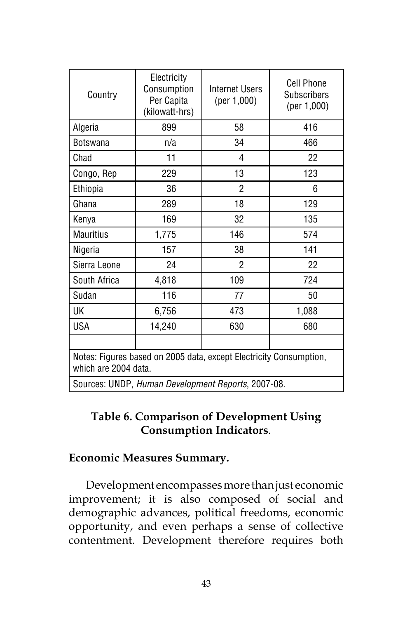| Country                                                                                    | Electricity<br>Consumption<br>Per Capita<br>(kilowatt-hrs) | <b>Internet Users</b><br>(per 1,000) | Cell Phone<br><b>Subscribers</b><br>(per 1,000) |  |  |  |
|--------------------------------------------------------------------------------------------|------------------------------------------------------------|--------------------------------------|-------------------------------------------------|--|--|--|
| Algeria                                                                                    | 899                                                        | 58                                   | 416                                             |  |  |  |
| <b>Botswana</b>                                                                            | n/a                                                        | 34                                   | 466                                             |  |  |  |
| Chad                                                                                       | 11                                                         | 4                                    | 22                                              |  |  |  |
| Congo, Rep                                                                                 | 229                                                        | 13                                   | 123                                             |  |  |  |
| Ethiopia                                                                                   | 36                                                         | $\overline{2}$                       | 6                                               |  |  |  |
| Ghana                                                                                      | 289                                                        | 18                                   | 129                                             |  |  |  |
| Kenya                                                                                      | 169                                                        | 32                                   | 135                                             |  |  |  |
| <b>Mauritius</b>                                                                           | 1,775                                                      | 146                                  | 574                                             |  |  |  |
| Nigeria                                                                                    | 157                                                        | 38                                   | 141                                             |  |  |  |
| Sierra Leone                                                                               | 24                                                         | $\overline{2}$                       | 22                                              |  |  |  |
| South Africa                                                                               | 4,818                                                      | 109                                  | 724                                             |  |  |  |
| Sudan                                                                                      | 116                                                        | 77                                   | 50                                              |  |  |  |
| UK                                                                                         | 6,756                                                      | 473                                  | 1,088                                           |  |  |  |
| <b>USA</b>                                                                                 | 14,240                                                     | 630                                  | 680                                             |  |  |  |
|                                                                                            |                                                            |                                      |                                                 |  |  |  |
| Notes: Figures based on 2005 data, except Electricity Consumption,<br>which are 2004 data. |                                                            |                                      |                                                 |  |  |  |
| Sources: UNDP, Human Development Reports, 2007-08.                                         |                                                            |                                      |                                                 |  |  |  |

### **Table 6. Comparison of Development Using Consumption Indicators**.

### **Economic Measures Summary.**

Development encompasses more than just economic improvement; it is also composed of social and demographic advances, political freedoms, economic opportunity, and even perhaps a sense of collective contentment. Development therefore requires both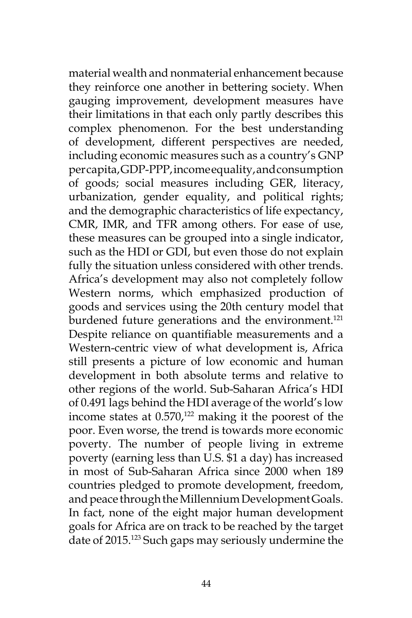material wealth and nonmaterial enhancement because they reinforce one another in bettering society. When gauging improvement, development measures have their limitations in that each only partly describes this complex phenomenon. For the best understanding of development, different perspectives are needed, including economic measures such as a country's GNP per capita, GDP-PPP, income equality, and consumption of goods; social measures including GER, literacy, urbanization, gender equality, and political rights; and the demographic characteristics of life expectancy, CMR, IMR, and TFR among others. For ease of use, these measures can be grouped into a single indicator, such as the HDI or GDI, but even those do not explain fully the situation unless considered with other trends. Africa's development may also not completely follow Western norms, which emphasized production of goods and services using the 20th century model that burdened future generations and the environment.<sup>121</sup> Despite reliance on quantifiable measurements and a Western-centric view of what development is, Africa still presents a picture of low economic and human development in both absolute terms and relative to other regions of the world. Sub-Saharan Africa's HDI of 0.491 lags behind the HDI average of the world's low income states at  $0.570<sub>122</sub>$  making it the poorest of the poor. Even worse, the trend is towards more economic poverty. The number of people living in extreme poverty (earning less than U.S. \$1 a day) has increased in most of Sub-Saharan Africa since 2000 when 189 countries pledged to promote development, freedom, and peace through the Millennium Development Goals. In fact, none of the eight major human development goals for Africa are on track to be reached by the target date of 2015.<sup>123</sup> Such gaps may seriously undermine the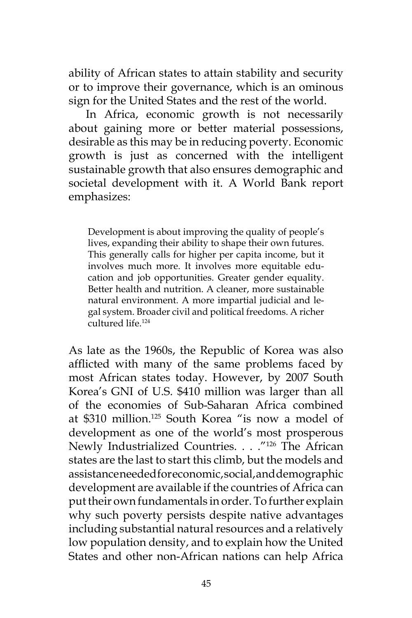ability of African states to attain stability and security or to improve their governance, which is an ominous sign for the United States and the rest of the world.

In Africa, economic growth is not necessarily about gaining more or better material possessions, desirable as this may be in reducing poverty. Economic growth is just as concerned with the intelligent sustainable growth that also ensures demographic and societal development with it. A World Bank report emphasizes:

Development is about improving the quality of people's lives, expanding their ability to shape their own futures. This generally calls for higher per capita income, but it involves much more. It involves more equitable education and job opportunities. Greater gender equality. Better health and nutrition. A cleaner, more sustainable natural environment. A more impartial judicial and legal system. Broader civil and political freedoms. A richer cultured life<sup>124</sup>

As late as the 1960s, the Republic of Korea was also afflicted with many of the same problems faced by most African states today. However, by 2007 South Korea's GNI of U.S. \$410 million was larger than all of the economies of Sub-Saharan Africa combined at \$310 million.125 South Korea "is now a model of development as one of the world's most prosperous Newly Industrialized Countries. . . ."126 The African states are the last to start this climb, but the models and assistance needed for economic, social, and demographic development are available if the countries of Africa can put their own fundamentals in order. To further explain why such poverty persists despite native advantages including substantial natural resources and a relatively low population density, and to explain how the United States and other non-African nations can help Africa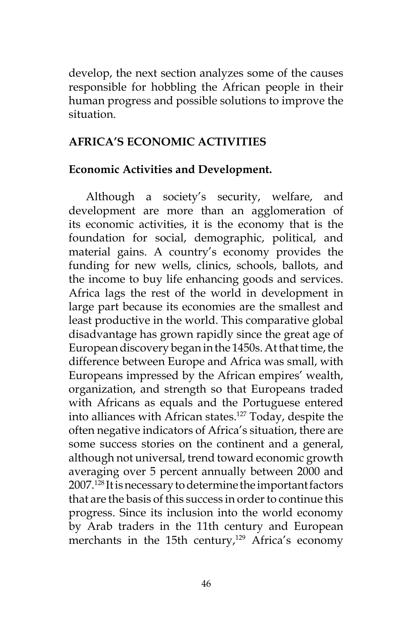develop, the next section analyzes some of the causes responsible for hobbling the African people in their human progress and possible solutions to improve the situation.

### **AFRICA'S ECONOMIC ACTIVITIES**

#### **Economic Activities and Development.**

Although a society's security, welfare, and development are more than an agglomeration of its economic activities, it is the economy that is the foundation for social, demographic, political, and material gains. A country's economy provides the funding for new wells, clinics, schools, ballots, and the income to buy life enhancing goods and services. Africa lags the rest of the world in development in large part because its economies are the smallest and least productive in the world. This comparative global disadvantage has grown rapidly since the great age of European discovery began in the 1450s. At that time, the difference between Europe and Africa was small, with Europeans impressed by the African empires' wealth, organization, and strength so that Europeans traded with Africans as equals and the Portuguese entered into alliances with African states.<sup>127</sup> Today, despite the often negative indicators of Africa's situation, there are some success stories on the continent and a general, although not universal, trend toward economic growth averaging over 5 percent annually between 2000 and 2007.128 It is necessary to determine the important factors that are the basis of this success in order to continue this progress. Since its inclusion into the world economy by Arab traders in the 11th century and European merchants in the 15th century, $129$  Africa's economy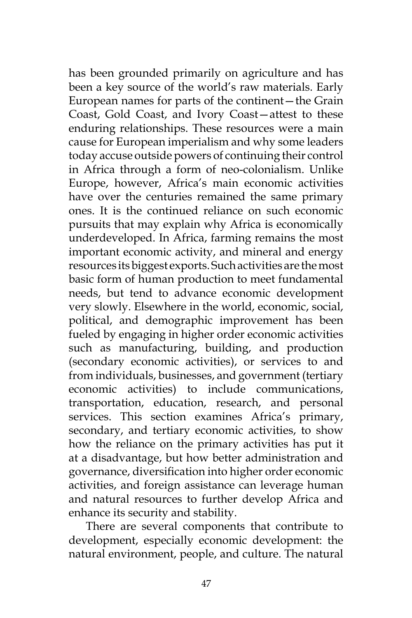has been grounded primarily on agriculture and has been a key source of the world's raw materials. Early European names for parts of the continent—the Grain Coast, Gold Coast, and Ivory Coast—attest to these enduring relationships. These resources were a main cause for European imperialism and why some leaders today accuse outside powers of continuing their control in Africa through a form of neo-colonialism. Unlike Europe, however, Africa's main economic activities have over the centuries remained the same primary ones. It is the continued reliance on such economic pursuits that may explain why Africa is economically underdeveloped. In Africa, farming remains the most important economic activity, and mineral and energy resources its biggest exports. Such activities are the most basic form of human production to meet fundamental needs, but tend to advance economic development very slowly. Elsewhere in the world, economic, social, political, and demographic improvement has been fueled by engaging in higher order economic activities such as manufacturing, building, and production (secondary economic activities), or services to and from individuals, businesses, and government (tertiary economic activities) to include communications, transportation, education, research, and personal services. This section examines Africa's primary, secondary, and tertiary economic activities, to show how the reliance on the primary activities has put it at a disadvantage, but how better administration and governance, diversification into higher order economic activities, and foreign assistance can leverage human and natural resources to further develop Africa and enhance its security and stability.

There are several components that contribute to development, especially economic development: the natural environment, people, and culture. The natural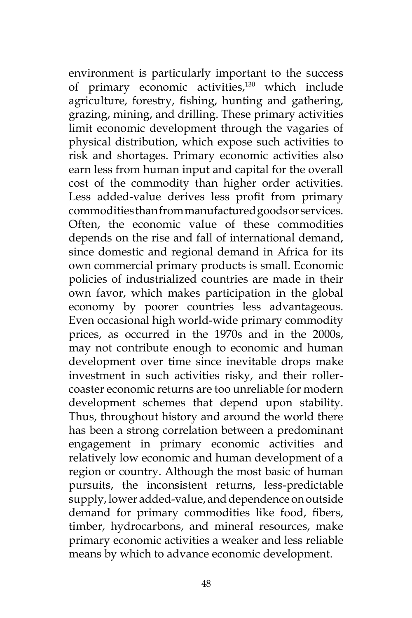environment is particularly important to the success of primary economic activities,<sup>130</sup> which include agriculture, forestry, fishing, hunting and gathering, grazing, mining, and drilling. These primary activities limit economic development through the vagaries of physical distribution, which expose such activities to risk and shortages. Primary economic activities also earn less from human input and capital for the overall cost of the commodity than higher order activities. Less added-value derives less profit from primary commodities than from manufactured goods or services. Often, the economic value of these commodities depends on the rise and fall of international demand, since domestic and regional demand in Africa for its own commercial primary products is small. Economic policies of industrialized countries are made in their own favor, which makes participation in the global economy by poorer countries less advantageous. Even occasional high world-wide primary commodity prices, as occurred in the 1970s and in the 2000s, may not contribute enough to economic and human development over time since inevitable drops make investment in such activities risky, and their rollercoaster economic returns are too unreliable for modern development schemes that depend upon stability. Thus, throughout history and around the world there has been a strong correlation between a predominant engagement in primary economic activities and relatively low economic and human development of a region or country. Although the most basic of human pursuits, the inconsistent returns, less-predictable supply, lower added-value, and dependence on outside demand for primary commodities like food, fibers, timber, hydrocarbons, and mineral resources, make primary economic activities a weaker and less reliable means by which to advance economic development.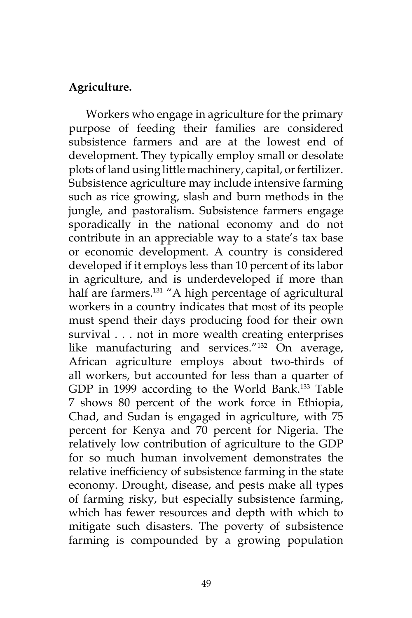#### **Agriculture.**

Workers who engage in agriculture for the primary purpose of feeding their families are considered subsistence farmers and are at the lowest end of development. They typically employ small or desolate plots of land using little machinery, capital, or fertilizer. Subsistence agriculture may include intensive farming such as rice growing, slash and burn methods in the jungle, and pastoralism. Subsistence farmers engage sporadically in the national economy and do not contribute in an appreciable way to a state's tax base or economic development. A country is considered developed if it employs less than 10 percent of its labor in agriculture, and is underdeveloped if more than half are farmers.<sup>131</sup> "A high percentage of agricultural workers in a country indicates that most of its people must spend their days producing food for their own survival . . . not in more wealth creating enterprises like manufacturing and services."<sup>132</sup> On average, African agriculture employs about two-thirds of all workers, but accounted for less than a quarter of GDP in 1999 according to the World Bank.<sup>133</sup> Table 7 shows 80 percent of the work force in Ethiopia, Chad, and Sudan is engaged in agriculture, with 75 percent for Kenya and 70 percent for Nigeria. The relatively low contribution of agriculture to the GDP for so much human involvement demonstrates the relative inefficiency of subsistence farming in the state economy. Drought, disease, and pests make all types of farming risky, but especially subsistence farming, which has fewer resources and depth with which to mitigate such disasters. The poverty of subsistence farming is compounded by a growing population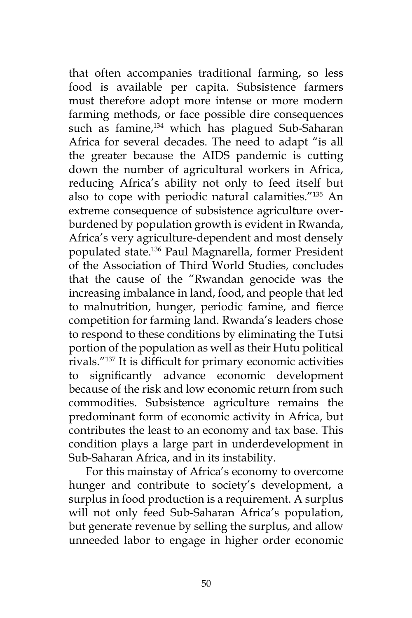that often accompanies traditional farming, so less food is available per capita. Subsistence farmers must therefore adopt more intense or more modern farming methods, or face possible dire consequences such as famine,<sup>134</sup> which has plagued Sub-Saharan Africa for several decades. The need to adapt "is all the greater because the AIDS pandemic is cutting down the number of agricultural workers in Africa, reducing Africa's ability not only to feed itself but also to cope with periodic natural calamities."135 An extreme consequence of subsistence agriculture overburdened by population growth is evident in Rwanda, Africa's very agriculture-dependent and most densely populated state.136 Paul Magnarella, former President of the Association of Third World Studies, concludes that the cause of the "Rwandan genocide was the increasing imbalance in land, food, and people that led to malnutrition, hunger, periodic famine, and fierce competition for farming land. Rwanda's leaders chose to respond to these conditions by eliminating the Tutsi portion of the population as well as their Hutu political rivals."137 It is difficult for primary economic activities to significantly advance economic development because of the risk and low economic return from such commodities. Subsistence agriculture remains the predominant form of economic activity in Africa, but contributes the least to an economy and tax base. This condition plays a large part in underdevelopment in Sub-Saharan Africa, and in its instability.

For this mainstay of Africa's economy to overcome hunger and contribute to society's development, a surplus in food production is a requirement. A surplus will not only feed Sub-Saharan Africa's population, but generate revenue by selling the surplus, and allow unneeded labor to engage in higher order economic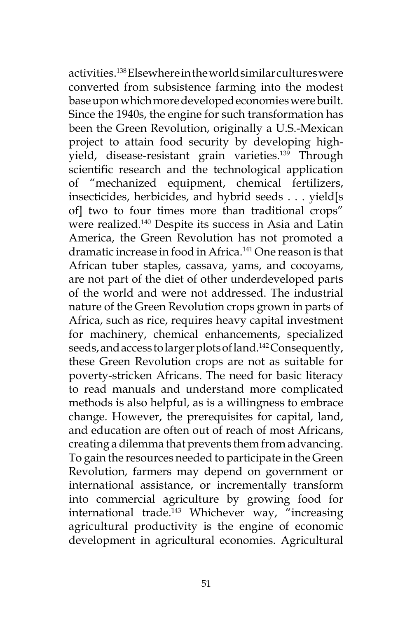activities.138 Elsewhere in the world similar cultures were converted from subsistence farming into the modest base upon which more developed economies were built. Since the 1940s, the engine for such transformation has been the Green Revolution, originally a U.S.-Mexican project to attain food security by developing highyield, disease-resistant grain varieties.<sup>139</sup> Through scientific research and the technological application of "mechanized equipment, chemical fertilizers, insecticides, herbicides, and hybrid seeds . . . yield[s of] two to four times more than traditional crops" were realized.140 Despite its success in Asia and Latin America, the Green Revolution has not promoted a dramatic increase in food in Africa.141 One reason is that African tuber staples, cassava, yams, and cocoyams, are not part of the diet of other underdeveloped parts of the world and were not addressed. The industrial nature of the Green Revolution crops grown in parts of Africa, such as rice, requires heavy capital investment for machinery, chemical enhancements, specialized seeds, and access to larger plots of land.142 Consequently, these Green Revolution crops are not as suitable for poverty-stricken Africans. The need for basic literacy to read manuals and understand more complicated methods is also helpful, as is a willingness to embrace change. However, the prerequisites for capital, land, and education are often out of reach of most Africans, creating a dilemma that prevents them from advancing. To gain the resources needed to participate in the Green Revolution, farmers may depend on government or international assistance, or incrementally transform into commercial agriculture by growing food for international trade.<sup>143</sup> Whichever way, "increasing agricultural productivity is the engine of economic development in agricultural economies. Agricultural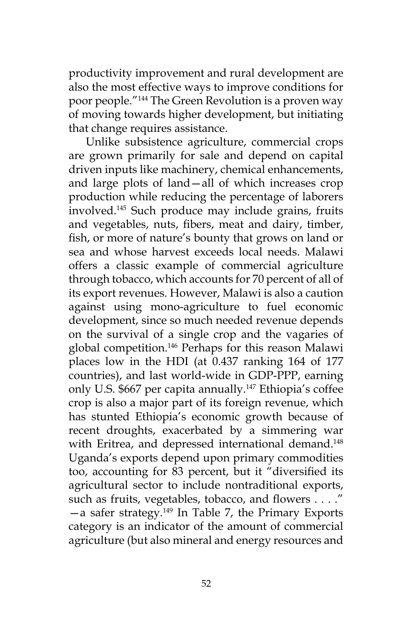productivity improvement and rural development are also the most effective ways to improve conditions for poor people."144 The Green Revolution is a proven way of moving towards higher development, but initiating that change requires assistance.

Unlike subsistence agriculture, commercial crops are grown primarily for sale and depend on capital driven inputs like machinery, chemical enhancements, and large plots of land—all of which increases crop production while reducing the percentage of laborers involved.145 Such produce may include grains, fruits and vegetables, nuts, fibers, meat and dairy, timber, fish, or more of nature's bounty that grows on land or sea and whose harvest exceeds local needs. Malawi offers a classic example of commercial agriculture through tobacco, which accounts for 70 percent of all of its export revenues. However, Malawi is also a caution against using mono-agriculture to fuel economic development, since so much needed revenue depends on the survival of a single crop and the vagaries of global competition.146 Perhaps for this reason Malawi places low in the HDI (at 0.437 ranking 164 of 177 countries), and last world-wide in GDP-PPP, earning only U.S. \$667 per capita annually.147 Ethiopia's coffee crop is also a major part of its foreign revenue, which has stunted Ethiopia's economic growth because of recent droughts, exacerbated by a simmering war with Eritrea, and depressed international demand.<sup>148</sup> Uganda's exports depend upon primary commodities too, accounting for 83 percent, but it "diversified its agricultural sector to include nontraditional exports, such as fruits, vegetables, tobacco, and flowers . . . ."  $-a$  safer strategy.<sup>149</sup> In Table 7, the Primary Exports category is an indicator of the amount of commercial agriculture (but also mineral and energy resources and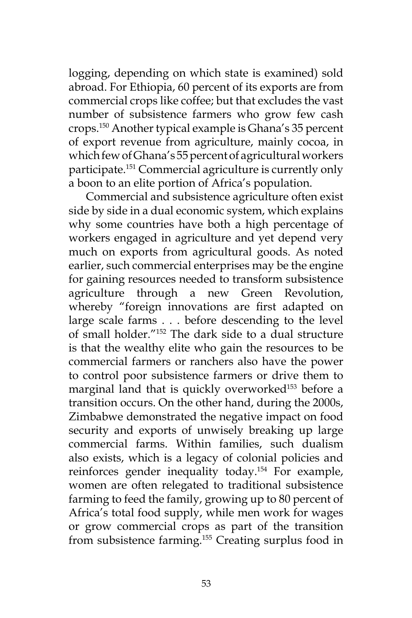logging, depending on which state is examined) sold abroad. For Ethiopia, 60 percent of its exports are from commercial crops like coffee; but that excludes the vast number of subsistence farmers who grow few cash crops.150 Another typical example is Ghana's 35 percent of export revenue from agriculture, mainly cocoa, in which few of Ghana's 55 percent of agricultural workers participate.151 Commercial agriculture is currently only a boon to an elite portion of Africa's population.

Commercial and subsistence agriculture often exist side by side in a dual economic system, which explains why some countries have both a high percentage of workers engaged in agriculture and yet depend very much on exports from agricultural goods. As noted earlier, such commercial enterprises may be the engine for gaining resources needed to transform subsistence agriculture through a new Green Revolution, whereby "foreign innovations are first adapted on large scale farms . . . before descending to the level of small holder."152 The dark side to a dual structure is that the wealthy elite who gain the resources to be commercial farmers or ranchers also have the power to control poor subsistence farmers or drive them to marginal land that is quickly overworked<sup>153</sup> before a transition occurs. On the other hand, during the 2000s, Zimbabwe demonstrated the negative impact on food security and exports of unwisely breaking up large commercial farms. Within families, such dualism also exists, which is a legacy of colonial policies and reinforces gender inequality today.154 For example, women are often relegated to traditional subsistence farming to feed the family, growing up to 80 percent of Africa's total food supply, while men work for wages or grow commercial crops as part of the transition from subsistence farming.155 Creating surplus food in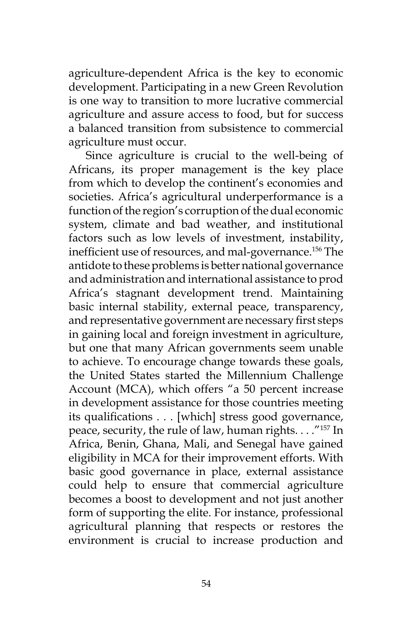agriculture-dependent Africa is the key to economic development. Participating in a new Green Revolution is one way to transition to more lucrative commercial agriculture and assure access to food, but for success a balanced transition from subsistence to commercial agriculture must occur.

Since agriculture is crucial to the well-being of Africans, its proper management is the key place from which to develop the continent's economies and societies. Africa's agricultural underperformance is a function of the region's corruption of the dual economic system, climate and bad weather, and institutional factors such as low levels of investment, instability, inefficient use of resources, and mal-governance.<sup>156</sup> The antidote to these problems is better national governance and administration and international assistance to prod Africa's stagnant development trend. Maintaining basic internal stability, external peace, transparency, and representative government are necessary first steps in gaining local and foreign investment in agriculture, but one that many African governments seem unable to achieve. To encourage change towards these goals, the United States started the Millennium Challenge Account (MCA), which offers "a 50 percent increase in development assistance for those countries meeting its qualifications . . . [which] stress good governance, peace, security, the rule of law, human rights. . . ."157 In Africa, Benin, Ghana, Mali, and Senegal have gained eligibility in MCA for their improvement efforts. With basic good governance in place, external assistance could help to ensure that commercial agriculture becomes a boost to development and not just another form of supporting the elite. For instance, professional agricultural planning that respects or restores the environment is crucial to increase production and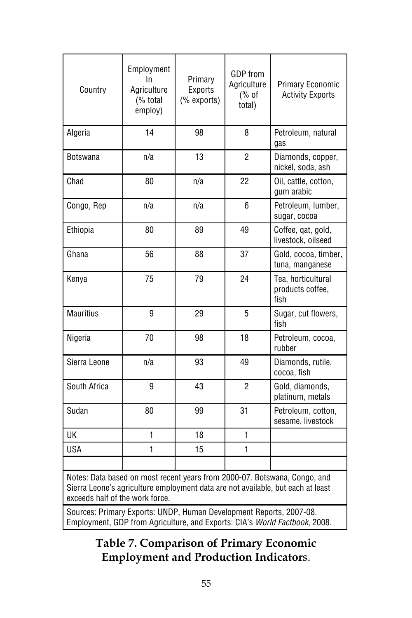| Country                                                                  | Employment<br>In<br>Agriculture<br>(% total<br>employ) | Primary<br>Exports<br>(% exports) | GDP from<br>Agriculture<br>(% of<br>total) | Primary Economic<br><b>Activity Exports</b>    |
|--------------------------------------------------------------------------|--------------------------------------------------------|-----------------------------------|--------------------------------------------|------------------------------------------------|
| Algeria                                                                  | 14                                                     | 98                                | 8                                          | Petroleum, natural<br>gas                      |
| Botswana                                                                 | n/a                                                    | 13                                | $\overline{2}$                             | Diamonds, copper,<br>nickel, soda, ash         |
| Chad                                                                     | 80                                                     | n/a                               | 22                                         | Oil, cattle, cotton,<br>gum arabic             |
| Congo, Rep                                                               | n/a                                                    | n/a                               | 6                                          | Petroleum, lumber,<br>sugar, cocoa             |
| Ethiopia                                                                 | 80                                                     | 89                                | 49                                         | Coffee, qat, gold,<br>livestock, oilseed       |
| Ghana                                                                    | 56                                                     | 88                                | 37                                         | Gold, cocoa, timber,<br>tuna, manganese        |
| Kenya                                                                    | 75                                                     | 79                                | 24                                         | Tea, horticultural<br>products coffee,<br>fish |
| <b>Mauritius</b>                                                         | $\overline{9}$                                         | 29                                | 5                                          | Sugar, cut flowers,<br>fish                    |
| Nigeria                                                                  | 70                                                     | 98                                | 18                                         | Petroleum, cocoa,<br>rubber                    |
| Sierra Leone                                                             | n/a                                                    | 93                                | 49                                         | Diamonds, rutile,<br>cocoa, fish               |
| South Africa                                                             | 9                                                      | 43                                | $\overline{2}$                             | Gold, diamonds,<br>platinum, metals            |
| Sudan                                                                    | 80                                                     | 99                                | 31                                         | Petroleum, cotton,<br>sesame, livestock        |
| UK                                                                       | $\mathbf{1}$                                           | 18                                | $\mathbf{1}$                               |                                                |
| <b>USA</b>                                                               | $\mathbf{1}$                                           | 15                                | $\mathbf{1}$                               |                                                |
| Notes: Data based on most recent years from 2000-07 Botswana, Congo, and |                                                        |                                   |                                            |                                                |

Notes: Data based on most recent years from 2000-07. Botswana, Congo, and Sierra Leone's agriculture employment data are not available, but each at least exceeds half of the work force.

Sources: Primary Exports: UNDP, Human Development Reports, 2007-08. Employment, GDP from Agriculture, and Exports: CIA's World Factbook, 2008.

# **Table 7. Comparison of Primary Economic Employment and Production Indicator**s.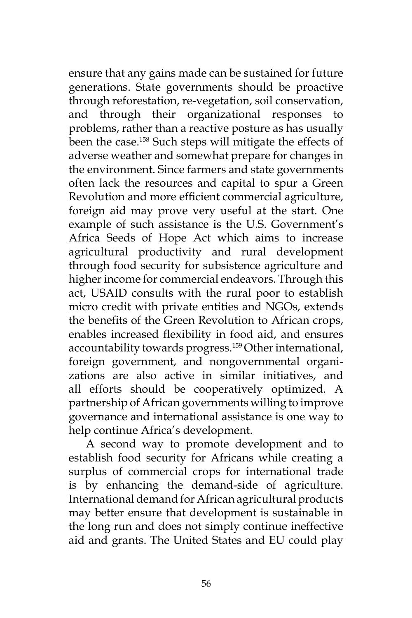ensure that any gains made can be sustained for future generations. State governments should be proactive through reforestation, re-vegetation, soil conservation, and through their organizational responses to problems, rather than a reactive posture as has usually been the case.<sup>158</sup> Such steps will mitigate the effects of adverse weather and somewhat prepare for changes in the environment. Since farmers and state governments often lack the resources and capital to spur a Green Revolution and more efficient commercial agriculture, foreign aid may prove very useful at the start. One example of such assistance is the U.S. Government's Africa Seeds of Hope Act which aims to increase agricultural productivity and rural development through food security for subsistence agriculture and higher income for commercial endeavors. Through this act, USAID consults with the rural poor to establish micro credit with private entities and NGOs, extends the benefits of the Green Revolution to African crops, enables increased flexibility in food aid, and ensures accountability towards progress.<sup>159</sup> Other international, foreign government, and nongovernmental organizations are also active in similar initiatives, and all efforts should be cooperatively optimized. A partnership of African governments willing to improve governance and international assistance is one way to help continue Africa's development.

A second way to promote development and to establish food security for Africans while creating a surplus of commercial crops for international trade is by enhancing the demand-side of agriculture. International demand for African agricultural products may better ensure that development is sustainable in the long run and does not simply continue ineffective aid and grants. The United States and EU could play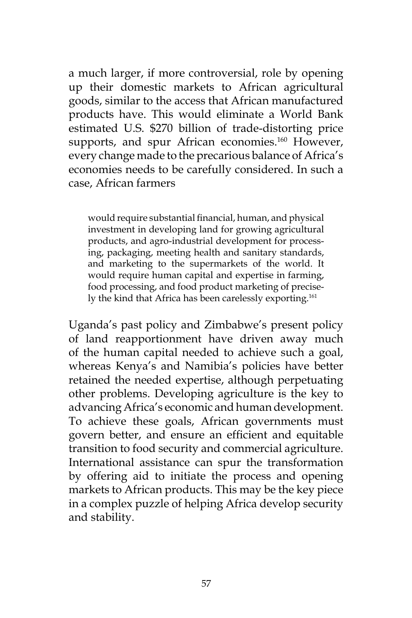a much larger, if more controversial, role by opening up their domestic markets to African agricultural goods, similar to the access that African manufactured products have. This would eliminate a World Bank estimated U.S. \$270 billion of trade-distorting price supports, and spur African economies.<sup>160</sup> However, every change made to the precarious balance of Africa's economies needs to be carefully considered. In such a case, African farmers

would require substantial financial, human, and physical investment in developing land for growing agricultural products, and agro-industrial development for processing, packaging, meeting health and sanitary standards, and marketing to the supermarkets of the world. It would require human capital and expertise in farming, food processing, and food product marketing of precisely the kind that Africa has been carelessly exporting.161

Uganda's past policy and Zimbabwe's present policy of land reapportionment have driven away much of the human capital needed to achieve such a goal, whereas Kenya's and Namibia's policies have better retained the needed expertise, although perpetuating other problems. Developing agriculture is the key to advancing Africa's economic and human development. To achieve these goals, African governments must govern better, and ensure an efficient and equitable transition to food security and commercial agriculture. International assistance can spur the transformation by offering aid to initiate the process and opening markets to African products. This may be the key piece in a complex puzzle of helping Africa develop security and stability.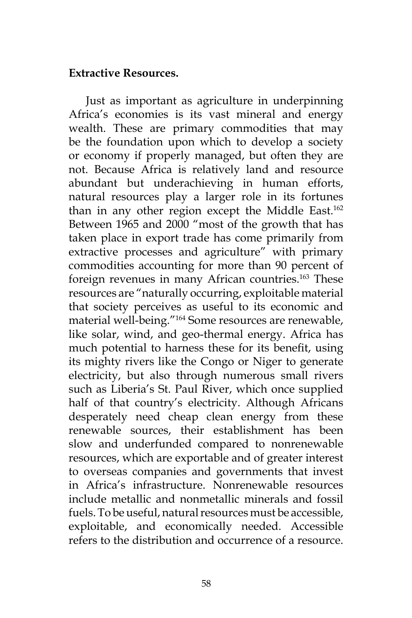#### **Extractive Resources.**

Just as important as agriculture in underpinning Africa's economies is its vast mineral and energy wealth. These are primary commodities that may be the foundation upon which to develop a society or economy if properly managed, but often they are not. Because Africa is relatively land and resource abundant but underachieving in human efforts, natural resources play a larger role in its fortunes than in any other region except the Middle East.<sup>162</sup> Between 1965 and 2000 "most of the growth that has taken place in export trade has come primarily from extractive processes and agriculture" with primary commodities accounting for more than 90 percent of foreign revenues in many African countries.<sup>163</sup> These resources are "naturally occurring, exploitable material that society perceives as useful to its economic and material well-being."164 Some resources are renewable, like solar, wind, and geo-thermal energy. Africa has much potential to harness these for its benefit, using its mighty rivers like the Congo or Niger to generate electricity, but also through numerous small rivers such as Liberia's St. Paul River, which once supplied half of that country's electricity. Although Africans desperately need cheap clean energy from these renewable sources, their establishment has been slow and underfunded compared to nonrenewable resources, which are exportable and of greater interest to overseas companies and governments that invest in Africa's infrastructure. Nonrenewable resources include metallic and nonmetallic minerals and fossil fuels. To be useful, natural resources must be accessible, exploitable, and economically needed. Accessible refers to the distribution and occurrence of a resource.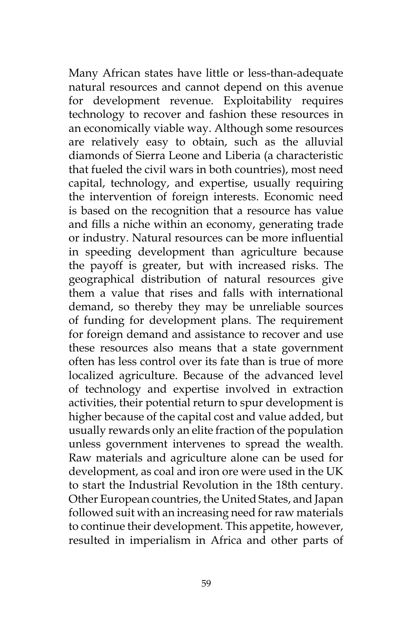Many African states have little or less-than-adequate natural resources and cannot depend on this avenue for development revenue. Exploitability requires technology to recover and fashion these resources in an economically viable way. Although some resources are relatively easy to obtain, such as the alluvial diamonds of Sierra Leone and Liberia (a characteristic that fueled the civil wars in both countries), most need capital, technology, and expertise, usually requiring the intervention of foreign interests. Economic need is based on the recognition that a resource has value and fills a niche within an economy, generating trade or industry. Natural resources can be more influential in speeding development than agriculture because the payoff is greater, but with increased risks. The geographical distribution of natural resources give them a value that rises and falls with international demand, so thereby they may be unreliable sources of funding for development plans. The requirement for foreign demand and assistance to recover and use these resources also means that a state government often has less control over its fate than is true of more localized agriculture. Because of the advanced level of technology and expertise involved in extraction activities, their potential return to spur development is higher because of the capital cost and value added, but usually rewards only an elite fraction of the population unless government intervenes to spread the wealth. Raw materials and agriculture alone can be used for development, as coal and iron ore were used in the UK to start the Industrial Revolution in the 18th century. Other European countries, the United States, and Japan followed suit with an increasing need for raw materials to continue their development. This appetite, however, resulted in imperialism in Africa and other parts of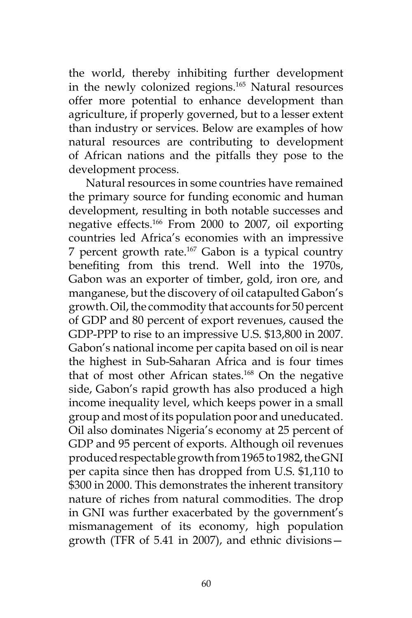the world, thereby inhibiting further development in the newly colonized regions.165 Natural resources offer more potential to enhance development than agriculture, if properly governed, but to a lesser extent than industry or services. Below are examples of how natural resources are contributing to development of African nations and the pitfalls they pose to the development process.

Natural resources in some countries have remained the primary source for funding economic and human development, resulting in both notable successes and negative effects.166 From 2000 to 2007, oil exporting countries led Africa's economies with an impressive 7 percent growth rate.<sup>167</sup> Gabon is a typical country benefiting from this trend. Well into the 1970s, Gabon was an exporter of timber, gold, iron ore, and manganese, but the discovery of oil catapulted Gabon's growth. Oil, the commodity that accounts for 50 percent of GDP and 80 percent of export revenues, caused the GDP-PPP to rise to an impressive U.S. \$13,800 in 2007. Gabon's national income per capita based on oil is near the highest in Sub-Saharan Africa and is four times that of most other African states.168 On the negative side, Gabon's rapid growth has also produced a high income inequality level, which keeps power in a small group and most of its population poor and uneducated. Oil also dominates Nigeria's economy at 25 percent of GDP and 95 percent of exports. Although oil revenues produced respectable growth from 1965 to 1982, the GNI per capita since then has dropped from U.S. \$1,110 to \$300 in 2000. This demonstrates the inherent transitory nature of riches from natural commodities. The drop in GNI was further exacerbated by the government's mismanagement of its economy, high population growth (TFR of 5.41 in 2007), and ethnic divisions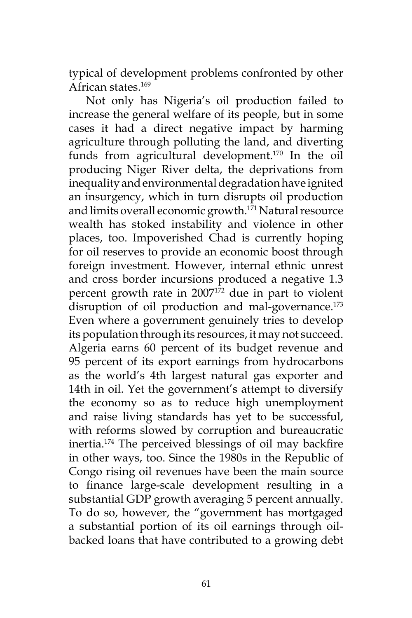typical of development problems confronted by other African states.<sup>169</sup>

Not only has Nigeria's oil production failed to increase the general welfare of its people, but in some cases it had a direct negative impact by harming agriculture through polluting the land, and diverting funds from agricultural development.<sup>170</sup> In the oil producing Niger River delta, the deprivations from inequality and environmental degradation have ignited an insurgency, which in turn disrupts oil production and limits overall economic growth.<sup>171</sup> Natural resource wealth has stoked instability and violence in other places, too. Impoverished Chad is currently hoping for oil reserves to provide an economic boost through foreign investment. However, internal ethnic unrest and cross border incursions produced a negative 1.3 percent growth rate in 2007172 due in part to violent disruption of oil production and mal-governance.<sup>173</sup> Even where a government genuinely tries to develop its population through its resources, it may not succeed. Algeria earns 60 percent of its budget revenue and 95 percent of its export earnings from hydrocarbons as the world's 4th largest natural gas exporter and 14th in oil. Yet the government's attempt to diversify the economy so as to reduce high unemployment and raise living standards has yet to be successful, with reforms slowed by corruption and bureaucratic inertia.174 The perceived blessings of oil may backfire in other ways, too. Since the 1980s in the Republic of Congo rising oil revenues have been the main source to finance large-scale development resulting in a substantial GDP growth averaging 5 percent annually. To do so, however, the "government has mortgaged a substantial portion of its oil earnings through oilbacked loans that have contributed to a growing debt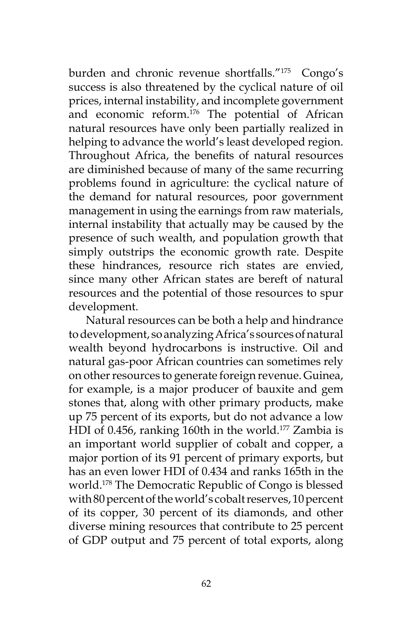burden and chronic revenue shortfalls."175 Congo's success is also threatened by the cyclical nature of oil prices, internal instability, and incomplete government and economic reform.<sup>176</sup> The potential of African natural resources have only been partially realized in helping to advance the world's least developed region. Throughout Africa, the benefits of natural resources are diminished because of many of the same recurring problems found in agriculture: the cyclical nature of the demand for natural resources, poor government management in using the earnings from raw materials, internal instability that actually may be caused by the presence of such wealth, and population growth that simply outstrips the economic growth rate. Despite these hindrances, resource rich states are envied, since many other African states are bereft of natural resources and the potential of those resources to spur development.

Natural resources can be both a help and hindrance to development, so analyzing Africa's sources of natural wealth beyond hydrocarbons is instructive. Oil and natural gas-poor African countries can sometimes rely on other resources to generate foreign revenue. Guinea, for example, is a major producer of bauxite and gem stones that, along with other primary products, make up 75 percent of its exports, but do not advance a low HDI of 0.456, ranking 160th in the world.<sup>177</sup> Zambia is an important world supplier of cobalt and copper, a major portion of its 91 percent of primary exports, but has an even lower HDI of 0.434 and ranks 165th in the world.178 The Democratic Republic of Congo is blessed with 80 percent of the world's cobalt reserves, 10 percent of its copper, 30 percent of its diamonds, and other diverse mining resources that contribute to 25 percent of GDP output and 75 percent of total exports, along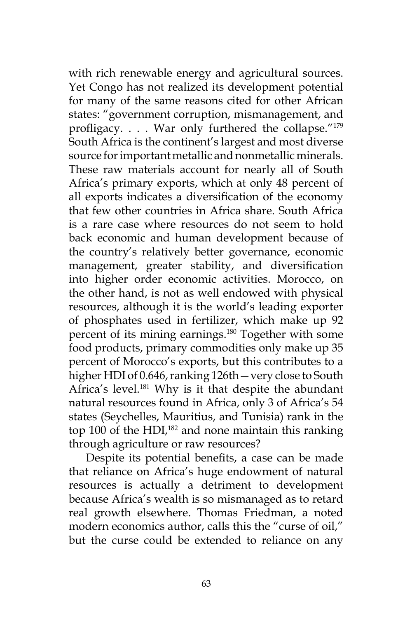with rich renewable energy and agricultural sources. Yet Congo has not realized its development potential for many of the same reasons cited for other African states: "government corruption, mismanagement, and profligacy. . . . War only furthered the collapse."179 South Africa is the continent's largest and most diverse source for important metallic and nonmetallic minerals. These raw materials account for nearly all of South Africa's primary exports, which at only 48 percent of all exports indicates a diversification of the economy that few other countries in Africa share. South Africa is a rare case where resources do not seem to hold back economic and human development because of the country's relatively better governance, economic management, greater stability, and diversification into higher order economic activities. Morocco, on the other hand, is not as well endowed with physical resources, although it is the world's leading exporter of phosphates used in fertilizer, which make up 92 percent of its mining earnings.180 Together with some food products, primary commodities only make up 35 percent of Morocco's exports, but this contributes to a higher HDI of 0.646, ranking 126th—very close to South Africa's level.<sup>181</sup> Why is it that despite the abundant natural resources found in Africa, only 3 of Africa's 54 states (Seychelles, Mauritius, and Tunisia) rank in the top 100 of the HDI $<sub>182</sub>$  and none maintain this ranking</sub> through agriculture or raw resources?

Despite its potential benefits, a case can be made that reliance on Africa's huge endowment of natural resources is actually a detriment to development because Africa's wealth is so mismanaged as to retard real growth elsewhere. Thomas Friedman, a noted modern economics author, calls this the "curse of oil," but the curse could be extended to reliance on any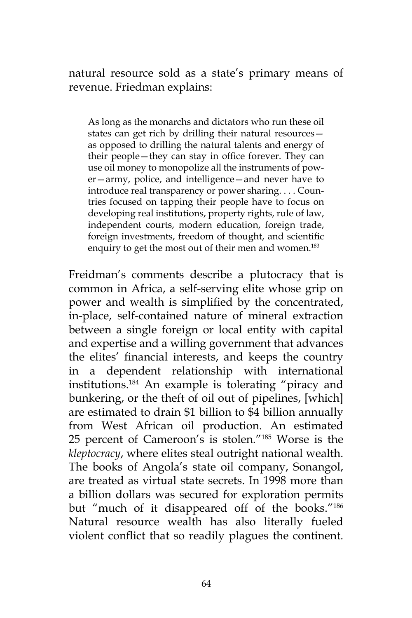natural resource sold as a state's primary means of revenue. Friedman explains:

As long as the monarchs and dictators who run these oil states can get rich by drilling their natural resources as opposed to drilling the natural talents and energy of their people—they can stay in office forever. They can use oil money to monopolize all the instruments of power—army, police, and intelligence—and never have to introduce real transparency or power sharing. . . . Countries focused on tapping their people have to focus on developing real institutions, property rights, rule of law, independent courts, modern education, foreign trade, foreign investments, freedom of thought, and scientific enquiry to get the most out of their men and women.<sup>183</sup>

Freidman's comments describe a plutocracy that is common in Africa, a self-serving elite whose grip on power and wealth is simplified by the concentrated, in-place, self-contained nature of mineral extraction between a single foreign or local entity with capital and expertise and a willing government that advances the elites' financial interests, and keeps the country in a dependent relationship with international institutions.184 An example is tolerating "piracy and bunkering, or the theft of oil out of pipelines, [which] are estimated to drain \$1 billion to \$4 billion annually from West African oil production. An estimated 25 percent of Cameroon's is stolen."185 Worse is the *kleptocracy*, where elites steal outright national wealth. The books of Angola's state oil company, Sonangol, are treated as virtual state secrets. In 1998 more than a billion dollars was secured for exploration permits but "much of it disappeared off of the books."<sup>186</sup> Natural resource wealth has also literally fueled violent conflict that so readily plagues the continent.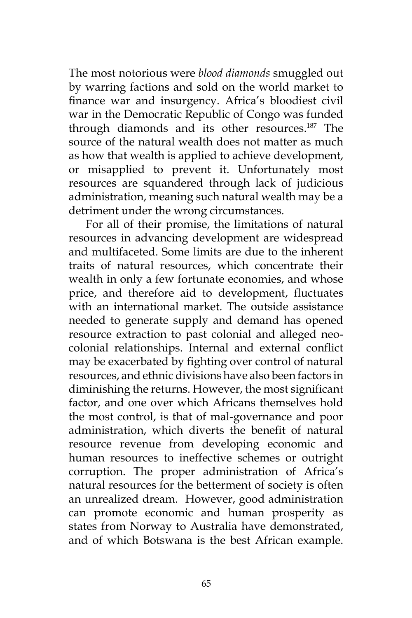The most notorious were *blood diamonds* smuggled out by warring factions and sold on the world market to finance war and insurgency. Africa's bloodiest civil war in the Democratic Republic of Congo was funded through diamonds and its other resources.187 The source of the natural wealth does not matter as much as how that wealth is applied to achieve development, or misapplied to prevent it. Unfortunately most resources are squandered through lack of judicious administration, meaning such natural wealth may be a detriment under the wrong circumstances.

For all of their promise, the limitations of natural resources in advancing development are widespread and multifaceted. Some limits are due to the inherent traits of natural resources, which concentrate their wealth in only a few fortunate economies, and whose price, and therefore aid to development, fluctuates with an international market. The outside assistance needed to generate supply and demand has opened resource extraction to past colonial and alleged neocolonial relationships. Internal and external conflict may be exacerbated by fighting over control of natural resources, and ethnic divisions have also been factors in diminishing the returns. However, the most significant factor, and one over which Africans themselves hold the most control, is that of mal-governance and poor administration, which diverts the benefit of natural resource revenue from developing economic and human resources to ineffective schemes or outright corruption. The proper administration of Africa's natural resources for the betterment of society is often an unrealized dream. However, good administration can promote economic and human prosperity as states from Norway to Australia have demonstrated, and of which Botswana is the best African example.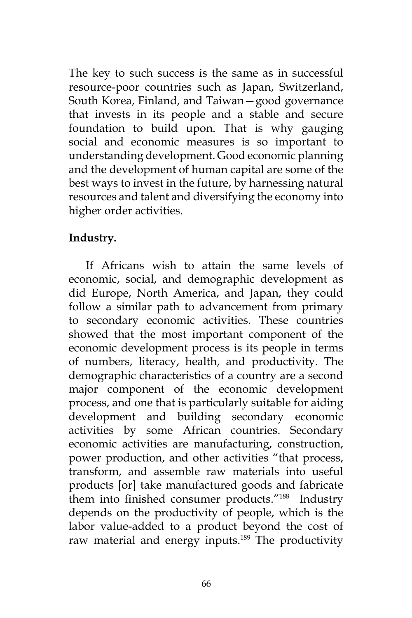The key to such success is the same as in successful resource-poor countries such as Japan, Switzerland, South Korea, Finland, and Taiwan—good governance that invests in its people and a stable and secure foundation to build upon. That is why gauging social and economic measures is so important to understanding development. Good economic planning and the development of human capital are some of the best ways to invest in the future, by harnessing natural resources and talent and diversifying the economy into higher order activities.

## **Industry.**

If Africans wish to attain the same levels of economic, social, and demographic development as did Europe, North America, and Japan, they could follow a similar path to advancement from primary to secondary economic activities. These countries showed that the most important component of the economic development process is its people in terms of numbers, literacy, health, and productivity. The demographic characteristics of a country are a second major component of the economic development process, and one that is particularly suitable for aiding development and building secondary economic activities by some African countries. Secondary economic activities are manufacturing, construction, power production, and other activities "that process, transform, and assemble raw materials into useful products [or] take manufactured goods and fabricate them into finished consumer products."188 Industry depends on the productivity of people, which is the labor value-added to a product beyond the cost of raw material and energy inputs.<sup>189</sup> The productivity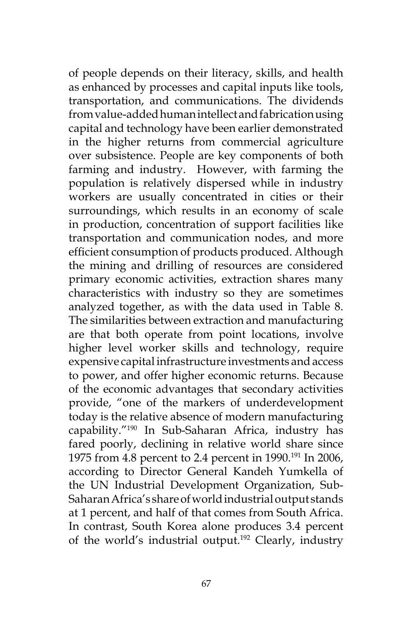of people depends on their literacy, skills, and health as enhanced by processes and capital inputs like tools, transportation, and communications. The dividends from value-added human intellect and fabrication using capital and technology have been earlier demonstrated in the higher returns from commercial agriculture over subsistence. People are key components of both farming and industry. However, with farming the population is relatively dispersed while in industry workers are usually concentrated in cities or their surroundings, which results in an economy of scale in production, concentration of support facilities like transportation and communication nodes, and more efficient consumption of products produced. Although the mining and drilling of resources are considered primary economic activities, extraction shares many characteristics with industry so they are sometimes analyzed together, as with the data used in Table 8. The similarities between extraction and manufacturing are that both operate from point locations, involve higher level worker skills and technology, require expensive capital infrastructure investments and access to power, and offer higher economic returns. Because of the economic advantages that secondary activities provide, "one of the markers of underdevelopment today is the relative absence of modern manufacturing capability."190 In Sub-Saharan Africa, industry has fared poorly, declining in relative world share since 1975 from 4.8 percent to 2.4 percent in 1990.<sup>191</sup> In 2006, according to Director General Kandeh Yumkella of the UN Industrial Development Organization, Sub-Saharan Africa's share of world industrial output stands at 1 percent, and half of that comes from South Africa. In contrast, South Korea alone produces 3.4 percent of the world's industrial output.<sup>192</sup> Clearly, industry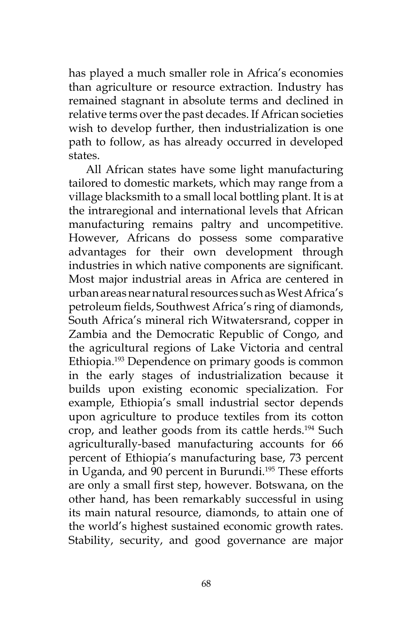has played a much smaller role in Africa's economies than agriculture or resource extraction. Industry has remained stagnant in absolute terms and declined in relative terms over the past decades. If African societies wish to develop further, then industrialization is one path to follow, as has already occurred in developed states.

All African states have some light manufacturing tailored to domestic markets, which may range from a village blacksmith to a small local bottling plant. It is at the intraregional and international levels that African manufacturing remains paltry and uncompetitive. However, Africans do possess some comparative advantages for their own development through industries in which native components are significant. Most major industrial areas in Africa are centered in urban areas near natural resources such as West Africa's petroleum fields, Southwest Africa's ring of diamonds, South Africa's mineral rich Witwatersrand, copper in Zambia and the Democratic Republic of Congo, and the agricultural regions of Lake Victoria and central Ethiopia.193 Dependence on primary goods is common in the early stages of industrialization because it builds upon existing economic specialization. For example, Ethiopia's small industrial sector depends upon agriculture to produce textiles from its cotton crop, and leather goods from its cattle herds.194 Such agriculturally-based manufacturing accounts for 66 percent of Ethiopia's manufacturing base, 73 percent in Uganda, and 90 percent in Burundi.<sup>195</sup> These efforts are only a small first step, however. Botswana, on the other hand, has been remarkably successful in using its main natural resource, diamonds, to attain one of the world's highest sustained economic growth rates. Stability, security, and good governance are major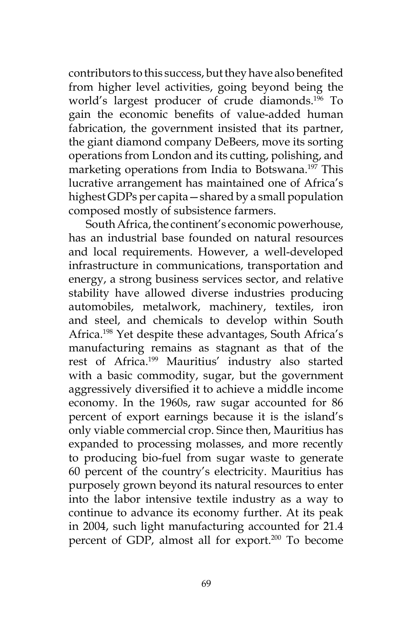contributors to this success, but they have also benefited from higher level activities, going beyond being the world's largest producer of crude diamonds.196 To gain the economic benefits of value-added human fabrication, the government insisted that its partner, the giant diamond company DeBeers, move its sorting operations from London and its cutting, polishing, and marketing operations from India to Botswana.<sup>197</sup> This lucrative arrangement has maintained one of Africa's highest GDPs per capita—shared by a small population composed mostly of subsistence farmers.

South Africa, the continent's economic powerhouse, has an industrial base founded on natural resources and local requirements. However, a well-developed infrastructure in communications, transportation and energy, a strong business services sector, and relative stability have allowed diverse industries producing automobiles, metalwork, machinery, textiles, iron and steel, and chemicals to develop within South Africa.198 Yet despite these advantages, South Africa's manufacturing remains as stagnant as that of the rest of Africa.199 Mauritius' industry also started with a basic commodity, sugar, but the government aggressively diversified it to achieve a middle income economy. In the 1960s, raw sugar accounted for 86 percent of export earnings because it is the island's only viable commercial crop. Since then, Mauritius has expanded to processing molasses, and more recently to producing bio-fuel from sugar waste to generate 60 percent of the country's electricity. Mauritius has purposely grown beyond its natural resources to enter into the labor intensive textile industry as a way to continue to advance its economy further. At its peak in 2004, such light manufacturing accounted for 21.4 percent of GDP, almost all for export.<sup>200</sup> To become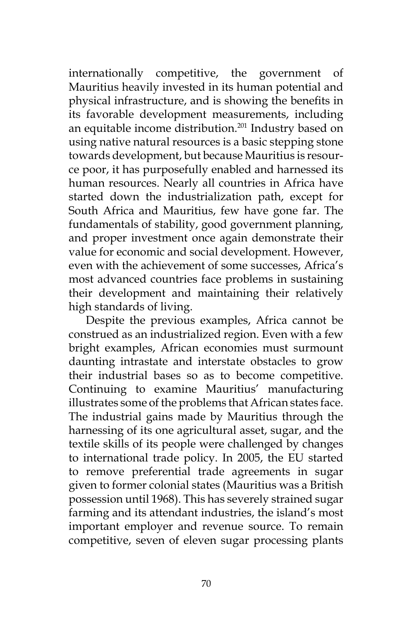internationally competitive, the government of Mauritius heavily invested in its human potential and physical infrastructure, and is showing the benefits in its favorable development measurements, including an equitable income distribution.<sup>201</sup> Industry based on using native natural resources is a basic stepping stone towards development, but because Mauritius is resource poor, it has purposefully enabled and harnessed its human resources. Nearly all countries in Africa have started down the industrialization path, except for South Africa and Mauritius, few have gone far. The fundamentals of stability, good government planning, and proper investment once again demonstrate their value for economic and social development. However, even with the achievement of some successes, Africa's most advanced countries face problems in sustaining their development and maintaining their relatively high standards of living.

Despite the previous examples, Africa cannot be construed as an industrialized region. Even with a few bright examples, African economies must surmount daunting intrastate and interstate obstacles to grow their industrial bases so as to become competitive. Continuing to examine Mauritius' manufacturing illustrates some of the problems that African states face. The industrial gains made by Mauritius through the harnessing of its one agricultural asset, sugar, and the textile skills of its people were challenged by changes to international trade policy. In 2005, the EU started to remove preferential trade agreements in sugar given to former colonial states (Mauritius was a British possession until 1968). This has severely strained sugar farming and its attendant industries, the island's most important employer and revenue source. To remain competitive, seven of eleven sugar processing plants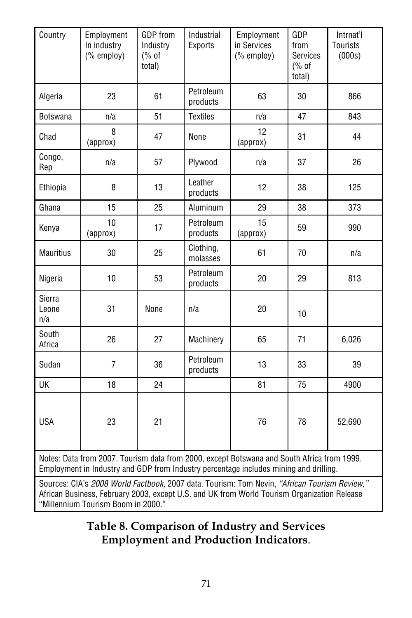| Country                                                                                                                                                                             | Employment<br>In industry<br>(% employ) | <b>GDP</b> from<br>Industry<br>(% of<br>total) | Industrial<br>Exports | Employment<br>in Services<br>(% employ) | GDP<br>from<br><b>Services</b><br>(% of<br>total) | Intrnat'l<br><b>Tourists</b><br>(000s) |
|-------------------------------------------------------------------------------------------------------------------------------------------------------------------------------------|-----------------------------------------|------------------------------------------------|-----------------------|-----------------------------------------|---------------------------------------------------|----------------------------------------|
| Algeria                                                                                                                                                                             | 23                                      | 61                                             | Petroleum<br>products | 63                                      | 30                                                | 866                                    |
| Botswana                                                                                                                                                                            | n/a                                     | 51                                             | <b>Textiles</b>       | n/a                                     | 47                                                | 843                                    |
| Chad                                                                                                                                                                                | 8<br>(approx)                           | 47                                             | None                  | 12<br>(approx)                          | 31                                                | 44                                     |
| Congo,<br>Rep                                                                                                                                                                       | n/a                                     | 57                                             | Plywood               | n/a                                     | 37                                                | 26                                     |
| Ethiopia                                                                                                                                                                            | 8                                       | 13                                             | Leather<br>products   | 12                                      | 38                                                | 125                                    |
| Ghana                                                                                                                                                                               | 15                                      | 25                                             | Aluminum              | 29                                      | 38                                                | 373                                    |
| Kenya                                                                                                                                                                               | 10<br>(approx)                          | 17                                             | Petroleum<br>products | 15<br>(approx)                          | 59                                                | 990                                    |
| <b>Mauritius</b>                                                                                                                                                                    | 30                                      | 25                                             | Clothing,<br>molasses | 61                                      | 70                                                | n/a                                    |
| Nigeria                                                                                                                                                                             | 10                                      | 53                                             | Petroleum<br>products | 20                                      | 29                                                | 813                                    |
| Sierra<br>Leone<br>n/a                                                                                                                                                              | 31                                      | None                                           | n/a                   | 20                                      | 10                                                |                                        |
| South<br>Africa                                                                                                                                                                     | 26                                      | 27                                             | Machinery             | 65                                      | 71                                                | 6,026                                  |
| Sudan                                                                                                                                                                               | $\overline{7}$                          | 36                                             | Petroleum<br>products | 13                                      | 33                                                | 39                                     |
| UK                                                                                                                                                                                  | 18                                      | 24                                             |                       | 81                                      | 75                                                | 4900                                   |
| <b>USA</b>                                                                                                                                                                          | 23                                      | 21                                             |                       | 76                                      | 78                                                | 52,690                                 |
| Notes: Data from 2007. Tourism data from 2000, except Botswana and South Africa from 1999.<br>Employment in Industry and GDP from Industry percentage includes mining and drilling. |                                         |                                                |                       |                                         |                                                   |                                        |

Sources: CIA's 2008 World Factbook, 2007 data. Tourism: Tom Nevin, "African Tourism Review," African Business, February 2003, except U.S. and UK from World Tourism Organization Release "Millennium Tourism Boom in 2000."

# **Table 8. Comparison of Industry and Services Employment and Production Indicators**.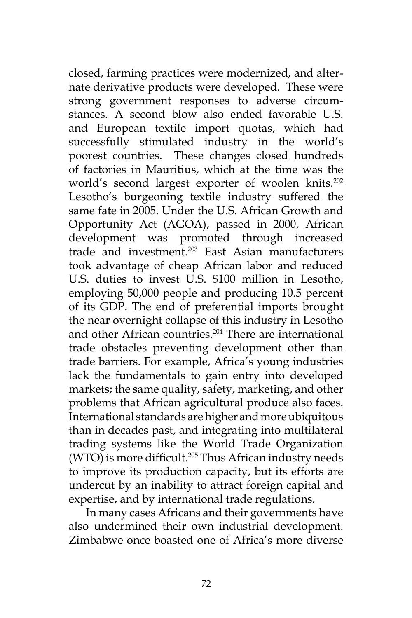closed, farming practices were modernized, and alternate derivative products were developed. These were strong government responses to adverse circumstances. A second blow also ended favorable U.S. and European textile import quotas, which had successfully stimulated industry in the world's poorest countries. These changes closed hundreds of factories in Mauritius, which at the time was the world's second largest exporter of woolen knits.202 Lesotho's burgeoning textile industry suffered the same fate in 2005. Under the U.S. African Growth and Opportunity Act (AGOA), passed in 2000, African development was promoted through increased trade and investment.203 East Asian manufacturers took advantage of cheap African labor and reduced U.S. duties to invest U.S. \$100 million in Lesotho, employing 50,000 people and producing 10.5 percent of its GDP. The end of preferential imports brought the near overnight collapse of this industry in Lesotho and other African countries.<sup>204</sup> There are international trade obstacles preventing development other than trade barriers. For example, Africa's young industries lack the fundamentals to gain entry into developed markets; the same quality, safety, marketing, and other problems that African agricultural produce also faces. International standards are higher and more ubiquitous than in decades past, and integrating into multilateral trading systems like the World Trade Organization (WTO) is more difficult.205 Thus African industry needs to improve its production capacity, but its efforts are undercut by an inability to attract foreign capital and expertise, and by international trade regulations.

In many cases Africans and their governments have also undermined their own industrial development. Zimbabwe once boasted one of Africa's more diverse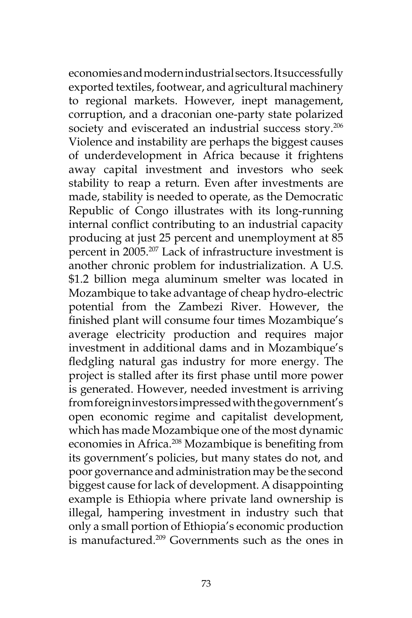economies and modern industrial sectors. It successfully exported textiles, footwear, and agricultural machinery to regional markets. However, inept management, corruption, and a draconian one-party state polarized society and eviscerated an industrial success story.<sup>206</sup> Violence and instability are perhaps the biggest causes of underdevelopment in Africa because it frightens away capital investment and investors who seek stability to reap a return. Even after investments are made, stability is needed to operate, as the Democratic Republic of Congo illustrates with its long-running internal conflict contributing to an industrial capacity producing at just 25 percent and unemployment at 85 percent in 2005.207 Lack of infrastructure investment is another chronic problem for industrialization. A U.S. \$1.2 billion mega aluminum smelter was located in Mozambique to take advantage of cheap hydro-electric potential from the Zambezi River. However, the finished plant will consume four times Mozambique's average electricity production and requires major investment in additional dams and in Mozambique's fledgling natural gas industry for more energy. The project is stalled after its first phase until more power is generated. However, needed investment is arriving from foreign investors impressed with the government's open economic regime and capitalist development, which has made Mozambique one of the most dynamic economies in Africa.<sup>208</sup> Mozambique is benefiting from its government's policies, but many states do not, and poor governance and administration may be the second biggest cause for lack of development. A disappointing example is Ethiopia where private land ownership is illegal, hampering investment in industry such that only a small portion of Ethiopia's economic production is manufactured.209 Governments such as the ones in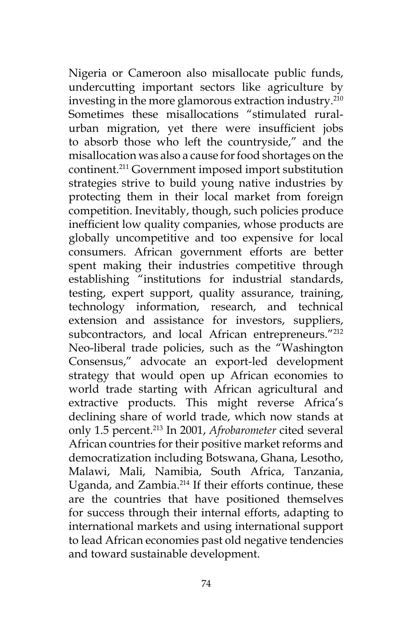Nigeria or Cameroon also misallocate public funds, undercutting important sectors like agriculture by investing in the more glamorous extraction industry.<sup>210</sup> Sometimes these misallocations "stimulated ruralurban migration, yet there were insufficient jobs to absorb those who left the countryside," and the misallocation was also a cause for food shortages on the continent.211 Government imposed import substitution strategies strive to build young native industries by protecting them in their local market from foreign competition. Inevitably, though, such policies produce inefficient low quality companies, whose products are globally uncompetitive and too expensive for local consumers. African government efforts are better spent making their industries competitive through establishing "institutions for industrial standards, testing, expert support, quality assurance, training, technology information, research, and technical extension and assistance for investors, suppliers, subcontractors, and local African entrepreneurs."<sup>212</sup> Neo-liberal trade policies, such as the "Washington Consensus," advocate an export-led development strategy that would open up African economies to world trade starting with African agricultural and extractive products. This might reverse Africa's declining share of world trade, which now stands at only 1.5 percent.213 In 2001, *Afrobarometer* cited several African countries for their positive market reforms and democratization including Botswana, Ghana, Lesotho, Malawi, Mali, Namibia, South Africa, Tanzania, Uganda, and Zambia.214 If their efforts continue, these are the countries that have positioned themselves for success through their internal efforts, adapting to international markets and using international support to lead African economies past old negative tendencies and toward sustainable development.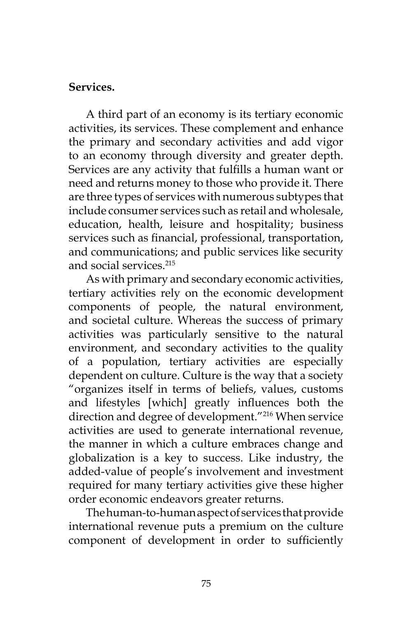## **Services.**

A third part of an economy is its tertiary economic activities, its services. These complement and enhance the primary and secondary activities and add vigor to an economy through diversity and greater depth. Services are any activity that fulfills a human want or need and returns money to those who provide it. There are three types of services with numerous subtypes that include consumer services such as retail and wholesale, education, health, leisure and hospitality; business services such as financial, professional, transportation, and communications; and public services like security and social services<sup>215</sup>

As with primary and secondary economic activities, tertiary activities rely on the economic development components of people, the natural environment, and societal culture. Whereas the success of primary activities was particularly sensitive to the natural environment, and secondary activities to the quality of a population, tertiary activities are especially dependent on culture. Culture is the way that a society "organizes itself in terms of beliefs, values, customs and lifestyles [which] greatly influences both the direction and degree of development."216 When service activities are used to generate international revenue, the manner in which a culture embraces change and globalization is a key to success. Like industry, the added-value of people's involvement and investment required for many tertiary activities give these higher order economic endeavors greater returns.

The human-to-human aspect of services that provide international revenue puts a premium on the culture component of development in order to sufficiently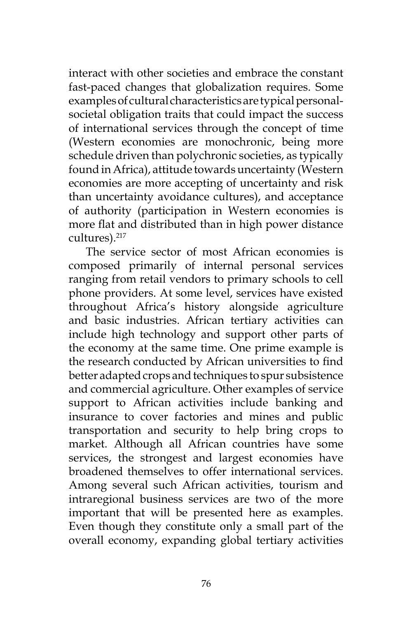interact with other societies and embrace the constant fast-paced changes that globalization requires. Some examples of cultural characteristics are typical personalsocietal obligation traits that could impact the success of international services through the concept of time (Western economies are monochronic, being more schedule driven than polychronic societies, as typically found in Africa), attitude towards uncertainty (Western economies are more accepting of uncertainty and risk than uncertainty avoidance cultures), and acceptance of authority (participation in Western economies is more flat and distributed than in high power distance cultures).217

The service sector of most African economies is composed primarily of internal personal services ranging from retail vendors to primary schools to cell phone providers. At some level, services have existed throughout Africa's history alongside agriculture and basic industries. African tertiary activities can include high technology and support other parts of the economy at the same time. One prime example is the research conducted by African universities to find better adapted crops and techniques to spur subsistence and commercial agriculture. Other examples of service support to African activities include banking and insurance to cover factories and mines and public transportation and security to help bring crops to market. Although all African countries have some services, the strongest and largest economies have broadened themselves to offer international services. Among several such African activities, tourism and intraregional business services are two of the more important that will be presented here as examples. Even though they constitute only a small part of the overall economy, expanding global tertiary activities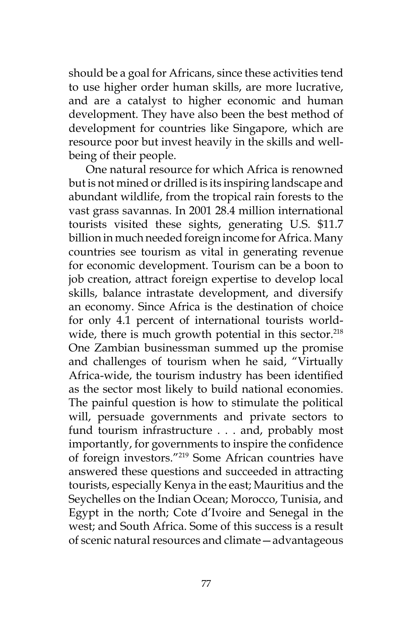should be a goal for Africans, since these activities tend to use higher order human skills, are more lucrative, and are a catalyst to higher economic and human development. They have also been the best method of development for countries like Singapore, which are resource poor but invest heavily in the skills and wellbeing of their people.

One natural resource for which Africa is renowned but is not mined or drilled is its inspiring landscape and abundant wildlife, from the tropical rain forests to the vast grass savannas. In 2001 28.4 million international tourists visited these sights, generating U.S. \$11.7 billion in much needed foreign income for Africa. Many countries see tourism as vital in generating revenue for economic development. Tourism can be a boon to job creation, attract foreign expertise to develop local skills, balance intrastate development, and diversify an economy. Since Africa is the destination of choice for only 4.1 percent of international tourists worldwide, there is much growth potential in this sector. $218$ One Zambian businessman summed up the promise and challenges of tourism when he said, "Virtually Africa-wide, the tourism industry has been identified as the sector most likely to build national economies. The painful question is how to stimulate the political will, persuade governments and private sectors to fund tourism infrastructure . . . and, probably most importantly, for governments to inspire the confidence of foreign investors."219 Some African countries have answered these questions and succeeded in attracting tourists, especially Kenya in the east; Mauritius and the Seychelles on the Indian Ocean; Morocco, Tunisia, and Egypt in the north; Cote d'Ivoire and Senegal in the west; and South Africa. Some of this success is a result of scenic natural resources and climate—advantageous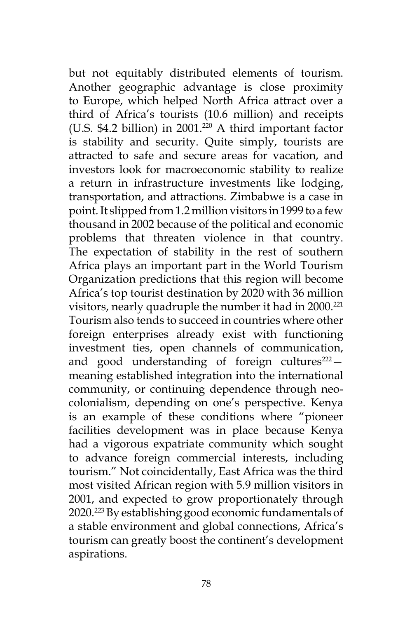but not equitably distributed elements of tourism. Another geographic advantage is close proximity to Europe, which helped North Africa attract over a third of Africa's tourists (10.6 million) and receipts (U.S. \$4.2 billion) in 2001.220 A third important factor is stability and security. Quite simply, tourists are attracted to safe and secure areas for vacation, and investors look for macroeconomic stability to realize a return in infrastructure investments like lodging, transportation, and attractions. Zimbabwe is a case in point. It slipped from 1.2 million visitors in 1999 to a few thousand in 2002 because of the political and economic problems that threaten violence in that country. The expectation of stability in the rest of southern Africa plays an important part in the World Tourism Organization predictions that this region will become Africa's top tourist destination by 2020 with 36 million visitors, nearly quadruple the number it had in 2000.<sup>221</sup> Tourism also tends to succeed in countries where other foreign enterprises already exist with functioning investment ties, open channels of communication, and good understanding of foreign cultures $222$ meaning established integration into the international community, or continuing dependence through neocolonialism, depending on one's perspective. Kenya is an example of these conditions where "pioneer facilities development was in place because Kenya had a vigorous expatriate community which sought to advance foreign commercial interests, including tourism." Not coincidentally, East Africa was the third most visited African region with 5.9 million visitors in 2001, and expected to grow proportionately through 2020.223 By establishing good economic fundamentals of a stable environment and global connections, Africa's tourism can greatly boost the continent's development aspirations.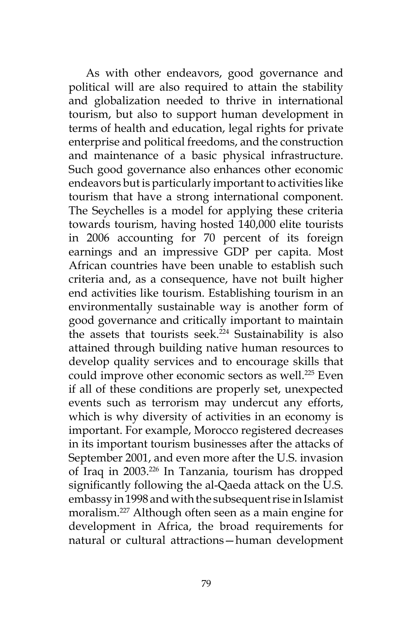As with other endeavors, good governance and political will are also required to attain the stability and globalization needed to thrive in international tourism, but also to support human development in terms of health and education, legal rights for private enterprise and political freedoms, and the construction and maintenance of a basic physical infrastructure. Such good governance also enhances other economic endeavors but is particularly important to activities like tourism that have a strong international component. The Seychelles is a model for applying these criteria towards tourism, having hosted 140,000 elite tourists in 2006 accounting for 70 percent of its foreign earnings and an impressive GDP per capita. Most African countries have been unable to establish such criteria and, as a consequence, have not built higher end activities like tourism. Establishing tourism in an environmentally sustainable way is another form of good governance and critically important to maintain the assets that tourists seek.<sup>224</sup> Sustainability is also attained through building native human resources to develop quality services and to encourage skills that could improve other economic sectors as well.<sup>225</sup> Even if all of these conditions are properly set, unexpected events such as terrorism may undercut any efforts, which is why diversity of activities in an economy is important. For example, Morocco registered decreases in its important tourism businesses after the attacks of September 2001, and even more after the U.S. invasion of Iraq in 2003.226 In Tanzania, tourism has dropped significantly following the al-Qaeda attack on the U.S. embassy in 1998 and with the subsequent rise in Islamist moralism.227 Although often seen as a main engine for development in Africa, the broad requirements for natural or cultural attractions—human development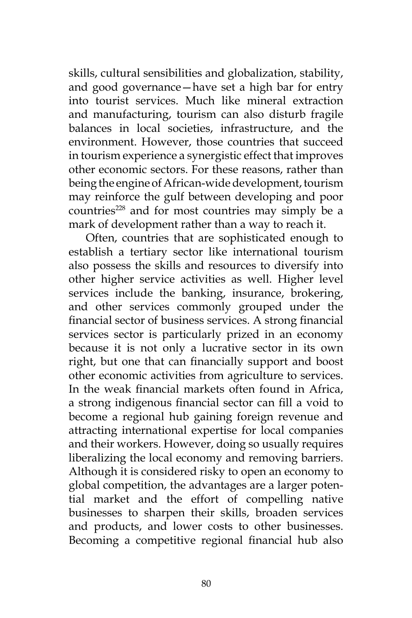skills, cultural sensibilities and globalization, stability, and good governance—have set a high bar for entry into tourist services. Much like mineral extraction and manufacturing, tourism can also disturb fragile balances in local societies, infrastructure, and the environment. However, those countries that succeed in tourism experience a synergistic effect that improves other economic sectors. For these reasons, rather than being the engine of African-wide development, tourism may reinforce the gulf between developing and poor countries<sup>228</sup> and for most countries may simply be a mark of development rather than a way to reach it.

Often, countries that are sophisticated enough to establish a tertiary sector like international tourism also possess the skills and resources to diversify into other higher service activities as well. Higher level services include the banking, insurance, brokering, and other services commonly grouped under the financial sector of business services. A strong financial services sector is particularly prized in an economy because it is not only a lucrative sector in its own right, but one that can financially support and boost other economic activities from agriculture to services. In the weak financial markets often found in Africa, a strong indigenous financial sector can fill a void to become a regional hub gaining foreign revenue and attracting international expertise for local companies and their workers. However, doing so usually requires liberalizing the local economy and removing barriers. Although it is considered risky to open an economy to global competition, the advantages are a larger potential market and the effort of compelling native businesses to sharpen their skills, broaden services and products, and lower costs to other businesses. Becoming a competitive regional financial hub also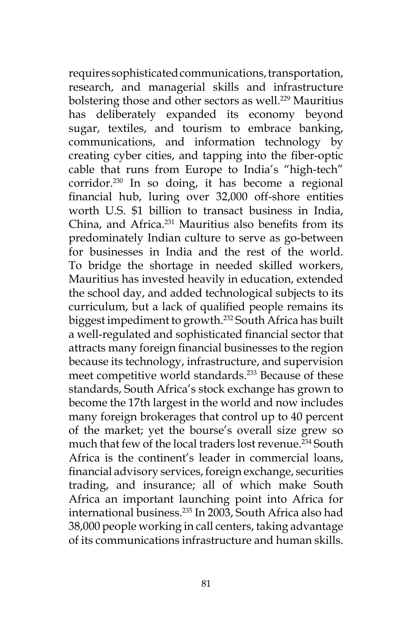requires sophisticated communications, transportation, research, and managerial skills and infrastructure bolstering those and other sectors as well.<sup>229</sup> Mauritius has deliberately expanded its economy beyond sugar, textiles, and tourism to embrace banking, communications, and information technology by creating cyber cities, and tapping into the fiber-optic cable that runs from Europe to India's "high-tech" corridor.<sup>230</sup> In so doing, it has become a regional financial hub, luring over 32,000 off-shore entities worth U.S. \$1 billion to transact business in India, China, and Africa.231 Mauritius also benefits from its predominately Indian culture to serve as go-between for businesses in India and the rest of the world. To bridge the shortage in needed skilled workers, Mauritius has invested heavily in education, extended the school day, and added technological subjects to its curriculum, but a lack of qualified people remains its biggest impediment to growth.232 South Africa has built a well-regulated and sophisticated financial sector that attracts many foreign financial businesses to the region because its technology, infrastructure, and supervision meet competitive world standards.<sup>233</sup> Because of these standards, South Africa's stock exchange has grown to become the 17th largest in the world and now includes many foreign brokerages that control up to 40 percent of the market; yet the bourse's overall size grew so much that few of the local traders lost revenue.<sup>234</sup> South Africa is the continent's leader in commercial loans, financial advisory services, foreign exchange, securities trading, and insurance; all of which make South Africa an important launching point into Africa for international business.235 In 2003, South Africa also had 38,000 people working in call centers, taking advantage of its communications infrastructure and human skills.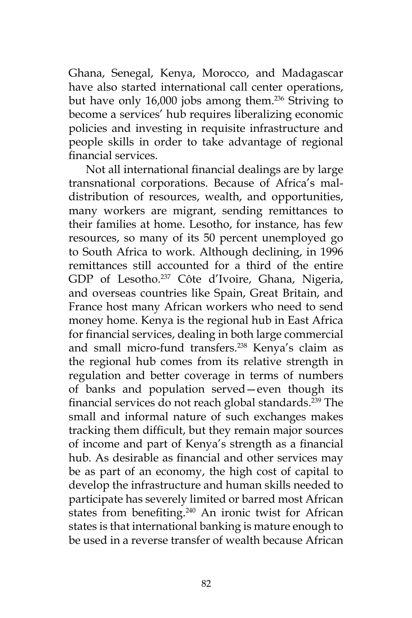Ghana, Senegal, Kenya, Morocco, and Madagascar have also started international call center operations, but have only 16,000 jobs among them.<sup>236</sup> Striving to become a services' hub requires liberalizing economic policies and investing in requisite infrastructure and people skills in order to take advantage of regional financial services.

Not all international financial dealings are by large transnational corporations. Because of Africa's maldistribution of resources, wealth, and opportunities, many workers are migrant, sending remittances to their families at home. Lesotho, for instance, has few resources, so many of its 50 percent unemployed go to South Africa to work. Although declining, in 1996 remittances still accounted for a third of the entire GDP of Lesotho.237 Côte d'Ivoire, Ghana, Nigeria, and overseas countries like Spain, Great Britain, and France host many African workers who need to send money home. Kenya is the regional hub in East Africa for financial services, dealing in both large commercial and small micro-fund transfers.238 Kenya's claim as the regional hub comes from its relative strength in regulation and better coverage in terms of numbers of banks and population served—even though its financial services do not reach global standards.<sup>239</sup> The small and informal nature of such exchanges makes tracking them difficult, but they remain major sources of income and part of Kenya's strength as a financial hub. As desirable as financial and other services may be as part of an economy, the high cost of capital to develop the infrastructure and human skills needed to participate has severely limited or barred most African states from benefiting.<sup>240</sup> An ironic twist for African states is that international banking is mature enough to be used in a reverse transfer of wealth because African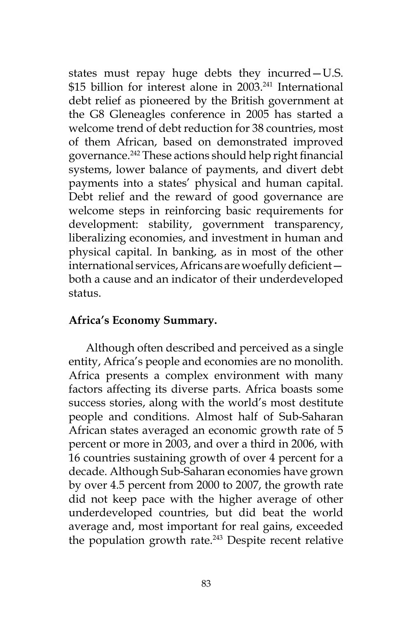states must repay huge debts they incurred—U.S. \$15 billion for interest alone in 2003.<sup>241</sup> International debt relief as pioneered by the British government at the G8 Gleneagles conference in 2005 has started a welcome trend of debt reduction for 38 countries, most of them African, based on demonstrated improved governance.<sup>242</sup> These actions should help right financial systems, lower balance of payments, and divert debt payments into a states' physical and human capital. Debt relief and the reward of good governance are welcome steps in reinforcing basic requirements for development: stability, government transparency, liberalizing economies, and investment in human and physical capital. In banking, as in most of the other international services, Africans are woefully deficient both a cause and an indicator of their underdeveloped status.

## **Africa's Economy Summary.**

Although often described and perceived as a single entity, Africa's people and economies are no monolith. Africa presents a complex environment with many factors affecting its diverse parts. Africa boasts some success stories, along with the world's most destitute people and conditions. Almost half of Sub-Saharan African states averaged an economic growth rate of 5 percent or more in 2003, and over a third in 2006, with 16 countries sustaining growth of over 4 percent for a decade. Although Sub-Saharan economies have grown by over 4.5 percent from 2000 to 2007, the growth rate did not keep pace with the higher average of other underdeveloped countries, but did beat the world average and, most important for real gains, exceeded the population growth rate.<sup>243</sup> Despite recent relative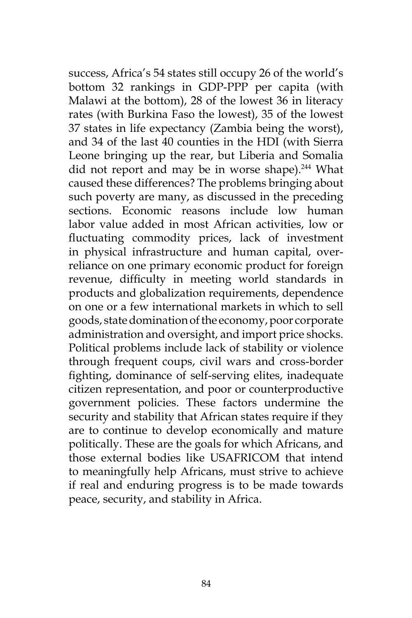success, Africa's 54 states still occupy 26 of the world's bottom 32 rankings in GDP-PPP per capita (with Malawi at the bottom), 28 of the lowest 36 in literacy rates (with Burkina Faso the lowest), 35 of the lowest 37 states in life expectancy (Zambia being the worst), and 34 of the last 40 counties in the HDI (with Sierra Leone bringing up the rear, but Liberia and Somalia did not report and may be in worse shape).<sup>244</sup> What caused these differences? The problems bringing about such poverty are many, as discussed in the preceding sections. Economic reasons include low human labor value added in most African activities, low or fluctuating commodity prices, lack of investment in physical infrastructure and human capital, overreliance on one primary economic product for foreign revenue, difficulty in meeting world standards in products and globalization requirements, dependence on one or a few international markets in which to sell goods, state domination of the economy, poor corporate administration and oversight, and import price shocks. Political problems include lack of stability or violence through frequent coups, civil wars and cross-border fighting, dominance of self-serving elites, inadequate citizen representation, and poor or counterproductive government policies. These factors undermine the security and stability that African states require if they are to continue to develop economically and mature politically. These are the goals for which Africans, and those external bodies like USAFRICOM that intend to meaningfully help Africans, must strive to achieve if real and enduring progress is to be made towards peace, security, and stability in Africa.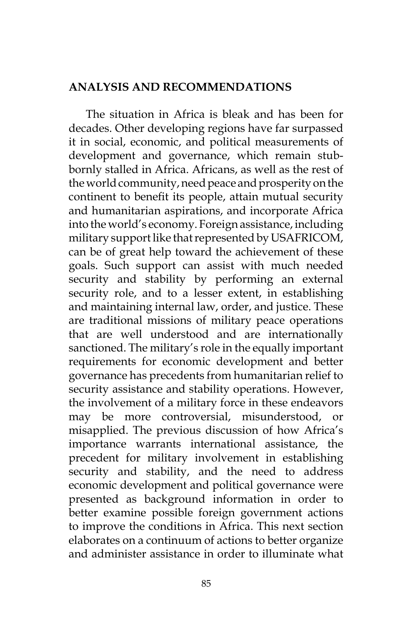### **ANALYSIS AND RECOMMENDATIONS**

The situation in Africa is bleak and has been for decades. Other developing regions have far surpassed it in social, economic, and political measurements of development and governance, which remain stubbornly stalled in Africa. Africans, as well as the rest of the world community, need peace and prosperity on the continent to benefit its people, attain mutual security and humanitarian aspirations, and incorporate Africa into the world's economy. Foreign assistance, including military support like that represented by USAFRICOM, can be of great help toward the achievement of these goals. Such support can assist with much needed security and stability by performing an external security role, and to a lesser extent, in establishing and maintaining internal law, order, and justice. These are traditional missions of military peace operations that are well understood and are internationally sanctioned. The military's role in the equally important requirements for economic development and better governance has precedents from humanitarian relief to security assistance and stability operations. However, the involvement of a military force in these endeavors may be more controversial, misunderstood, or misapplied. The previous discussion of how Africa's importance warrants international assistance, the precedent for military involvement in establishing security and stability, and the need to address economic development and political governance were presented as background information in order to better examine possible foreign government actions to improve the conditions in Africa. This next section elaborates on a continuum of actions to better organize and administer assistance in order to illuminate what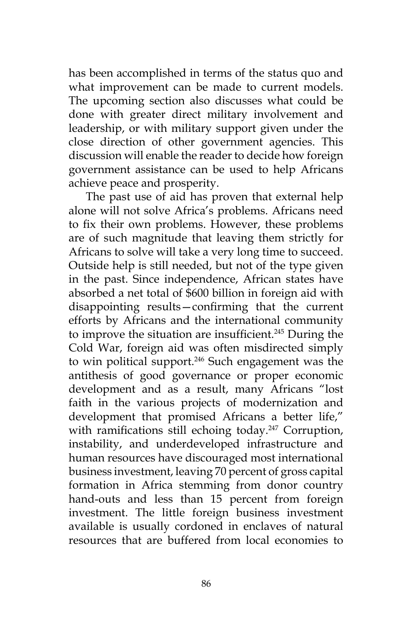has been accomplished in terms of the status quo and what improvement can be made to current models. The upcoming section also discusses what could be done with greater direct military involvement and leadership, or with military support given under the close direction of other government agencies. This discussion will enable the reader to decide how foreign government assistance can be used to help Africans achieve peace and prosperity.

The past use of aid has proven that external help alone will not solve Africa's problems. Africans need to fix their own problems. However, these problems are of such magnitude that leaving them strictly for Africans to solve will take a very long time to succeed. Outside help is still needed, but not of the type given in the past. Since independence, African states have absorbed a net total of \$600 billion in foreign aid with disappointing results—confirming that the current efforts by Africans and the international community to improve the situation are insufficient.<sup>245</sup> During the Cold War, foreign aid was often misdirected simply to win political support.<sup>246</sup> Such engagement was the antithesis of good governance or proper economic development and as a result, many Africans "lost faith in the various projects of modernization and development that promised Africans a better life," with ramifications still echoing today.<sup>247</sup> Corruption, instability, and underdeveloped infrastructure and human resources have discouraged most international business investment, leaving 70 percent of gross capital formation in Africa stemming from donor country hand-outs and less than 15 percent from foreign investment. The little foreign business investment available is usually cordoned in enclaves of natural resources that are buffered from local economies to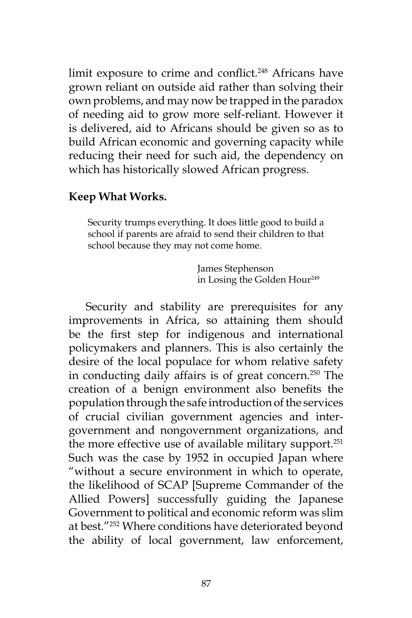limit exposure to crime and conflict.<sup>248</sup> Africans have grown reliant on outside aid rather than solving their own problems, and may now be trapped in the paradox of needing aid to grow more self-reliant. However it is delivered, aid to Africans should be given so as to build African economic and governing capacity while reducing their need for such aid, the dependency on which has historically slowed African progress.

### **Keep What Works.**

Security trumps everything. It does little good to build a school if parents are afraid to send their children to that school because they may not come home.

> James Stephenson in Losing the Golden Hour<sup>249</sup>

Security and stability are prerequisites for any improvements in Africa, so attaining them should be the first step for indigenous and international policymakers and planners. This is also certainly the desire of the local populace for whom relative safety in conducting daily affairs is of great concern.<sup>250</sup> The creation of a benign environment also benefits the population through the safe introduction of the services of crucial civilian government agencies and intergovernment and nongovernment organizations, and the more effective use of available military support.<sup>251</sup> Such was the case by 1952 in occupied Japan where "without a secure environment in which to operate, the likelihood of SCAP [Supreme Commander of the Allied Powers] successfully guiding the Japanese Government to political and economic reform was slim at best."<sup>252</sup> Where conditions have deteriorated beyond the ability of local government, law enforcement,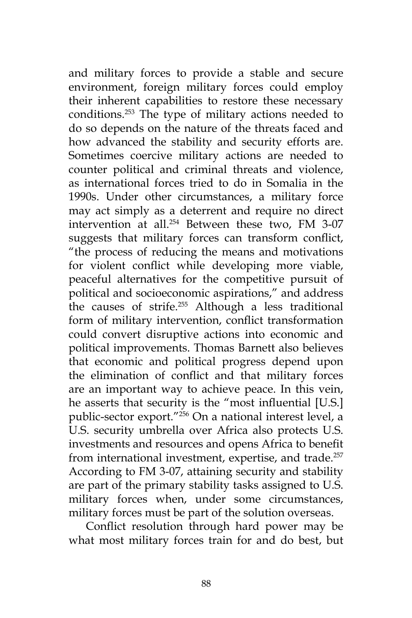and military forces to provide a stable and secure environment, foreign military forces could employ their inherent capabilities to restore these necessary conditions.253 The type of military actions needed to do so depends on the nature of the threats faced and how advanced the stability and security efforts are. Sometimes coercive military actions are needed to counter political and criminal threats and violence, as international forces tried to do in Somalia in the 1990s. Under other circumstances, a military force may act simply as a deterrent and require no direct intervention at all.254 Between these two, FM 3-07 suggests that military forces can transform conflict, "the process of reducing the means and motivations for violent conflict while developing more viable, peaceful alternatives for the competitive pursuit of political and socioeconomic aspirations," and address the causes of strife.<sup>255</sup> Although a less traditional form of military intervention, conflict transformation could convert disruptive actions into economic and political improvements. Thomas Barnett also believes that economic and political progress depend upon the elimination of conflict and that military forces are an important way to achieve peace. In this vein, he asserts that security is the "most influential [U.S.] public-sector export."<sup>256</sup> On a national interest level, a U.S. security umbrella over Africa also protects U.S. investments and resources and opens Africa to benefit from international investment, expertise, and trade.<sup>257</sup> According to FM 3-07, attaining security and stability are part of the primary stability tasks assigned to U.S. military forces when, under some circumstances, military forces must be part of the solution overseas.

Conflict resolution through hard power may be what most military forces train for and do best, but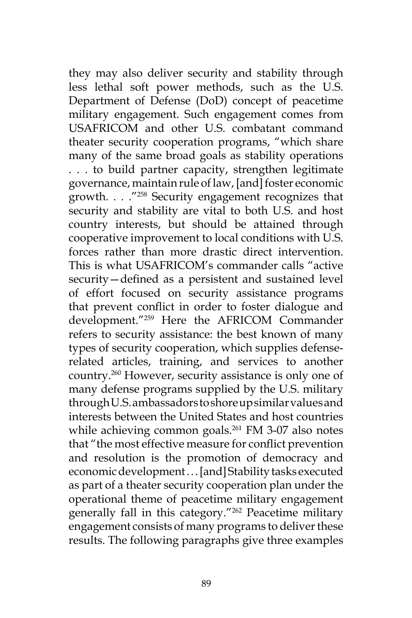they may also deliver security and stability through less lethal soft power methods, such as the U.S. Department of Defense (DoD) concept of peacetime military engagement. Such engagement comes from USAFRICOM and other U.S. combatant command theater security cooperation programs, "which share many of the same broad goals as stability operations . . . to build partner capacity, strengthen legitimate governance, maintain rule of law, [and] foster economic growth. . . ."258 Security engagement recognizes that security and stability are vital to both U.S. and host country interests, but should be attained through cooperative improvement to local conditions with U.S. forces rather than more drastic direct intervention. This is what USAFRICOM's commander calls "active security—defined as a persistent and sustained level of effort focused on security assistance programs that prevent conflict in order to foster dialogue and development."259 Here the AFRICOM Commander refers to security assistance: the best known of many types of security cooperation, which supplies defenserelated articles, training, and services to another country.260 However, security assistance is only one of many defense programs supplied by the U.S. military through U.S. ambassadors to shore up similar values and interests between the United States and host countries while achieving common goals.<sup>261</sup> FM 3-07 also notes that "the most effective measure for conflict prevention and resolution is the promotion of democracy and economic development . . . [and] Stability tasks executed as part of a theater security cooperation plan under the operational theme of peacetime military engagement generally fall in this category."<sup>262</sup> Peacetime military engagement consists of many programs to deliver these results. The following paragraphs give three examples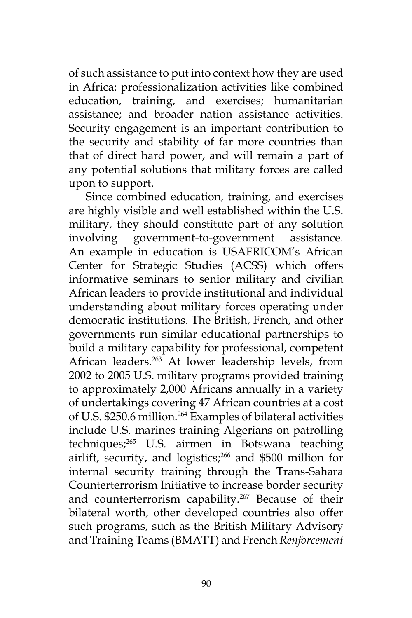of such assistance to put into context how they are used in Africa: professionalization activities like combined education, training, and exercises; humanitarian assistance; and broader nation assistance activities. Security engagement is an important contribution to the security and stability of far more countries than that of direct hard power, and will remain a part of any potential solutions that military forces are called upon to support.

Since combined education, training, and exercises are highly visible and well established within the U.S. military, they should constitute part of any solution involving government-to-government assistance. An example in education is USAFRICOM's African Center for Strategic Studies (ACSS) which offers informative seminars to senior military and civilian African leaders to provide institutional and individual understanding about military forces operating under democratic institutions. The British, French, and other governments run similar educational partnerships to build a military capability for professional, competent African leaders.263 At lower leadership levels, from 2002 to 2005 U.S. military programs provided training to approximately 2,000 Africans annually in a variety of undertakings covering 47 African countries at a cost of U.S. \$250.6 million.<sup>264</sup> Examples of bilateral activities include U.S. marines training Algerians on patrolling techniques;265 U.S. airmen in Botswana teaching airlift, security, and logistics;<sup>266</sup> and \$500 million for internal security training through the Trans-Sahara Counterterrorism Initiative to increase border security and counterterrorism capability.<sup>267</sup> Because of their bilateral worth, other developed countries also offer such programs, such as the British Military Advisory and Training Teams (BMATT) and French *Renforcement*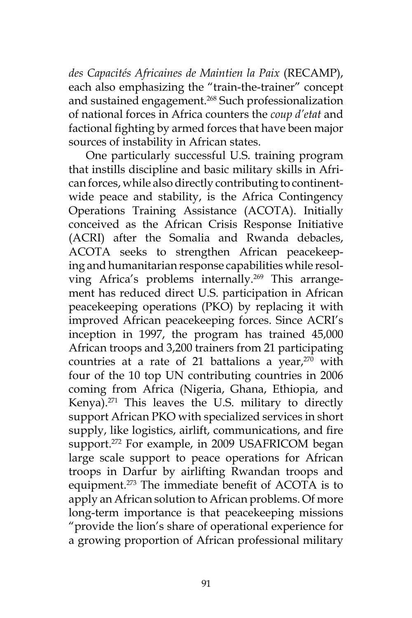*des Capacités Africaines de Maintien la Paix* (RECAMP), each also emphasizing the "train-the-trainer" concept and sustained engagement.<sup>268</sup> Such professionalization of national forces in Africa counters the *coup d'etat* and factional fighting by armed forces that have been major sources of instability in African states.

One particularly successful U.S. training program that instills discipline and basic military skills in African forces, while also directly contributing to continentwide peace and stability, is the Africa Contingency Operations Training Assistance (ACOTA). Initially conceived as the African Crisis Response Initiative (ACRI) after the Somalia and Rwanda debacles, ACOTA seeks to strengthen African peacekeeping and humanitarian response capabilities while resolving Africa's problems internally.<sup>269</sup> This arrangement has reduced direct U.S. participation in African peacekeeping operations (PKO) by replacing it with improved African peacekeeping forces. Since ACRI's inception in 1997, the program has trained 45,000 African troops and 3,200 trainers from 21 participating countries at a rate of 21 battalions a year, $270$  with four of the 10 top UN contributing countries in 2006 coming from Africa (Nigeria, Ghana, Ethiopia, and Kenya). $271$  This leaves the U.S. military to directly support African PKO with specialized services in short supply, like logistics, airlift, communications, and fire support.<sup>272</sup> For example, in 2009 USAFRICOM began large scale support to peace operations for African troops in Darfur by airlifting Rwandan troops and equipment.273 The immediate benefit of ACOTA is to apply an African solution to African problems. Of more long-term importance is that peacekeeping missions "provide the lion's share of operational experience for a growing proportion of African professional military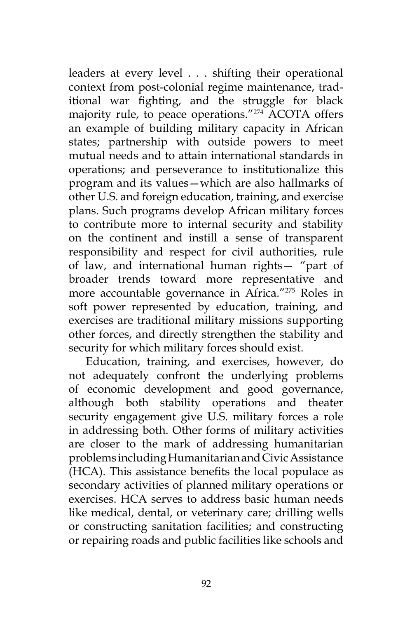leaders at every level . . . shifting their operational context from post-colonial regime maintenance, traditional war fighting, and the struggle for black majority rule, to peace operations."274 ACOTA offers an example of building military capacity in African states; partnership with outside powers to meet mutual needs and to attain international standards in operations; and perseverance to institutionalize this program and its values—which are also hallmarks of other U.S. and foreign education, training, and exercise plans. Such programs develop African military forces to contribute more to internal security and stability on the continent and instill a sense of transparent responsibility and respect for civil authorities, rule of law, and international human rights— "part of broader trends toward more representative and more accountable governance in Africa."275 Roles in soft power represented by education, training, and exercises are traditional military missions supporting other forces, and directly strengthen the stability and security for which military forces should exist.

Education, training, and exercises, however, do not adequately confront the underlying problems of economic development and good governance, although both stability operations and theater security engagement give U.S. military forces a role in addressing both. Other forms of military activities are closer to the mark of addressing humanitarian problems including Humanitarian and Civic Assistance (HCA). This assistance benefits the local populace as secondary activities of planned military operations or exercises. HCA serves to address basic human needs like medical, dental, or veterinary care; drilling wells or constructing sanitation facilities; and constructing or repairing roads and public facilities like schools and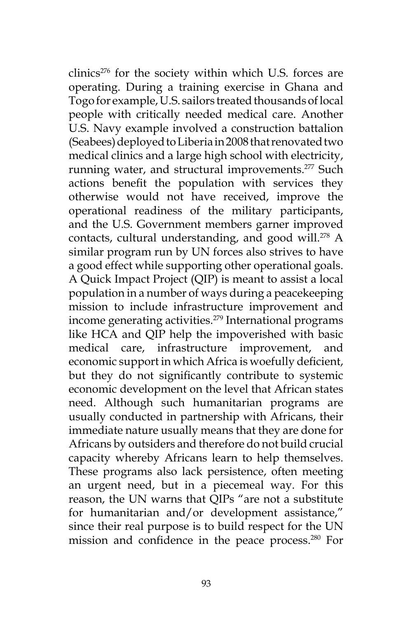clinics<sup>276</sup> for the society within which U.S. forces are operating. During a training exercise in Ghana and Togo for example, U.S. sailors treated thousands of local people with critically needed medical care. Another U.S. Navy example involved a construction battalion (Seabees) deployed to Liberia in 2008 that renovated two medical clinics and a large high school with electricity, running water, and structural improvements.<sup>277</sup> Such actions benefit the population with services they otherwise would not have received, improve the operational readiness of the military participants, and the U.S. Government members garner improved contacts, cultural understanding, and good will.<sup>278</sup> A similar program run by UN forces also strives to have a good effect while supporting other operational goals. A Quick Impact Project (QIP) is meant to assist a local population in a number of ways during a peacekeeping mission to include infrastructure improvement and income generating activities.<sup>279</sup> International programs like HCA and QIP help the impoverished with basic medical care, infrastructure improvement, and economic support in which Africa is woefully deficient, but they do not significantly contribute to systemic economic development on the level that African states need. Although such humanitarian programs are usually conducted in partnership with Africans, their immediate nature usually means that they are done for Africans by outsiders and therefore do not build crucial capacity whereby Africans learn to help themselves. These programs also lack persistence, often meeting an urgent need, but in a piecemeal way. For this reason, the UN warns that QIPs "are not a substitute for humanitarian and/or development assistance," since their real purpose is to build respect for the UN mission and confidence in the peace process.280 For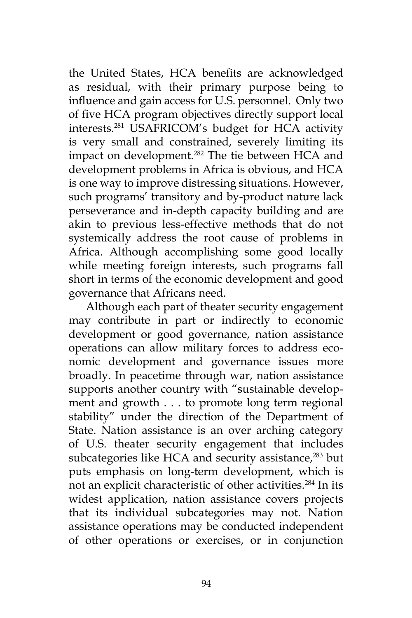the United States, HCA benefits are acknowledged as residual, with their primary purpose being to influence and gain access for U.S. personnel. Only two of five HCA program objectives directly support local interests.281 USAFRICOM's budget for HCA activity is very small and constrained, severely limiting its impact on development.<sup>282</sup> The tie between HCA and development problems in Africa is obvious, and HCA is one way to improve distressing situations. However, such programs' transitory and by-product nature lack perseverance and in-depth capacity building and are akin to previous less-effective methods that do not systemically address the root cause of problems in Africa. Although accomplishing some good locally while meeting foreign interests, such programs fall short in terms of the economic development and good governance that Africans need.

Although each part of theater security engagement may contribute in part or indirectly to economic development or good governance, nation assistance operations can allow military forces to address economic development and governance issues more broadly. In peacetime through war, nation assistance supports another country with "sustainable development and growth . . . to promote long term regional stability" under the direction of the Department of State. Nation assistance is an over arching category of U.S. theater security engagement that includes subcategories like HCA and security assistance,<sup>283</sup> but puts emphasis on long-term development, which is not an explicit characteristic of other activities.284 In its widest application, nation assistance covers projects that its individual subcategories may not. Nation assistance operations may be conducted independent of other operations or exercises, or in conjunction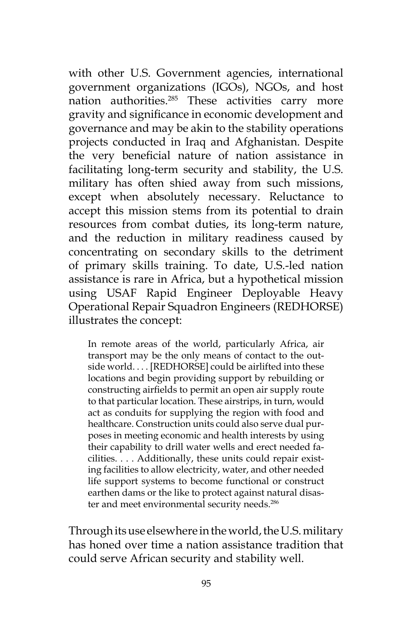with other U.S. Government agencies, international government organizations (IGOs), NGOs, and host nation authorities.<sup>285</sup> These activities carry more gravity and significance in economic development and governance and may be akin to the stability operations projects conducted in Iraq and Afghanistan. Despite the very beneficial nature of nation assistance in facilitating long-term security and stability, the U.S. military has often shied away from such missions, except when absolutely necessary. Reluctance to accept this mission stems from its potential to drain resources from combat duties, its long-term nature, and the reduction in military readiness caused by concentrating on secondary skills to the detriment of primary skills training. To date, U.S.-led nation assistance is rare in Africa, but a hypothetical mission using USAF Rapid Engineer Deployable Heavy Operational Repair Squadron Engineers (REDHORSE) illustrates the concept:

In remote areas of the world, particularly Africa, air transport may be the only means of contact to the outside world. . . . [REDHORSE] could be airlifted into these locations and begin providing support by rebuilding or constructing airfields to permit an open air supply route to that particular location. These airstrips, in turn, would act as conduits for supplying the region with food and healthcare. Construction units could also serve dual purposes in meeting economic and health interests by using their capability to drill water wells and erect needed facilities. . . . Additionally, these units could repair existing facilities to allow electricity, water, and other needed life support systems to become functional or construct earthen dams or the like to protect against natural disaster and meet environmental security needs.<sup>286</sup>

Through its use elsewhere in the world, the U.S. military has honed over time a nation assistance tradition that could serve African security and stability well.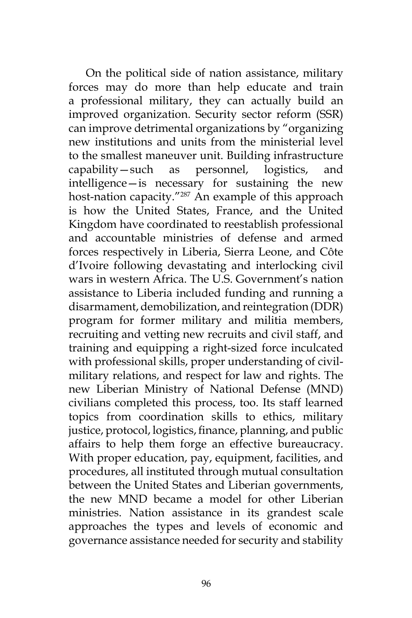On the political side of nation assistance, military forces may do more than help educate and train a professional military, they can actually build an improved organization. Security sector reform (SSR) can improve detrimental organizations by "organizing new institutions and units from the ministerial level to the smallest maneuver unit. Building infrastructure capability—such as personnel, logistics, and intelligence—is necessary for sustaining the new host-nation capacity."287 An example of this approach is how the United States, France, and the United Kingdom have coordinated to reestablish professional and accountable ministries of defense and armed forces respectively in Liberia, Sierra Leone, and Côte d'Ivoire following devastating and interlocking civil wars in western Africa. The U.S. Government's nation assistance to Liberia included funding and running a disarmament, demobilization, and reintegration (DDR) program for former military and militia members, recruiting and vetting new recruits and civil staff, and training and equipping a right-sized force inculcated with professional skills, proper understanding of civilmilitary relations, and respect for law and rights. The new Liberian Ministry of National Defense (MND) civilians completed this process, too. Its staff learned topics from coordination skills to ethics, military justice, protocol, logistics, finance, planning, and public affairs to help them forge an effective bureaucracy. With proper education, pay, equipment, facilities, and procedures, all instituted through mutual consultation between the United States and Liberian governments, the new MND became a model for other Liberian ministries. Nation assistance in its grandest scale approaches the types and levels of economic and governance assistance needed for security and stability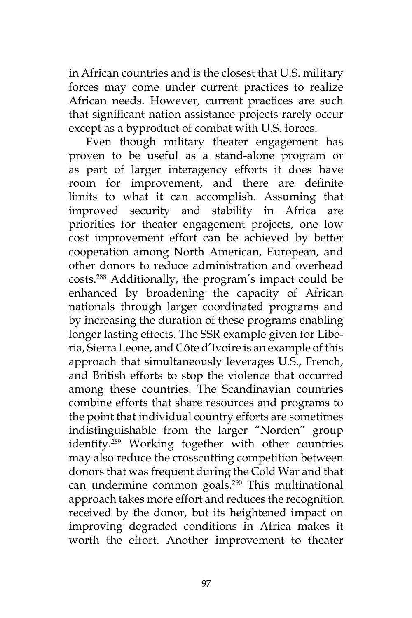in African countries and is the closest that U.S. military forces may come under current practices to realize African needs. However, current practices are such that significant nation assistance projects rarely occur except as a byproduct of combat with U.S. forces.

Even though military theater engagement has proven to be useful as a stand-alone program or as part of larger interagency efforts it does have room for improvement, and there are definite limits to what it can accomplish. Assuming that improved security and stability in Africa are priorities for theater engagement projects, one low cost improvement effort can be achieved by better cooperation among North American, European, and other donors to reduce administration and overhead costs.288 Additionally, the program's impact could be enhanced by broadening the capacity of African nationals through larger coordinated programs and by increasing the duration of these programs enabling longer lasting effects. The SSR example given for Liberia, Sierra Leone, and Côte d'Ivoire is an example of this approach that simultaneously leverages U.S., French, and British efforts to stop the violence that occurred among these countries. The Scandinavian countries combine efforts that share resources and programs to the point that individual country efforts are sometimes indistinguishable from the larger "Norden" group identity.<sup>289</sup> Working together with other countries may also reduce the crosscutting competition between donors that was frequent during the Cold War and that can undermine common goals.290 This multinational approach takes more effort and reduces the recognition received by the donor, but its heightened impact on improving degraded conditions in Africa makes it worth the effort. Another improvement to theater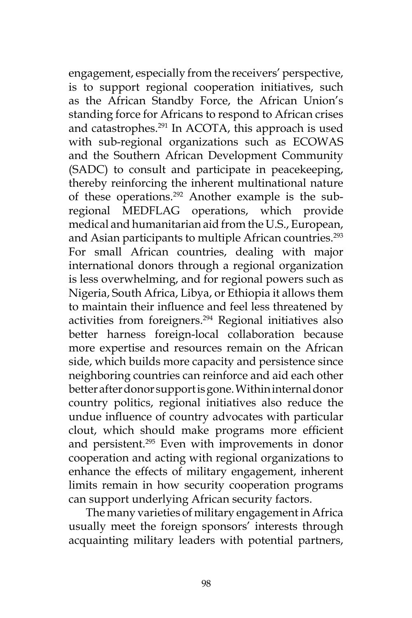engagement, especially from the receivers' perspective, is to support regional cooperation initiatives, such as the African Standby Force, the African Union's standing force for Africans to respond to African crises and catastrophes.291 In ACOTA, this approach is used with sub-regional organizations such as ECOWAS and the Southern African Development Community (SADC) to consult and participate in peacekeeping, thereby reinforcing the inherent multinational nature of these operations.<sup>292</sup> Another example is the subregional MEDFLAG operations, which provide medical and humanitarian aid from the U.S., European, and Asian participants to multiple African countries.<sup>293</sup> For small African countries, dealing with major international donors through a regional organization is less overwhelming, and for regional powers such as Nigeria, South Africa, Libya, or Ethiopia it allows them to maintain their influence and feel less threatened by activities from foreigners.294 Regional initiatives also better harness foreign-local collaboration because more expertise and resources remain on the African side, which builds more capacity and persistence since neighboring countries can reinforce and aid each other better after donor support is gone. Within internal donor country politics, regional initiatives also reduce the undue influence of country advocates with particular clout, which should make programs more efficient and persistent.<sup>295</sup> Even with improvements in donor cooperation and acting with regional organizations to enhance the effects of military engagement, inherent limits remain in how security cooperation programs can support underlying African security factors.

The many varieties of military engagement in Africa usually meet the foreign sponsors' interests through acquainting military leaders with potential partners,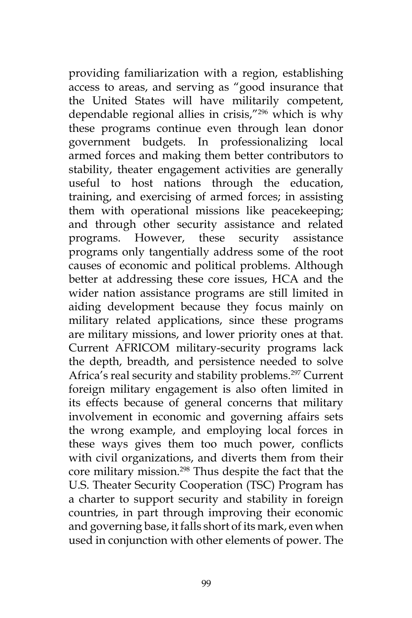providing familiarization with a region, establishing access to areas, and serving as "good insurance that the United States will have militarily competent, dependable regional allies in crisis,"296 which is why these programs continue even through lean donor government budgets. In professionalizing local armed forces and making them better contributors to stability, theater engagement activities are generally useful to host nations through the education, training, and exercising of armed forces; in assisting them with operational missions like peacekeeping; and through other security assistance and related programs. However, these security assistance programs only tangentially address some of the root causes of economic and political problems. Although better at addressing these core issues, HCA and the wider nation assistance programs are still limited in aiding development because they focus mainly on military related applications, since these programs are military missions, and lower priority ones at that. Current AFRICOM military-security programs lack the depth, breadth, and persistence needed to solve Africa's real security and stability problems.<sup>297</sup> Current foreign military engagement is also often limited in its effects because of general concerns that military involvement in economic and governing affairs sets the wrong example, and employing local forces in these ways gives them too much power, conflicts with civil organizations, and diverts them from their core military mission.<sup>298</sup> Thus despite the fact that the U.S. Theater Security Cooperation (TSC) Program has a charter to support security and stability in foreign countries, in part through improving their economic and governing base, it falls short of its mark, even when used in conjunction with other elements of power. The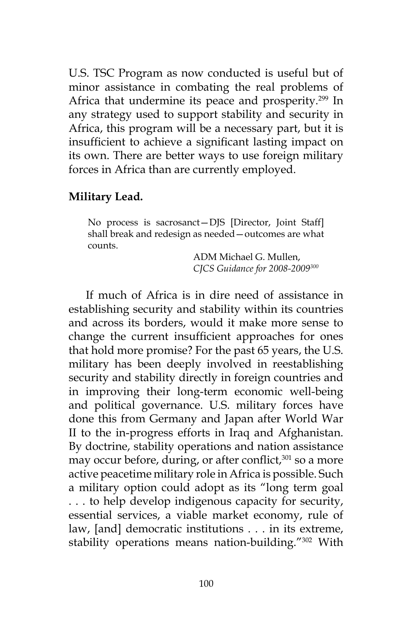U.S. TSC Program as now conducted is useful but of minor assistance in combating the real problems of Africa that undermine its peace and prosperity.<sup>299</sup> In any strategy used to support stability and security in Africa, this program will be a necessary part, but it is insufficient to achieve a significant lasting impact on its own. There are better ways to use foreign military forces in Africa than are currently employed.

### **Military Lead.**

No process is sacrosanct—DJS [Director, Joint Staff] shall break and redesign as needed—outcomes are what counts.

> ADM Michael G. Mullen, *CJCS Guidance for 2008-2009300*

If much of Africa is in dire need of assistance in establishing security and stability within its countries and across its borders, would it make more sense to change the current insufficient approaches for ones that hold more promise? For the past 65 years, the U.S. military has been deeply involved in reestablishing security and stability directly in foreign countries and in improving their long-term economic well-being and political governance. U.S. military forces have done this from Germany and Japan after World War II to the in-progress efforts in Iraq and Afghanistan. By doctrine, stability operations and nation assistance may occur before, during, or after conflict,<sup>301</sup> so a more active peacetime military role in Africa is possible. Such a military option could adopt as its "long term goal . . . to help develop indigenous capacity for security, essential services, a viable market economy, rule of law, [and] democratic institutions . . . in its extreme, stability operations means nation-building."302 With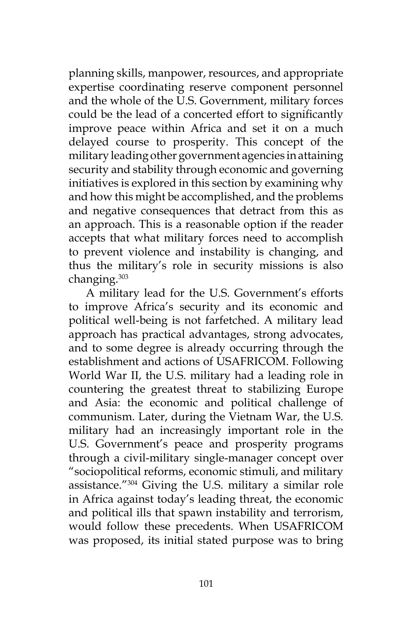planning skills, manpower, resources, and appropriate expertise coordinating reserve component personnel and the whole of the U.S. Government, military forces could be the lead of a concerted effort to significantly improve peace within Africa and set it on a much delayed course to prosperity. This concept of the military leading other government agencies in attaining security and stability through economic and governing initiatives is explored in this section by examining why and how this might be accomplished, and the problems and negative consequences that detract from this as an approach. This is a reasonable option if the reader accepts that what military forces need to accomplish to prevent violence and instability is changing, and thus the military's role in security missions is also changing.303

A military lead for the U.S. Government's efforts to improve Africa's security and its economic and political well-being is not farfetched. A military lead approach has practical advantages, strong advocates, and to some degree is already occurring through the establishment and actions of USAFRICOM. Following World War II, the U.S. military had a leading role in countering the greatest threat to stabilizing Europe and Asia: the economic and political challenge of communism. Later, during the Vietnam War, the U.S. military had an increasingly important role in the U.S. Government's peace and prosperity programs through a civil-military single-manager concept over "sociopolitical reforms, economic stimuli, and military assistance."304 Giving the U.S. military a similar role in Africa against today's leading threat, the economic and political ills that spawn instability and terrorism, would follow these precedents. When USAFRICOM was proposed, its initial stated purpose was to bring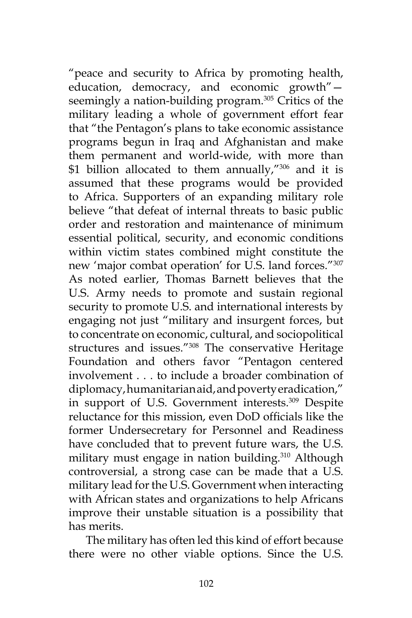"peace and security to Africa by promoting health, education, democracy, and economic growth" seemingly a nation-building program.<sup>305</sup> Critics of the military leading a whole of government effort fear that "the Pentagon's plans to take economic assistance programs begun in Iraq and Afghanistan and make them permanent and world-wide, with more than \$1 billion allocated to them annually,"306 and it is assumed that these programs would be provided to Africa. Supporters of an expanding military role believe "that defeat of internal threats to basic public order and restoration and maintenance of minimum essential political, security, and economic conditions within victim states combined might constitute the new 'major combat operation' for U.S. land forces."307 As noted earlier, Thomas Barnett believes that the U.S. Army needs to promote and sustain regional security to promote U.S. and international interests by engaging not just "military and insurgent forces, but to concentrate on economic, cultural, and sociopolitical structures and issues."308 The conservative Heritage Foundation and others favor "Pentagon centered involvement . . . to include a broader combination of diplomacy, humanitarian aid, and poverty eradication," in support of U.S. Government interests.<sup>309</sup> Despite reluctance for this mission, even DoD officials like the former Undersecretary for Personnel and Readiness have concluded that to prevent future wars, the U.S. military must engage in nation building.<sup>310</sup> Although controversial, a strong case can be made that a U.S. military lead for the U.S. Government when interacting with African states and organizations to help Africans improve their unstable situation is a possibility that has merits.

The military has often led this kind of effort because there were no other viable options. Since the U.S.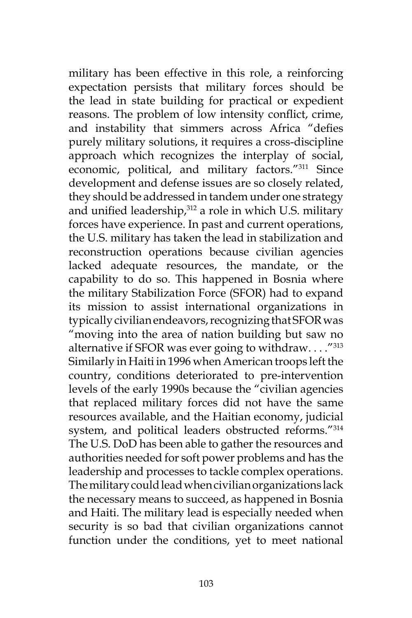military has been effective in this role, a reinforcing expectation persists that military forces should be the lead in state building for practical or expedient reasons. The problem of low intensity conflict, crime, and instability that simmers across Africa "defies purely military solutions, it requires a cross-discipline approach which recognizes the interplay of social, economic, political, and military factors."311 Since development and defense issues are so closely related, they should be addressed in tandem under one strategy and unified leadership,<sup>312</sup> a role in which U.S. military forces have experience. In past and current operations, the U.S. military has taken the lead in stabilization and reconstruction operations because civilian agencies lacked adequate resources, the mandate, or the capability to do so. This happened in Bosnia where the military Stabilization Force (SFOR) had to expand its mission to assist international organizations in typically civilian endeavors, recognizing that SFOR was "moving into the area of nation building but saw no alternative if SFOR was ever going to withdraw...."<sup>313</sup> Similarly in Haiti in 1996 when American troops left the country, conditions deteriorated to pre-intervention levels of the early 1990s because the "civilian agencies that replaced military forces did not have the same resources available, and the Haitian economy, judicial system, and political leaders obstructed reforms."314 The U.S. DoD has been able to gather the resources and authorities needed for soft power problems and has the leadership and processes to tackle complex operations. The military could lead when civilian organizations lack the necessary means to succeed, as happened in Bosnia and Haiti. The military lead is especially needed when security is so bad that civilian organizations cannot function under the conditions, yet to meet national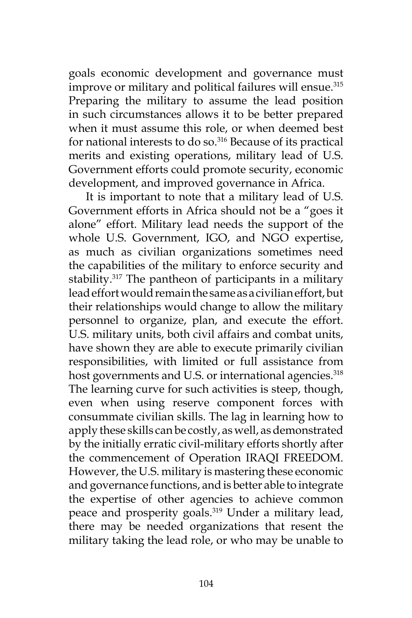goals economic development and governance must improve or military and political failures will ensue.<sup>315</sup> Preparing the military to assume the lead position in such circumstances allows it to be better prepared when it must assume this role, or when deemed best for national interests to do so.<sup>316</sup> Because of its practical merits and existing operations, military lead of U.S. Government efforts could promote security, economic development, and improved governance in Africa.

It is important to note that a military lead of U.S. Government efforts in Africa should not be a "goes it alone" effort. Military lead needs the support of the whole U.S. Government, IGO, and NGO expertise, as much as civilian organizations sometimes need the capabilities of the military to enforce security and stability.<sup>317</sup> The pantheon of participants in a military lead effort would remain the same as a civilian effort, but their relationships would change to allow the military personnel to organize, plan, and execute the effort. U.S. military units, both civil affairs and combat units, have shown they are able to execute primarily civilian responsibilities, with limited or full assistance from host governments and U.S. or international agencies.<sup>318</sup> The learning curve for such activities is steep, though, even when using reserve component forces with consummate civilian skills. The lag in learning how to apply these skills can be costly, as well, as demonstrated by the initially erratic civil-military efforts shortly after the commencement of Operation IRAQI FREEDOM. However, the U.S. military is mastering these economic and governance functions, and is better able to integrate the expertise of other agencies to achieve common peace and prosperity goals.<sup>319</sup> Under a military lead, there may be needed organizations that resent the military taking the lead role, or who may be unable to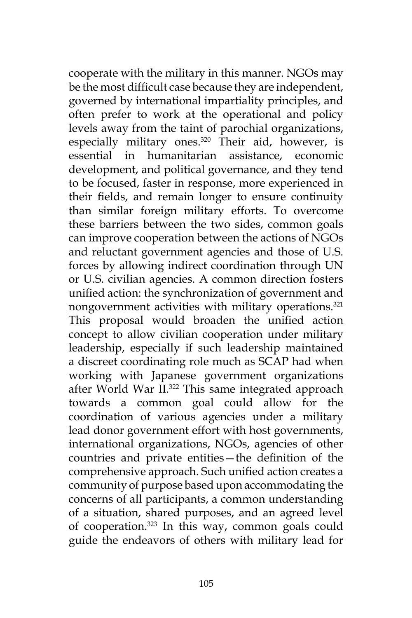cooperate with the military in this manner. NGOs may be the most difficult case because they are independent, governed by international impartiality principles, and often prefer to work at the operational and policy levels away from the taint of parochial organizations, especially military ones.<sup>320</sup> Their aid, however, is essential in humanitarian assistance, economic development, and political governance, and they tend to be focused, faster in response, more experienced in their fields, and remain longer to ensure continuity than similar foreign military efforts. To overcome these barriers between the two sides, common goals can improve cooperation between the actions of NGOs and reluctant government agencies and those of U.S. forces by allowing indirect coordination through UN or U.S. civilian agencies. A common direction fosters unified action: the synchronization of government and nongovernment activities with military operations.321 This proposal would broaden the unified action concept to allow civilian cooperation under military leadership, especially if such leadership maintained a discreet coordinating role much as SCAP had when working with Japanese government organizations after World War II.<sup>322</sup> This same integrated approach towards a common goal could allow for the coordination of various agencies under a military lead donor government effort with host governments, international organizations, NGOs, agencies of other countries and private entities—the definition of the comprehensive approach. Such unified action creates a community of purpose based upon accommodating the concerns of all participants, a common understanding of a situation, shared purposes, and an agreed level of cooperation.323 In this way, common goals could guide the endeavors of others with military lead for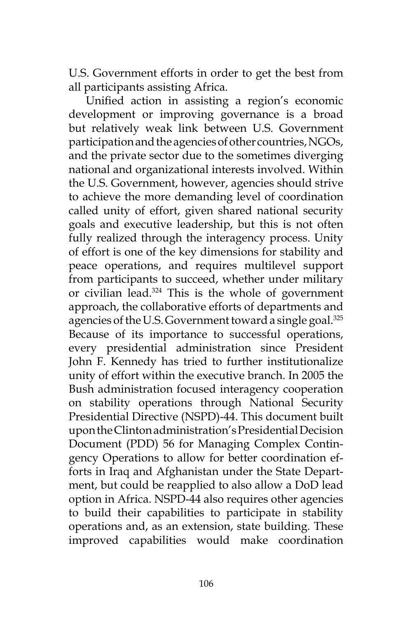U.S. Government efforts in order to get the best from all participants assisting Africa.

Unified action in assisting a region's economic development or improving governance is a broad but relatively weak link between U.S. Government participation and the agencies of other countries, NGOs, and the private sector due to the sometimes diverging national and organizational interests involved. Within the U.S. Government, however, agencies should strive to achieve the more demanding level of coordination called unity of effort, given shared national security goals and executive leadership, but this is not often fully realized through the interagency process. Unity of effort is one of the key dimensions for stability and peace operations, and requires multilevel support from participants to succeed, whether under military or civilian lead. $324$  This is the whole of government approach, the collaborative efforts of departments and agencies of the U.S. Government toward a single goal.<sup>325</sup> Because of its importance to successful operations, every presidential administration since President John F. Kennedy has tried to further institutionalize unity of effort within the executive branch. In 2005 the Bush administration focused interagency cooperation on stability operations through National Security Presidential Directive (NSPD)-44. This document built upon the Clinton administration's Presidential Decision Document (PDD) 56 for Managing Complex Contingency Operations to allow for better coordination efforts in Iraq and Afghanistan under the State Department, but could be reapplied to also allow a DoD lead option in Africa. NSPD-44 also requires other agencies to build their capabilities to participate in stability operations and, as an extension, state building. These improved capabilities would make coordination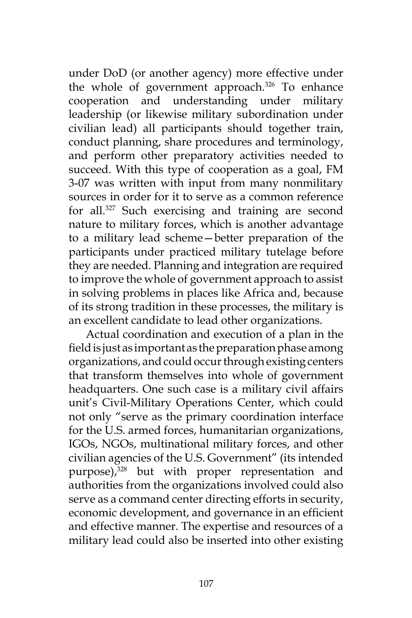under DoD (or another agency) more effective under the whole of government approach.<sup>326</sup> To enhance cooperation and understanding under military leadership (or likewise military subordination under civilian lead) all participants should together train, conduct planning, share procedures and terminology, and perform other preparatory activities needed to succeed. With this type of cooperation as a goal, FM 3-07 was written with input from many nonmilitary sources in order for it to serve as a common reference for all.327 Such exercising and training are second nature to military forces, which is another advantage to a military lead scheme—better preparation of the participants under practiced military tutelage before they are needed. Planning and integration are required to improve the whole of government approach to assist in solving problems in places like Africa and, because of its strong tradition in these processes, the military is an excellent candidate to lead other organizations.

Actual coordination and execution of a plan in the field is just as important as the preparation phase among organizations, and could occur through existing centers that transform themselves into whole of government headquarters. One such case is a military civil affairs unit's Civil-Military Operations Center, which could not only "serve as the primary coordination interface for the U.S. armed forces, humanitarian organizations, IGOs, NGOs, multinational military forces, and other civilian agencies of the U.S. Government" (its intended purpose),<sup>328</sup> but with proper representation and authorities from the organizations involved could also serve as a command center directing efforts in security, economic development, and governance in an efficient and effective manner. The expertise and resources of a military lead could also be inserted into other existing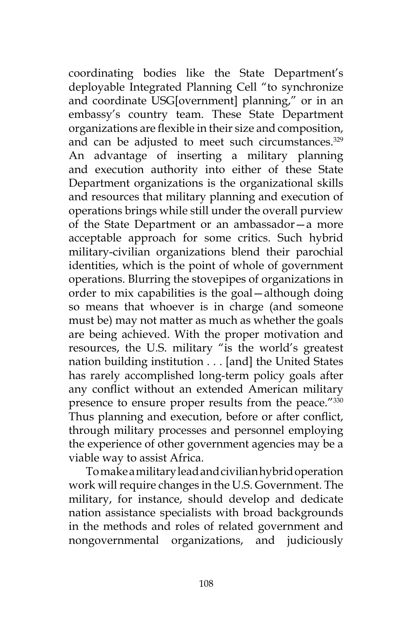coordinating bodies like the State Department's deployable Integrated Planning Cell "to synchronize and coordinate USG[overnment] planning," or in an embassy's country team. These State Department organizations are flexible in their size and composition, and can be adjusted to meet such circumstances.<sup>329</sup> An advantage of inserting a military planning and execution authority into either of these State Department organizations is the organizational skills and resources that military planning and execution of operations brings while still under the overall purview of the State Department or an ambassador—a more acceptable approach for some critics. Such hybrid military-civilian organizations blend their parochial identities, which is the point of whole of government operations. Blurring the stovepipes of organizations in order to mix capabilities is the goal—although doing so means that whoever is in charge (and someone must be) may not matter as much as whether the goals are being achieved. With the proper motivation and resources, the U.S. military "is the world's greatest nation building institution . . . [and] the United States has rarely accomplished long-term policy goals after any conflict without an extended American military presence to ensure proper results from the peace."330 Thus planning and execution, before or after conflict, through military processes and personnel employing the experience of other government agencies may be a viable way to assist Africa.

To make a military lead and civilian hybrid operation work will require changes in the U.S. Government. The military, for instance, should develop and dedicate nation assistance specialists with broad backgrounds in the methods and roles of related government and nongovernmental organizations, and judiciously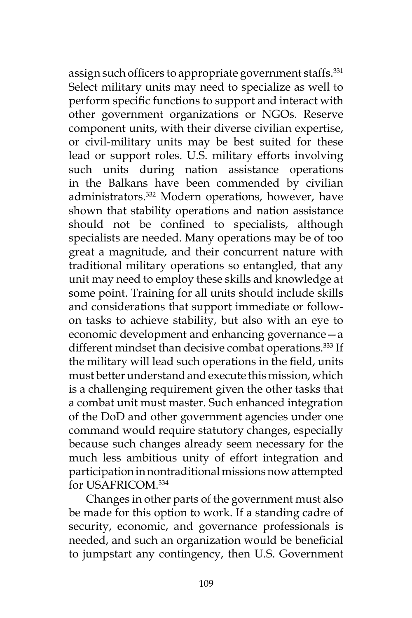assign such officers to appropriate government staffs.<sup>331</sup> Select military units may need to specialize as well to perform specific functions to support and interact with other government organizations or NGOs. Reserve component units, with their diverse civilian expertise, or civil-military units may be best suited for these lead or support roles. U.S. military efforts involving such units during nation assistance operations in the Balkans have been commended by civilian administrators.332 Modern operations, however, have shown that stability operations and nation assistance should not be confined to specialists, although specialists are needed. Many operations may be of too great a magnitude, and their concurrent nature with traditional military operations so entangled, that any unit may need to employ these skills and knowledge at some point. Training for all units should include skills and considerations that support immediate or followon tasks to achieve stability, but also with an eye to economic development and enhancing governance—a different mindset than decisive combat operations.<sup>333</sup> If the military will lead such operations in the field, units must better understand and execute this mission, which is a challenging requirement given the other tasks that a combat unit must master. Such enhanced integration of the DoD and other government agencies under one command would require statutory changes, especially because such changes already seem necessary for the much less ambitious unity of effort integration and participation in nontraditional missions now attempted for USAFRICOM.334

Changes in other parts of the government must also be made for this option to work. If a standing cadre of security, economic, and governance professionals is needed, and such an organization would be beneficial to jumpstart any contingency, then U.S. Government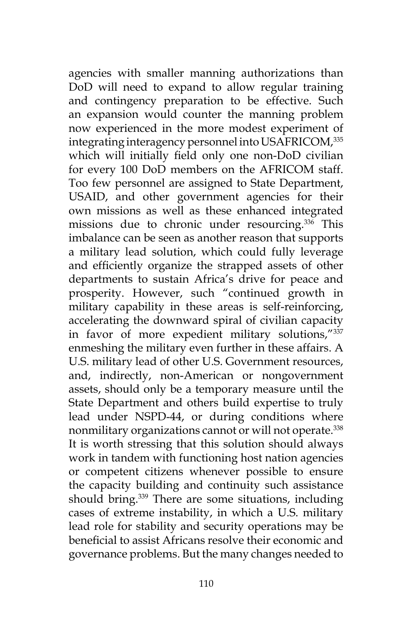agencies with smaller manning authorizations than DoD will need to expand to allow regular training and contingency preparation to be effective. Such an expansion would counter the manning problem now experienced in the more modest experiment of integrating interagency personnel into USAFRICOM, 335 which will initially field only one non-DoD civilian for every 100 DoD members on the AFRICOM staff. Too few personnel are assigned to State Department, USAID, and other government agencies for their own missions as well as these enhanced integrated missions due to chronic under resourcing.336 This imbalance can be seen as another reason that supports a military lead solution, which could fully leverage and efficiently organize the strapped assets of other departments to sustain Africa's drive for peace and prosperity. However, such "continued growth in military capability in these areas is self-reinforcing, accelerating the downward spiral of civilian capacity in favor of more expedient military solutions,"337 enmeshing the military even further in these affairs. A U.S. military lead of other U.S. Government resources, and, indirectly, non-American or nongovernment assets, should only be a temporary measure until the State Department and others build expertise to truly lead under NSPD-44, or during conditions where nonmilitary organizations cannot or will not operate.<sup>338</sup> It is worth stressing that this solution should always work in tandem with functioning host nation agencies or competent citizens whenever possible to ensure the capacity building and continuity such assistance should bring.<sup>339</sup> There are some situations, including cases of extreme instability, in which a U.S. military lead role for stability and security operations may be beneficial to assist Africans resolve their economic and governance problems. But the many changes needed to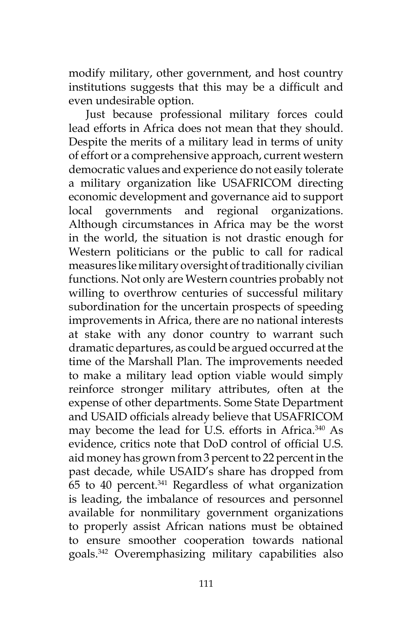modify military, other government, and host country institutions suggests that this may be a difficult and even undesirable option.

Just because professional military forces could lead efforts in Africa does not mean that they should. Despite the merits of a military lead in terms of unity of effort or a comprehensive approach, current western democratic values and experience do not easily tolerate a military organization like USAFRICOM directing economic development and governance aid to support local governments and regional organizations. Although circumstances in Africa may be the worst in the world, the situation is not drastic enough for Western politicians or the public to call for radical measures like military oversight of traditionally civilian functions. Not only are Western countries probably not willing to overthrow centuries of successful military subordination for the uncertain prospects of speeding improvements in Africa, there are no national interests at stake with any donor country to warrant such dramatic departures, as could be argued occurred at the time of the Marshall Plan. The improvements needed to make a military lead option viable would simply reinforce stronger military attributes, often at the expense of other departments. Some State Department and USAID officials already believe that USAFRICOM may become the lead for U.S. efforts in Africa.<sup>340</sup> As evidence, critics note that DoD control of official U.S. aid money has grown from 3 percent to 22 percent in the past decade, while USAID's share has dropped from  $65$  to  $40$  percent.<sup>341</sup> Regardless of what organization is leading, the imbalance of resources and personnel available for nonmilitary government organizations to properly assist African nations must be obtained to ensure smoother cooperation towards national goals.342 Overemphasizing military capabilities also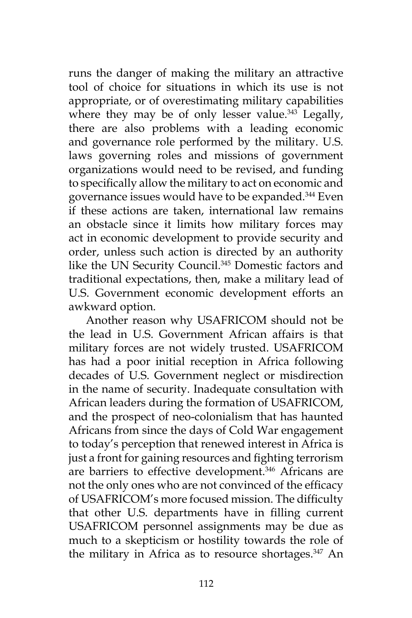runs the danger of making the military an attractive tool of choice for situations in which its use is not appropriate, or of overestimating military capabilities where they may be of only lesser value.<sup>343</sup> Legally, there are also problems with a leading economic and governance role performed by the military. U.S. laws governing roles and missions of government organizations would need to be revised, and funding to specifically allow the military to act on economic and governance issues would have to be expanded.344 Even if these actions are taken, international law remains an obstacle since it limits how military forces may act in economic development to provide security and order, unless such action is directed by an authority like the UN Security Council.<sup>345</sup> Domestic factors and traditional expectations, then, make a military lead of U.S. Government economic development efforts an awkward option.

Another reason why USAFRICOM should not be the lead in U.S. Government African affairs is that military forces are not widely trusted. USAFRICOM has had a poor initial reception in Africa following decades of U.S. Government neglect or misdirection in the name of security. Inadequate consultation with African leaders during the formation of USAFRICOM, and the prospect of neo-colonialism that has haunted Africans from since the days of Cold War engagement to today's perception that renewed interest in Africa is just a front for gaining resources and fighting terrorism are barriers to effective development.<sup>346</sup> Africans are not the only ones who are not convinced of the efficacy of USAFRICOM's more focused mission. The difficulty that other U.S. departments have in filling current USAFRICOM personnel assignments may be due as much to a skepticism or hostility towards the role of the military in Africa as to resource shortages.<sup>347</sup> An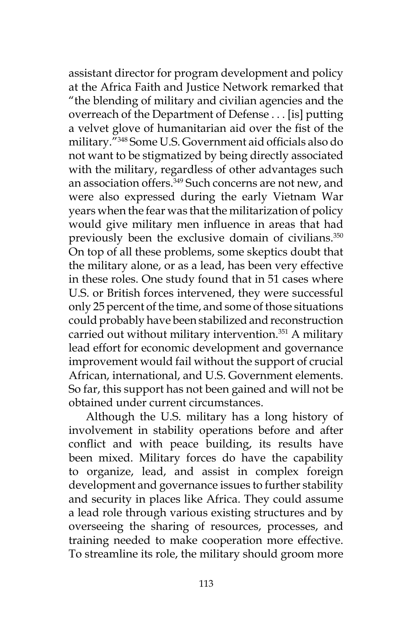assistant director for program development and policy at the Africa Faith and Justice Network remarked that "the blending of military and civilian agencies and the overreach of the Department of Defense . . . [is] putting a velvet glove of humanitarian aid over the fist of the military."348 Some U.S. Government aid officials also do not want to be stigmatized by being directly associated with the military, regardless of other advantages such an association offers.<sup>349</sup> Such concerns are not new, and were also expressed during the early Vietnam War years when the fear was that the militarization of policy would give military men influence in areas that had previously been the exclusive domain of civilians.350 On top of all these problems, some skeptics doubt that the military alone, or as a lead, has been very effective in these roles. One study found that in 51 cases where U.S. or British forces intervened, they were successful only 25 percent of the time, and some of those situations could probably have been stabilized and reconstruction carried out without military intervention.<sup>351</sup> A military lead effort for economic development and governance improvement would fail without the support of crucial African, international, and U.S. Government elements. So far, this support has not been gained and will not be obtained under current circumstances.

Although the U.S. military has a long history of involvement in stability operations before and after conflict and with peace building, its results have been mixed. Military forces do have the capability to organize, lead, and assist in complex foreign development and governance issues to further stability and security in places like Africa. They could assume a lead role through various existing structures and by overseeing the sharing of resources, processes, and training needed to make cooperation more effective. To streamline its role, the military should groom more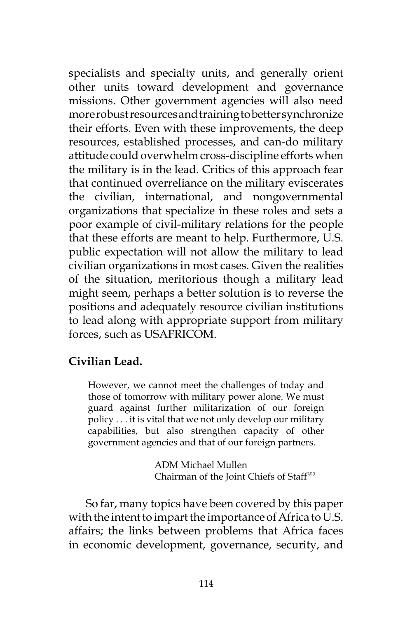specialists and specialty units, and generally orient other units toward development and governance missions. Other government agencies will also need more robust resources and training to better synchronize their efforts. Even with these improvements, the deep resources, established processes, and can-do military attitude could overwhelm cross-discipline efforts when the military is in the lead. Critics of this approach fear that continued overreliance on the military eviscerates the civilian, international, and nongovernmental organizations that specialize in these roles and sets a poor example of civil-military relations for the people that these efforts are meant to help. Furthermore, U.S. public expectation will not allow the military to lead civilian organizations in most cases. Given the realities of the situation, meritorious though a military lead might seem, perhaps a better solution is to reverse the positions and adequately resource civilian institutions to lead along with appropriate support from military forces, such as USAFRICOM.

## **Civilian Lead.**

However, we cannot meet the challenges of today and those of tomorrow with military power alone. We must guard against further militarization of our foreign policy . . . it is vital that we not only develop our military capabilities, but also strengthen capacity of other government agencies and that of our foreign partners.

> ADM Michael Mullen Chairman of the Joint Chiefs of Staff<sup>352</sup>

So far, many topics have been covered by this paper with the intent to impart the importance of Africa to U.S. affairs; the links between problems that Africa faces in economic development, governance, security, and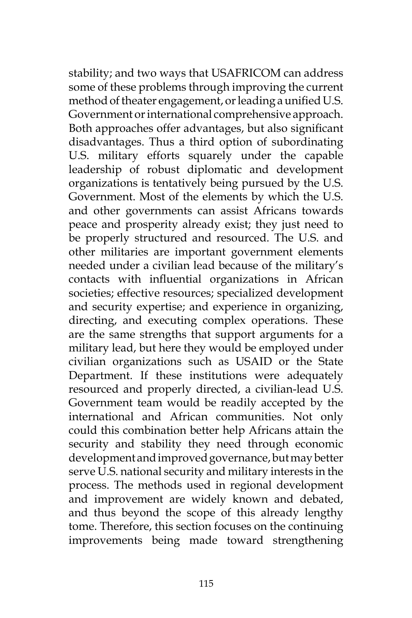stability; and two ways that USAFRICOM can address some of these problems through improving the current method of theater engagement, or leading a unified U.S. Government or international comprehensive approach. Both approaches offer advantages, but also significant disadvantages. Thus a third option of subordinating U.S. military efforts squarely under the capable leadership of robust diplomatic and development organizations is tentatively being pursued by the U.S. Government. Most of the elements by which the U.S. and other governments can assist Africans towards peace and prosperity already exist; they just need to be properly structured and resourced. The U.S. and other militaries are important government elements needed under a civilian lead because of the military's contacts with influential organizations in African societies; effective resources; specialized development and security expertise; and experience in organizing, directing, and executing complex operations. These are the same strengths that support arguments for a military lead, but here they would be employed under civilian organizations such as USAID or the State Department. If these institutions were adequately resourced and properly directed, a civilian-lead U.S. Government team would be readily accepted by the international and African communities. Not only could this combination better help Africans attain the security and stability they need through economic development and improved governance, but may better serve U.S. national security and military interests in the process. The methods used in regional development and improvement are widely known and debated, and thus beyond the scope of this already lengthy tome. Therefore, this section focuses on the continuing improvements being made toward strengthening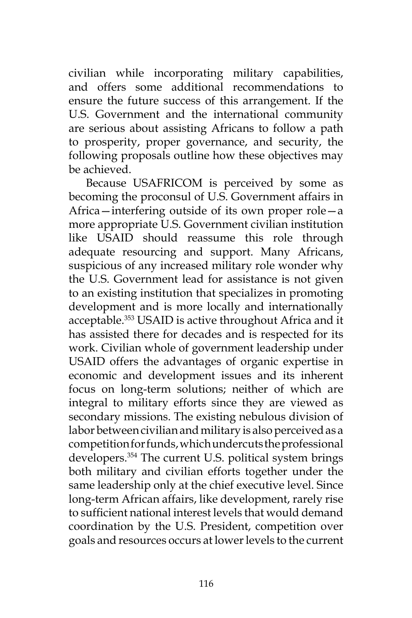civilian while incorporating military capabilities, and offers some additional recommendations to ensure the future success of this arrangement. If the U.S. Government and the international community are serious about assisting Africans to follow a path to prosperity, proper governance, and security, the following proposals outline how these objectives may be achieved.

Because USAFRICOM is perceived by some as becoming the proconsul of U.S. Government affairs in Africa—interfering outside of its own proper role—a more appropriate U.S. Government civilian institution like USAID should reassume this role through adequate resourcing and support. Many Africans, suspicious of any increased military role wonder why the U.S. Government lead for assistance is not given to an existing institution that specializes in promoting development and is more locally and internationally acceptable.<sup>353</sup> USAID is active throughout Africa and it has assisted there for decades and is respected for its work. Civilian whole of government leadership under USAID offers the advantages of organic expertise in economic and development issues and its inherent focus on long-term solutions; neither of which are integral to military efforts since they are viewed as secondary missions. The existing nebulous division of labor between civilian and military is also perceived as a competition for funds, which undercuts the professional developers.354 The current U.S. political system brings both military and civilian efforts together under the same leadership only at the chief executive level. Since long-term African affairs, like development, rarely rise to sufficient national interest levels that would demand coordination by the U.S. President, competition over goals and resources occurs at lower levels to the current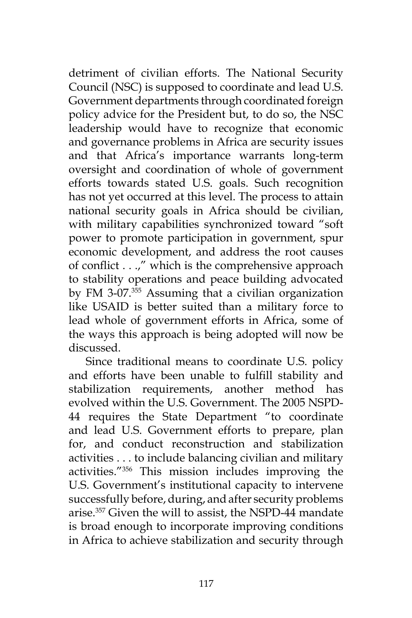detriment of civilian efforts. The National Security Council (NSC) is supposed to coordinate and lead U.S. Government departments through coordinated foreign policy advice for the President but, to do so, the NSC leadership would have to recognize that economic and governance problems in Africa are security issues and that Africa's importance warrants long-term oversight and coordination of whole of government efforts towards stated U.S. goals. Such recognition has not yet occurred at this level. The process to attain national security goals in Africa should be civilian, with military capabilities synchronized toward "soft power to promote participation in government, spur economic development, and address the root causes of conflict . . .," which is the comprehensive approach to stability operations and peace building advocated by FM 3-07.<sup>355</sup> Assuming that a civilian organization like USAID is better suited than a military force to lead whole of government efforts in Africa, some of the ways this approach is being adopted will now be discussed.

Since traditional means to coordinate U.S. policy and efforts have been unable to fulfill stability and stabilization requirements, another method has evolved within the U.S. Government. The 2005 NSPD-44 requires the State Department "to coordinate and lead U.S. Government efforts to prepare, plan for, and conduct reconstruction and stabilization activities . . . to include balancing civilian and military activities."356 This mission includes improving the U.S. Government's institutional capacity to intervene successfully before, during, and after security problems arise.357 Given the will to assist, the NSPD-44 mandate is broad enough to incorporate improving conditions in Africa to achieve stabilization and security through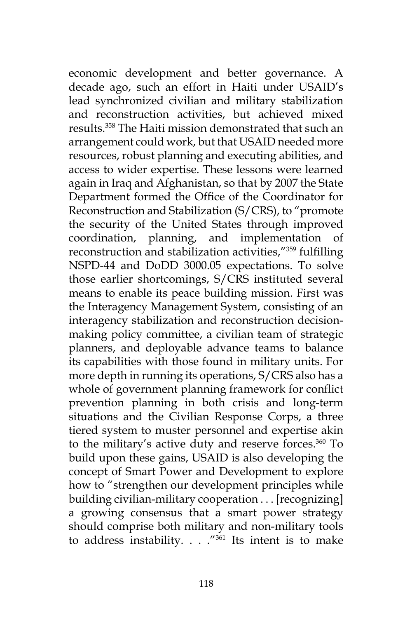economic development and better governance. A decade ago, such an effort in Haiti under USAID's lead synchronized civilian and military stabilization and reconstruction activities, but achieved mixed results.358 The Haiti mission demonstrated that such an arrangement could work, but that USAID needed more resources, robust planning and executing abilities, and access to wider expertise. These lessons were learned again in Iraq and Afghanistan, so that by 2007 the State Department formed the Office of the Coordinator for Reconstruction and Stabilization (S/CRS), to "promote the security of the United States through improved coordination, planning, and implementation of reconstruction and stabilization activities,"359 fulfilling NSPD-44 and DoDD 3000.05 expectations. To solve those earlier shortcomings, S/CRS instituted several means to enable its peace building mission. First was the Interagency Management System, consisting of an interagency stabilization and reconstruction decisionmaking policy committee, a civilian team of strategic planners, and deployable advance teams to balance its capabilities with those found in military units. For more depth in running its operations, S/CRS also has a whole of government planning framework for conflict prevention planning in both crisis and long-term situations and the Civilian Response Corps, a three tiered system to muster personnel and expertise akin to the military's active duty and reserve forces.<sup>360</sup> To build upon these gains, USAID is also developing the concept of Smart Power and Development to explore how to "strengthen our development principles while building civilian-military cooperation . . . [recognizing] a growing consensus that a smart power strategy should comprise both military and non-military tools to address instability. . . ."361 Its intent is to make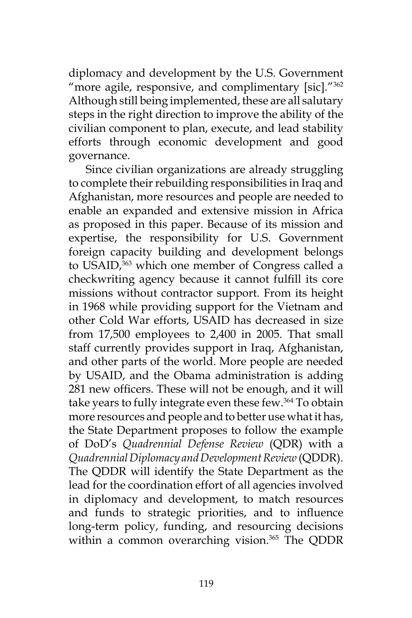diplomacy and development by the U.S. Government "more agile, responsive, and complimentary [sic]."362 Although still being implemented, these are all salutary steps in the right direction to improve the ability of the civilian component to plan, execute, and lead stability efforts through economic development and good governance.

Since civilian organizations are already struggling to complete their rebuilding responsibilities in Iraq and Afghanistan, more resources and people are needed to enable an expanded and extensive mission in Africa as proposed in this paper. Because of its mission and expertise, the responsibility for U.S. Government foreign capacity building and development belongs to USAID,<sup>363</sup> which one member of Congress called a checkwriting agency because it cannot fulfill its core missions without contractor support. From its height in 1968 while providing support for the Vietnam and other Cold War efforts, USAID has decreased in size from 17,500 employees to 2,400 in 2005. That small staff currently provides support in Iraq, Afghanistan, and other parts of the world. More people are needed by USAID, and the Obama administration is adding 281 new officers. These will not be enough, and it will take years to fully integrate even these few.<sup>364</sup> To obtain more resources and people and to better use what it has, the State Department proposes to follow the example of DoD's *Quadrennial Defense Review* (QDR) with a *Quadrennial Diplomacy and Development Review* (QDDR). The QDDR will identify the State Department as the lead for the coordination effort of all agencies involved in diplomacy and development, to match resources and funds to strategic priorities, and to influence long-term policy, funding, and resourcing decisions within a common overarching vision.<sup>365</sup> The QDDR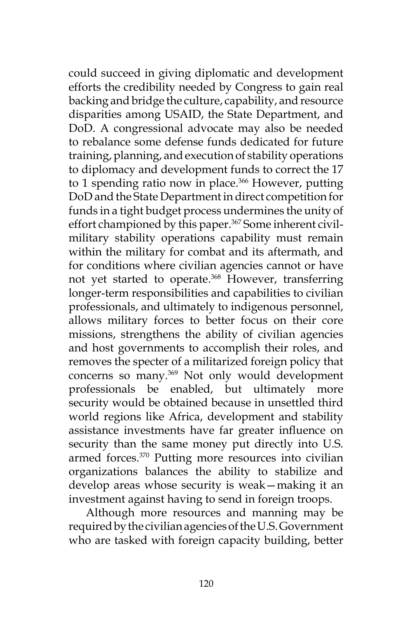could succeed in giving diplomatic and development efforts the credibility needed by Congress to gain real backing and bridge the culture, capability, and resource disparities among USAID, the State Department, and DoD. A congressional advocate may also be needed to rebalance some defense funds dedicated for future training, planning, and execution of stability operations to diplomacy and development funds to correct the 17 to 1 spending ratio now in place.<sup>366</sup> However, putting DoD and the State Department in direct competition for funds in a tight budget process undermines the unity of effort championed by this paper.<sup>367</sup> Some inherent civilmilitary stability operations capability must remain within the military for combat and its aftermath, and for conditions where civilian agencies cannot or have not yet started to operate.<sup>368</sup> However, transferring longer-term responsibilities and capabilities to civilian professionals, and ultimately to indigenous personnel, allows military forces to better focus on their core missions, strengthens the ability of civilian agencies and host governments to accomplish their roles, and removes the specter of a militarized foreign policy that concerns so many.369 Not only would development professionals be enabled, but ultimately more security would be obtained because in unsettled third world regions like Africa, development and stability assistance investments have far greater influence on security than the same money put directly into U.S. armed forces.<sup>370</sup> Putting more resources into civilian organizations balances the ability to stabilize and develop areas whose security is weak—making it an investment against having to send in foreign troops.

Although more resources and manning may be required by the civilian agencies of the U.S. Government who are tasked with foreign capacity building, better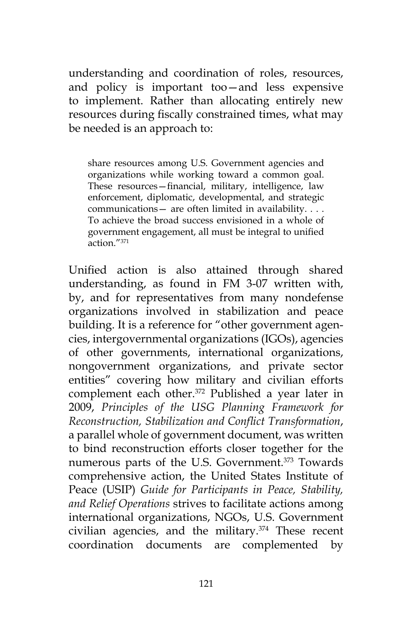understanding and coordination of roles, resources, and policy is important too—and less expensive to implement. Rather than allocating entirely new resources during fiscally constrained times, what may be needed is an approach to:

share resources among U.S. Government agencies and organizations while working toward a common goal. These resources—financial, military, intelligence, law enforcement, diplomatic, developmental, and strategic communications— are often limited in availability. . . . To achieve the broad success envisioned in a whole of government engagement, all must be integral to unified action."371

Unified action is also attained through shared understanding, as found in FM 3-07 written with, by, and for representatives from many nondefense organizations involved in stabilization and peace building. It is a reference for "other government agencies, intergovernmental organizations (IGOs), agencies of other governments, international organizations, nongovernment organizations, and private sector entities" covering how military and civilian efforts complement each other.<sup>372</sup> Published a year later in 2009, *Principles of the USG Planning Framework for Reconstruction, Stabilization and Conflict Transformation*, a parallel whole of government document, was written to bind reconstruction efforts closer together for the numerous parts of the U.S. Government.<sup>373</sup> Towards comprehensive action, the United States Institute of Peace (USIP) *Guide for Participants in Peace, Stability, and Relief Operations* strives to facilitate actions among international organizations, NGOs, U.S. Government civilian agencies, and the military.374 These recent coordination documents are complemented by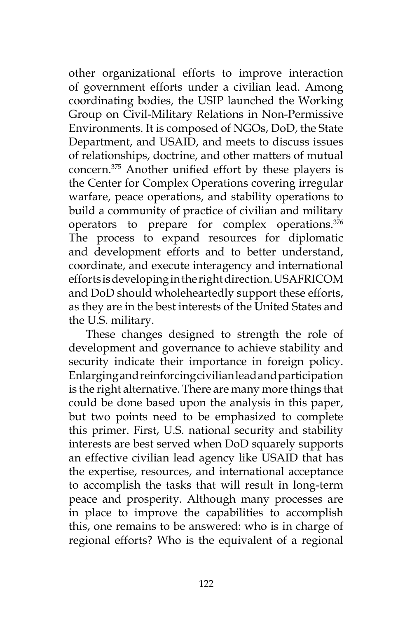other organizational efforts to improve interaction of government efforts under a civilian lead. Among coordinating bodies, the USIP launched the Working Group on Civil-Military Relations in Non-Permissive Environments. It is composed of NGOs, DoD, the State Department, and USAID, and meets to discuss issues of relationships, doctrine, and other matters of mutual concern.375 Another unified effort by these players is the Center for Complex Operations covering irregular warfare, peace operations, and stability operations to build a community of practice of civilian and military operators to prepare for complex operations.376 The process to expand resources for diplomatic and development efforts and to better understand, coordinate, and execute interagency and international efforts is developing in the right direction. USAFRICOM and DoD should wholeheartedly support these efforts, as they are in the best interests of the United States and the U.S. military.

These changes designed to strength the role of development and governance to achieve stability and security indicate their importance in foreign policy. Enlarging and reinforcing civilian lead and participation is the right alternative. There are many more things that could be done based upon the analysis in this paper, but two points need to be emphasized to complete this primer. First, U.S. national security and stability interests are best served when DoD squarely supports an effective civilian lead agency like USAID that has the expertise, resources, and international acceptance to accomplish the tasks that will result in long-term peace and prosperity. Although many processes are in place to improve the capabilities to accomplish this, one remains to be answered: who is in charge of regional efforts? Who is the equivalent of a regional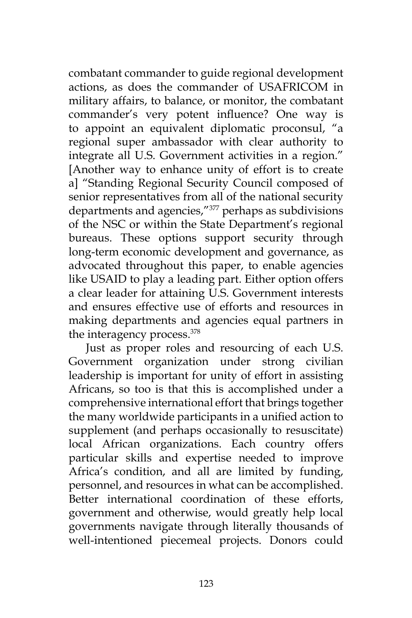combatant commander to guide regional development actions, as does the commander of USAFRICOM in military affairs, to balance, or monitor, the combatant commander's very potent influence? One way is to appoint an equivalent diplomatic proconsul, "a regional super ambassador with clear authority to integrate all U.S. Government activities in a region." [Another way to enhance unity of effort is to create a] "Standing Regional Security Council composed of senior representatives from all of the national security departments and agencies,"377 perhaps as subdivisions of the NSC or within the State Department's regional bureaus. These options support security through long-term economic development and governance, as advocated throughout this paper, to enable agencies like USAID to play a leading part. Either option offers a clear leader for attaining U.S. Government interests and ensures effective use of efforts and resources in making departments and agencies equal partners in the interagency process.<sup>378</sup>

Just as proper roles and resourcing of each U.S. Government organization under strong civilian leadership is important for unity of effort in assisting Africans, so too is that this is accomplished under a comprehensive international effort that brings together the many worldwide participants in a unified action to supplement (and perhaps occasionally to resuscitate) local African organizations. Each country offers particular skills and expertise needed to improve Africa's condition, and all are limited by funding, personnel, and resources in what can be accomplished. Better international coordination of these efforts, government and otherwise, would greatly help local governments navigate through literally thousands of well-intentioned piecemeal projects. Donors could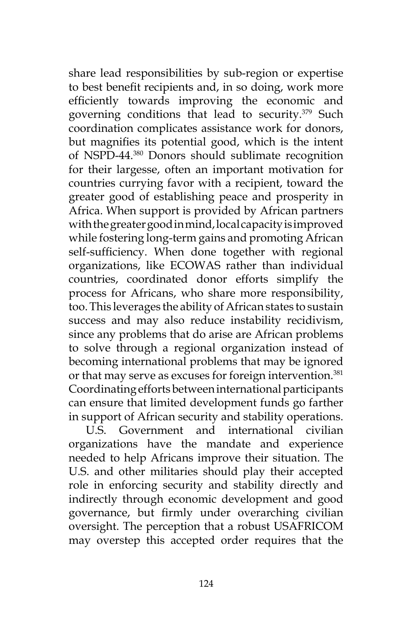share lead responsibilities by sub-region or expertise to best benefit recipients and, in so doing, work more efficiently towards improving the economic and governing conditions that lead to security.379 Such coordination complicates assistance work for donors, but magnifies its potential good, which is the intent of NSPD-44.380 Donors should sublimate recognition for their largesse, often an important motivation for countries currying favor with a recipient, toward the greater good of establishing peace and prosperity in Africa. When support is provided by African partners with the greater good in mind, local capacity is improved while fostering long-term gains and promoting African self-sufficiency. When done together with regional organizations, like ECOWAS rather than individual countries, coordinated donor efforts simplify the process for Africans, who share more responsibility, too. This leverages the ability of African states to sustain success and may also reduce instability recidivism, since any problems that do arise are African problems to solve through a regional organization instead of becoming international problems that may be ignored or that may serve as excuses for foreign intervention.<sup>381</sup> Coordinating efforts between international participants can ensure that limited development funds go farther in support of African security and stability operations.

U.S. Government and international civilian organizations have the mandate and experience needed to help Africans improve their situation. The U.S. and other militaries should play their accepted role in enforcing security and stability directly and indirectly through economic development and good governance, but firmly under overarching civilian oversight. The perception that a robust USAFRICOM may overstep this accepted order requires that the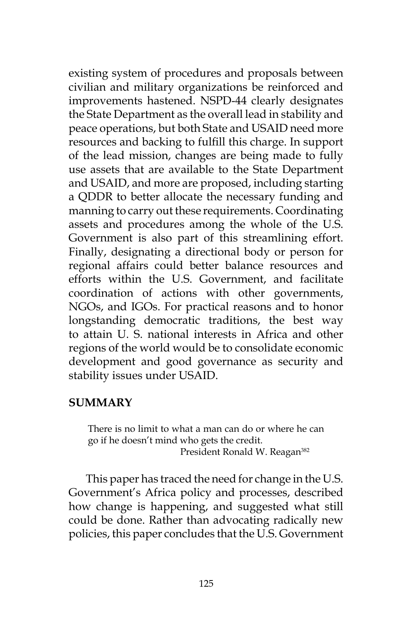existing system of procedures and proposals between civilian and military organizations be reinforced and improvements hastened. NSPD-44 clearly designates the State Department as the overall lead in stability and peace operations, but both State and USAID need more resources and backing to fulfill this charge. In support of the lead mission, changes are being made to fully use assets that are available to the State Department and USAID, and more are proposed, including starting a QDDR to better allocate the necessary funding and manning to carry out these requirements. Coordinating assets and procedures among the whole of the U.S. Government is also part of this streamlining effort. Finally, designating a directional body or person for regional affairs could better balance resources and efforts within the U.S. Government, and facilitate coordination of actions with other governments, NGOs, and IGOs. For practical reasons and to honor longstanding democratic traditions, the best way to attain U. S. national interests in Africa and other regions of the world would be to consolidate economic development and good governance as security and stability issues under USAID.

## **SUMMARY**

There is no limit to what a man can do or where he can go if he doesn't mind who gets the credit. President Ronald W. Reagan<sup>382</sup>

This paper has traced the need for change in the U.S. Government's Africa policy and processes, described how change is happening, and suggested what still could be done. Rather than advocating radically new policies, this paper concludes that the U.S. Government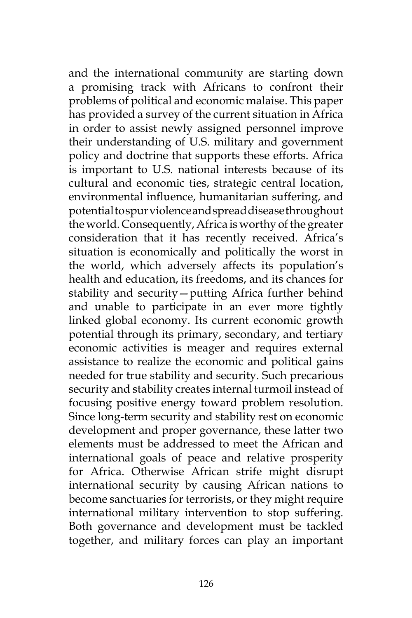and the international community are starting down a promising track with Africans to confront their problems of political and economic malaise. This paper has provided a survey of the current situation in Africa in order to assist newly assigned personnel improve their understanding of U.S. military and government policy and doctrine that supports these efforts. Africa is important to U.S. national interests because of its cultural and economic ties, strategic central location, environmental influence, humanitarian suffering, and potential to spur violence and spread disease throughout the world. Consequently, Africa is worthy of the greater consideration that it has recently received. Africa's situation is economically and politically the worst in the world, which adversely affects its population's health and education, its freedoms, and its chances for stability and security—putting Africa further behind and unable to participate in an ever more tightly linked global economy. Its current economic growth potential through its primary, secondary, and tertiary economic activities is meager and requires external assistance to realize the economic and political gains needed for true stability and security. Such precarious security and stability creates internal turmoil instead of focusing positive energy toward problem resolution. Since long-term security and stability rest on economic development and proper governance, these latter two elements must be addressed to meet the African and international goals of peace and relative prosperity for Africa. Otherwise African strife might disrupt international security by causing African nations to become sanctuaries for terrorists, or they might require international military intervention to stop suffering. Both governance and development must be tackled together, and military forces can play an important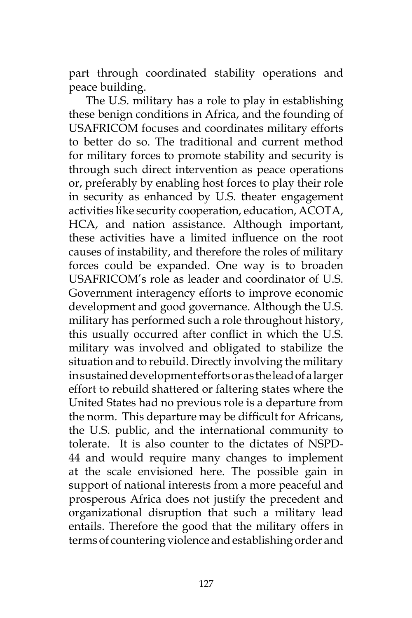part through coordinated stability operations and peace building.

The U.S. military has a role to play in establishing these benign conditions in Africa, and the founding of USAFRICOM focuses and coordinates military efforts to better do so. The traditional and current method for military forces to promote stability and security is through such direct intervention as peace operations or, preferably by enabling host forces to play their role in security as enhanced by U.S. theater engagement activities like security cooperation, education, ACOTA, HCA, and nation assistance. Although important, these activities have a limited influence on the root causes of instability, and therefore the roles of military forces could be expanded. One way is to broaden USAFRICOM's role as leader and coordinator of U.S. Government interagency efforts to improve economic development and good governance. Although the U.S. military has performed such a role throughout history, this usually occurred after conflict in which the U.S. military was involved and obligated to stabilize the situation and to rebuild. Directly involving the military in sustained development efforts or as the lead of a larger effort to rebuild shattered or faltering states where the United States had no previous role is a departure from the norm. This departure may be difficult for Africans, the U.S. public, and the international community to tolerate. It is also counter to the dictates of NSPD-44 and would require many changes to implement at the scale envisioned here. The possible gain in support of national interests from a more peaceful and prosperous Africa does not justify the precedent and organizational disruption that such a military lead entails. Therefore the good that the military offers in terms of countering violence and establishing order and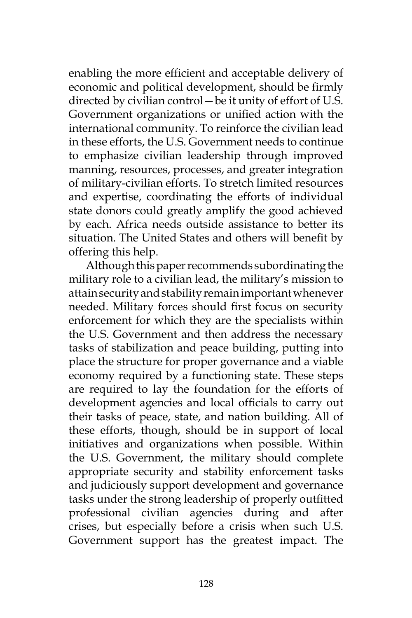enabling the more efficient and acceptable delivery of economic and political development, should be firmly directed by civilian control—be it unity of effort of U.S. Government organizations or unified action with the international community. To reinforce the civilian lead in these efforts, the U.S. Government needs to continue to emphasize civilian leadership through improved manning, resources, processes, and greater integration of military-civilian efforts. To stretch limited resources and expertise, coordinating the efforts of individual state donors could greatly amplify the good achieved by each. Africa needs outside assistance to better its situation. The United States and others will benefit by offering this help.

Although this paper recommends subordinating the military role to a civilian lead, the military's mission to attain security and stability remain important whenever needed. Military forces should first focus on security enforcement for which they are the specialists within the U.S. Government and then address the necessary tasks of stabilization and peace building, putting into place the structure for proper governance and a viable economy required by a functioning state. These steps are required to lay the foundation for the efforts of development agencies and local officials to carry out their tasks of peace, state, and nation building. All of these efforts, though, should be in support of local initiatives and organizations when possible. Within the U.S. Government, the military should complete appropriate security and stability enforcement tasks and judiciously support development and governance tasks under the strong leadership of properly outfitted professional civilian agencies during and after crises, but especially before a crisis when such U.S. Government support has the greatest impact. The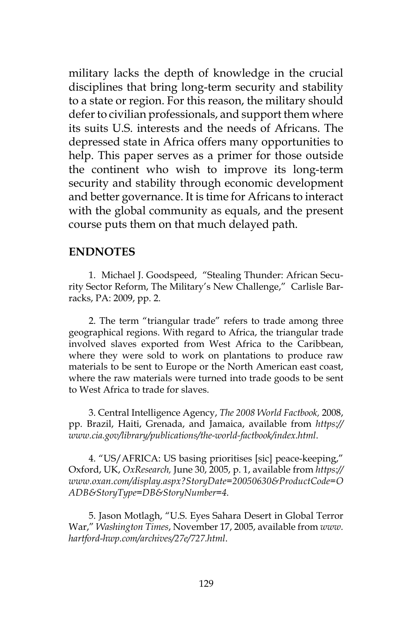military lacks the depth of knowledge in the crucial disciplines that bring long-term security and stability to a state or region. For this reason, the military should defer to civilian professionals, and support them where its suits U.S. interests and the needs of Africans. The depressed state in Africa offers many opportunities to help. This paper serves as a primer for those outside the continent who wish to improve its long-term security and stability through economic development and better governance. It is time for Africans to interact with the global community as equals, and the present course puts them on that much delayed path.

## **ENDNOTES**

1. Michael J. Goodspeed, "Stealing Thunder: African Security Sector Reform, The Military's New Challenge," Carlisle Barracks, PA: 2009, pp. 2.

2. The term "triangular trade" refers to trade among three geographical regions. With regard to Africa, the triangular trade involved slaves exported from West Africa to the Caribbean, where they were sold to work on plantations to produce raw materials to be sent to Europe or the North American east coast, where the raw materials were turned into trade goods to be sent to West Africa to trade for slaves.

3. Central Intelligence Agency, *The 2008 World Factbook,* 2008, pp. Brazil, Haiti, Grenada, and Jamaica, available from *https:// www.cia.gov/library/publications/the-world-factbook/index.html*.

4. "US/AFRICA: US basing prioritises [sic] peace-keeping," Oxford, UK, *OxResearch,* June 30, 2005, p. 1, available from *https:// www.oxan.com/display.aspx?StoryDate=20050630&ProductCode=O ADB&StoryType=DB&StoryNumber=4.*

5. Jason Motlagh, "U.S. Eyes Sahara Desert in Global Terror War," *Washington Times*, November 17, 2005, available from *www. hartford-hwp.com/archives/27e/727.html*.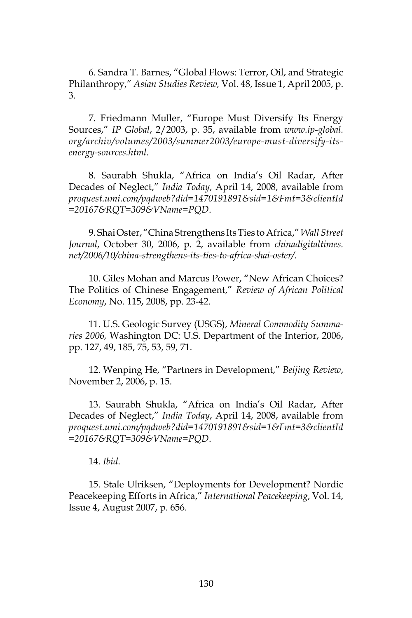6. Sandra T. Barnes, "Global Flows: Terror, Oil, and Strategic Philanthropy," *Asian Studies Review,* Vol. 48, Issue 1, April 2005, p. 3.

7. Friedmann Muller, "Europe Must Diversify Its Energy Sources," *IP Global*, 2/2003, p. 35, available from *www.ip-global. org/archiv/volumes/2003/summer2003/europe-must-diversify-itsenergy-sources.html*.

8. Saurabh Shukla, "Africa on India's Oil Radar, After Decades of Neglect," *India Today*, April 14, 2008, available from *proquest.umi.com/pqdweb?did=1470191891&sid=1&Fmt=3&clientId =20167&RQT=309&VName=PQD*.

9. Shai Oster, "China Strengthens Its Ties to Africa," *Wall Street Journal*, October 30, 2006, p. 2, available from *chinadigitaltimes. net/2006/10/china-strengthens-its-ties-to-africa-shai-oster/*.

10. Giles Mohan and Marcus Power, "New African Choices? The Politics of Chinese Engagement," *Review of African Political Economy*, No. 115, 2008, pp. 23-42.

11. U.S. Geologic Survey (USGS), *Mineral Commodity Summaries 2006,* Washington DC: U.S. Department of the Interior, 2006, pp. 127, 49, 185, 75, 53, 59, 71.

12. Wenping He, "Partners in Development," *Beijing Review*, November 2, 2006, p. 15.

13. Saurabh Shukla, "Africa on India's Oil Radar, After Decades of Neglect," *India Today*, April 14, 2008, available from *proquest.umi.com/pqdweb?did=1470191891&sid=1&Fmt=3&clientId =20167&RQT=309&VName=PQD*.

## 14. *Ibid*.

15. Stale Ulriksen, "Deployments for Development? Nordic Peacekeeping Efforts in Africa," *International Peacekeeping*, Vol. 14, Issue 4, August 2007, p. 656.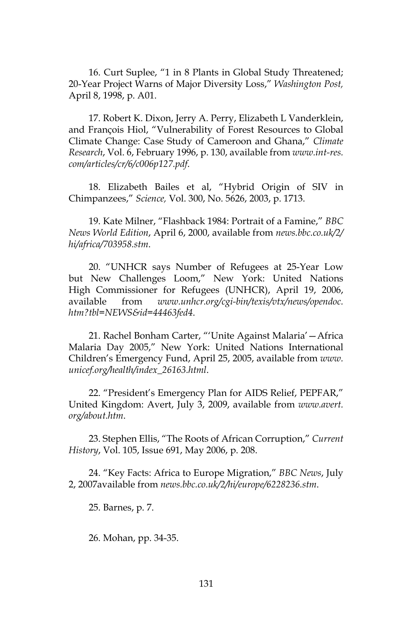16. Curt Suplee, "1 in 8 Plants in Global Study Threatened; 20-Year Project Warns of Major Diversity Loss," *Washington Post,* April 8, 1998, p. A01.

17. Robert K. Dixon, Jerry A. Perry, Elizabeth L Vanderklein, and François Hiol, "Vulnerability of Forest Resources to Global Climate Change: Case Study of Cameroon and Ghana," *Climate Research*, Vol. 6, February 1996, p. 130, available from *www.int-res. com/articles/cr/6/c006p127.pdf*.

18. Elizabeth Bailes et al, "Hybrid Origin of SIV in Chimpanzees," *Science,* Vol. 300, No. 5626, 2003, p. 1713.

19. Kate Milner, "Flashback 1984: Portrait of a Famine," *BBC News World Edition*, April 6, 2000, available from *news.bbc.co.uk/2/ hi/africa/703958.stm*.

20. "UNHCR says Number of Refugees at 25-Year Low but New Challenges Loom," New York: United Nations High Commissioner for Refugees (UNHCR), April 19, 2006, available from *www.unhcr.org/cgi-bin/texis/vtx/news/opendoc. htm?tbl=NEWS&id=44463fed4*.

21. Rachel Bonham Carter, "'Unite Against Malaria'—Africa Malaria Day 2005," New York: United Nations International Children's Emergency Fund, April 25, 2005, available from *www. unicef.org/health/index\_26163.html*.

22. "President's Emergency Plan for AIDS Relief, PEPFAR," United Kingdom: Avert, July 3, 2009, available from *www.avert. org/about.htm*.

23. Stephen Ellis, "The Roots of African Corruption," *Current History*, Vol. 105, Issue 691, May 2006, p. 208.

24. "Key Facts: Africa to Europe Migration," *BBC News*, July 2, 2007available from *news.bbc.co.uk/2/hi/europe/6228236.stm*.

25. Barnes, p. 7.

26. Mohan, pp. 34-35.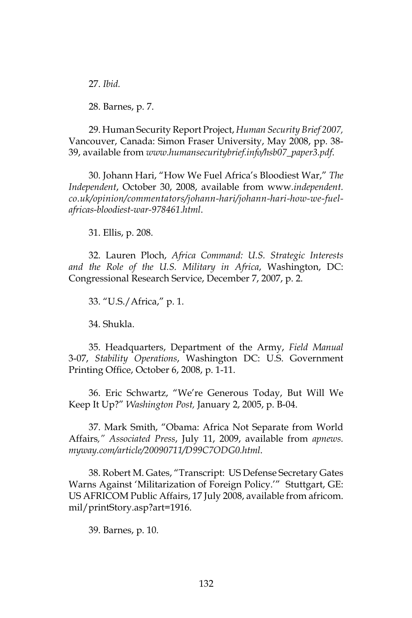27. *Ibid.*

28. Barnes, p. 7.

29. Human Security Report Project, *Human Security Brief 2007,*  Vancouver, Canada: Simon Fraser University, May 2008, pp. 38- 39, available from *www.humansecuritybrief.info/hsb07\_paper3.pdf*.

30. Johann Hari, "How We Fuel Africa's Bloodiest War," *The Independent*, October 30, 2008, available from www*.independent. co.uk/opinion/commentators/johann-hari/johann-hari-how-we-fuelafricas-bloodiest-war-978461.html*.

31. Ellis, p. 208.

32. Lauren Ploch, *Africa Command: U.S. Strategic Interests and the Role of the U.S. Military in Africa*, Washington, DC: Congressional Research Service, December 7, 2007, p. 2.

33. "U.S./Africa," p. 1.

34. Shukla.

35. Headquarters, Department of the Army, *Field Manual* 3-07, *Stability Operations*, Washington DC: U.S. Government Printing Office, October 6, 2008, p. 1-11.

36. Eric Schwartz, "We're Generous Today, But Will We Keep It Up?" *Washington Post,* January 2, 2005, p. B-04.

37. Mark Smith, "Obama: Africa Not Separate from World Affairs*," Associated Press*, July 11, 2009, available from *apnews. myway.com/article/20090711/D99C7ODG0.html*.

38. Robert M. Gates, "Transcript: US Defense Secretary Gates Warns Against 'Militarization of Foreign Policy.'" Stuttgart, GE: US AFRICOM Public Affairs, 17 July 2008, available from africom. mil/printStory.asp?art=1916.

39. Barnes, p. 10.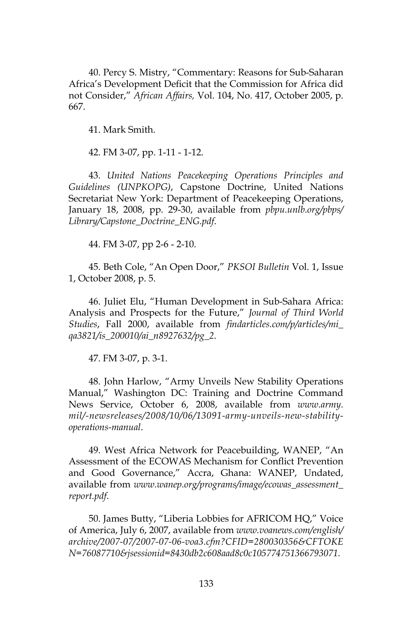40. Percy S. Mistry, "Commentary: Reasons for Sub-Saharan Africa's Development Deficit that the Commission for Africa did not Consider," *African Affairs,* Vol. 104, No. 417, October 2005, p. 667.

41. Mark Smith.

42. FM 3-07, pp. 1-11 - 1-12.

43. *United Nations Peacekeeping Operations Principles and Guidelines (UNPKOPG)*, Capstone Doctrine, United Nations Secretariat New York: Department of Peacekeeping Operations, January 18, 2008, pp. 29-30, available from *pbpu.unlb.org/pbps/ Library/Capstone\_Doctrine\_ENG.pdf*.

44. FM 3-07, pp 2-6 - 2-10.

45. Beth Cole, "An Open Door," *PKSOI Bulletin* Vol. 1, Issue 1, October 2008, p. 5.

46. Juliet Elu, "Human Development in Sub-Sahara Africa: Analysis and Prospects for the Future," *Journal of Third World Studies*, Fall 2000, available from *findarticles.com/p/articles/mi\_ qa3821/is\_200010/ai\_n8927632/pg\_2*.

47. FM 3-07, p. 3-1.

48. John Harlow, "Army Unveils New Stability Operations Manual," Washington DC: Training and Doctrine Command News Service, October 6, 2008, available from *www.army. mil/-newsreleases/2008/10/06/13091-army-unveils-new-stabilityoperations-manual*.

49. West Africa Network for Peacebuilding, WANEP, "An Assessment of the ECOWAS Mechanism for Conflict Prevention and Good Governance," Accra, Ghana: WANEP, Undated, available from *www.wanep.org/programs/image/ecowas\_assessment\_ report.pdf*.

50. James Butty, "Liberia Lobbies for AFRICOM HQ," Voice of America, July 6, 2007, available from *www.voanews.com/english/ archive/2007-07/2007-07-06-voa3.cfm?CFID=280030356&CFTOKE N=76087710&jsessionid=8430db2c608aad8c0c105774751366793071*.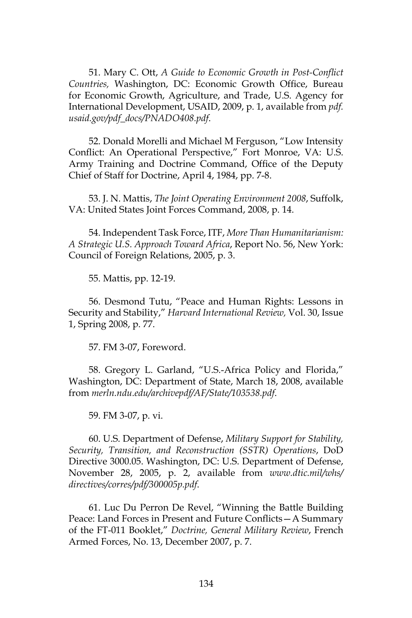51. Mary C. Ott, *A Guide to Economic Growth in Post-Conflict Countries,* Washington, DC: Economic Growth Office, Bureau for Economic Growth, Agriculture, and Trade, U.S. Agency for International Development, USAID, 2009, p. 1, available from *pdf. usaid.gov/pdf\_docs/PNADO408.pdf*.

52. Donald Morelli and Michael M Ferguson, "Low Intensity Conflict: An Operational Perspective," Fort Monroe, VA: U.S. Army Training and Doctrine Command, Office of the Deputy Chief of Staff for Doctrine, April 4, 1984, pp. 7-8.

53. J. N. Mattis, *The Joint Operating Environment 2008*, Suffolk, VA: United States Joint Forces Command, 2008, p. 14.

54. Independent Task Force, ITF, *More Than Humanitarianism: A Strategic U.S. Approach Toward Africa*, Report No. 56, New York: Council of Foreign Relations, 2005, p. 3.

55. Mattis, pp. 12-19.

56. Desmond Tutu, "Peace and Human Rights: Lessons in Security and Stability," *Harvard International Review,* Vol. 30, Issue 1, Spring 2008, p. 77.

57. FM 3-07, Foreword.

58. Gregory L. Garland, "U.S.-Africa Policy and Florida," Washington, DC: Department of State, March 18, 2008, available from *merln.ndu.edu/archivepdf/AF/State/103538.pdf*.

59. FM 3-07, p. vi.

60. U.S. Department of Defense, *Military Support for Stability, Security, Transition, and Reconstruction (SSTR) Operations*, DoD Directive 3000.05. Washington, DC: U.S. Department of Defense, November 28, 2005, p. 2, available from *www.dtic.mil/whs/ directives/corres/pdf/300005p.pdf*.

61. Luc Du Perron De Revel, "Winning the Battle Building Peace: Land Forces in Present and Future Conflicts—A Summary of the FT-011 Booklet," *Doctrine, General Military Review*, French Armed Forces, No. 13, December 2007, p. 7.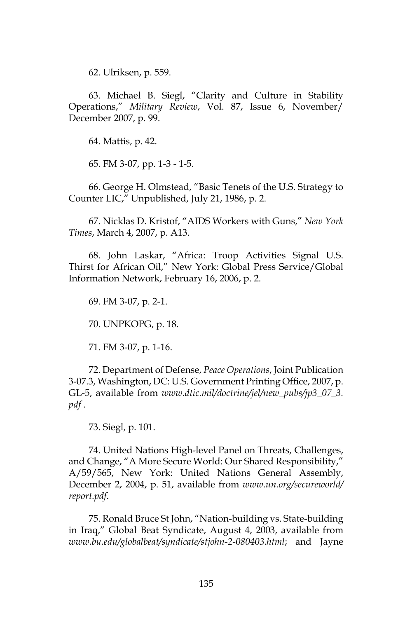62. Ulriksen, p. 559.

63. Michael B. Siegl, "Clarity and Culture in Stability Operations," *Military Review*, Vol. 87, Issue 6, November/ December 2007, p. 99.

64. Mattis, p. 42.

65. FM 3-07, pp. 1-3 - 1-5.

66. George H. Olmstead, "Basic Tenets of the U.S. Strategy to Counter LIC," Unpublished, July 21, 1986, p. 2.

67. Nicklas D. Kristof, "AIDS Workers with Guns," *New York Times*, March 4, 2007, p. A13.

68. John Laskar, "Africa: Troop Activities Signal U.S. Thirst for African Oil," New York: Global Press Service/Global Information Network, February 16, 2006, p. 2.

69. FM 3-07, p. 2-1.

70. UNPKOPG, p. 18.

71. FM 3-07, p. 1-16.

72. Department of Defense, *Peace Operations*, Joint Publication 3-07.3, Washington, DC: U.S. Government Printing Office, 2007, p. GL-5, available from *www.dtic.mil/doctrine/jel/new\_pubs/jp3\_07\_3. pdf* .

73. Siegl, p. 101.

74. United Nations High-level Panel on Threats, Challenges, and Change, "A More Secure World: Our Shared Responsibility," A/59/565, New York: United Nations General Assembly, December 2, 2004, p. 51, available from *www.un.org/secureworld/ report.pdf*.

75. Ronald Bruce St John, "Nation-building vs. State-building in Iraq," Global Beat Syndicate, August 4, 2003, available from *www.bu.edu/globalbeat/syndicate/stjohn-2-080403.html*; and Jayne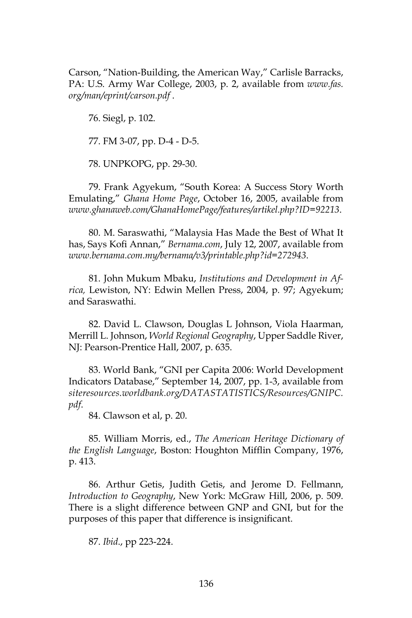Carson, "Nation-Building, the American Way," Carlisle Barracks, PA: U.S. Army War College, 2003, p. 2, available from *www.fas. org/man/eprint/carson.pdf* .

76. Siegl, p. 102.

77. FM 3-07, pp. D-4 - D-5.

78. UNPKOPG, pp. 29-30.

79. Frank Agyekum, "South Korea: A Success Story Worth Emulating," *Ghana Home Page*, October 16, 2005, available from *www.ghanaweb.com/GhanaHomePage/features/artikel.php?ID=92213*.

80. M. Saraswathi, "Malaysia Has Made the Best of What It has, Says Kofi Annan," *Bernama.com*, July 12, 2007, available from *www.bernama.com.my/bernama/v3/printable.php?id=272943*.

81. John Mukum Mbaku, *Institutions and Development in Africa,* Lewiston, NY: Edwin Mellen Press, 2004, p. 97; Agyekum; and Saraswathi.

82. David L. Clawson, Douglas L Johnson, Viola Haarman, Merrill L. Johnson, *World Regional Geography*, Upper Saddle River, NJ: Pearson-Prentice Hall, 2007, p. 635.

83. World Bank, "GNI per Capita 2006: World Development Indicators Database," September 14, 2007, pp. 1-3, available from *siteresources.worldbank.org/DATASTATISTICS/Resources/GNIPC. pdf*.

84. Clawson et al, p. 20.

85. William Morris, ed., *The American Heritage Dictionary of the English Language*, Boston: Houghton Mifflin Company, 1976, p. 413.

86. Arthur Getis, Judith Getis, and Jerome D. Fellmann, *Introduction to Geography*, New York: McGraw Hill, 2006, p. 509. There is a slight difference between GNP and GNI, but for the purposes of this paper that difference is insignificant.

87. *Ibid*., pp 223-224.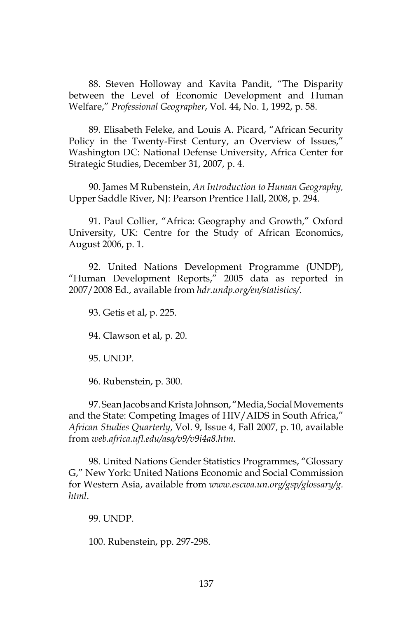88. Steven Holloway and Kavita Pandit, "The Disparity between the Level of Economic Development and Human Welfare," *Professional Geographer*, Vol. 44, No. 1, 1992, p. 58.

89. Elisabeth Feleke, and Louis A. Picard, "African Security Policy in the Twenty-First Century, an Overview of Issues," Washington DC: National Defense University, Africa Center for Strategic Studies, December 31, 2007, p. 4.

90. James M Rubenstein, *An Introduction to Human Geography,* Upper Saddle River, NJ: Pearson Prentice Hall, 2008, p. 294.

91. Paul Collier, "Africa: Geography and Growth," Oxford University, UK: Centre for the Study of African Economics, August 2006, p. 1.

92. United Nations Development Programme (UNDP), "Human Development Reports," 2005 data as reported in 2007/2008 Ed., available from *hdr.undp.org/en/statistics/*.

93. Getis et al, p. 225.

94. Clawson et al, p. 20.

95. UNDP.

96. Rubenstein, p. 300.

97. Sean Jacobs and Krista Johnson, "Media, Social Movements and the State: Competing Images of HIV/AIDS in South Africa," *African Studies Quarterly*, Vol. 9, Issue 4, Fall 2007, p. 10, available from *web.africa.ufl.edu/asq/v9/v9i4a8.htm*.

98. United Nations Gender Statistics Programmes, "Glossary G," New York: United Nations Economic and Social Commission for Western Asia, available from *www.escwa.un.org/gsp/glossary/g. html*.

99. UNDP.

100. Rubenstein, pp. 297-298.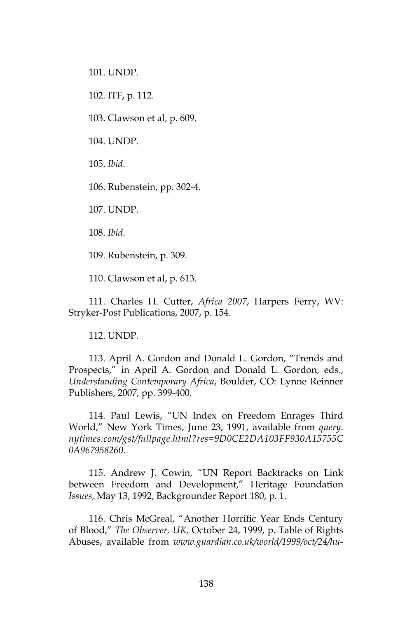101. UNDP.

102. ITF, p. 112.

103. Clawson et al, p. 609.

104. UNDP.

105. *Ibid*.

106. Rubenstein, pp. 302-4.

107. UNDP.

108. *Ibid*.

109. Rubenstein, p. 309.

110. Clawson et al, p. 613.

111. Charles H. Cutter, *Africa 2007*, Harpers Ferry, WV: Stryker-Post Publications, 2007, p. 154.

112. UNDP.

113. April A. Gordon and Donald L. Gordon, "Trends and Prospects," in April A. Gordon and Donald L. Gordon, eds., *Understanding Contemporary Africa*, Boulder, CO: Lynne Reinner Publishers, 2007, pp. 399-400.

114. Paul Lewis, "UN Index on Freedom Enrages Third World," New York Times, June 23, 1991, available from *query. nytimes.com/gst/fullpage.html?res=9D0CE2DA103FF930A15755C 0A967958260*.

115. Andrew J. Cowin, "UN Report Backtracks on Link between Freedom and Development," Heritage Foundation *Issues*, May 13, 1992, Backgrounder Report 180, p. 1.

116. Chris McGreal, "Another Horrific Year Ends Century of Blood," *The Observer, UK,* October 24, 1999, p. Table of Rights Abuses, available from *www.guardian.co.uk/world/1999/oct/24/hu-*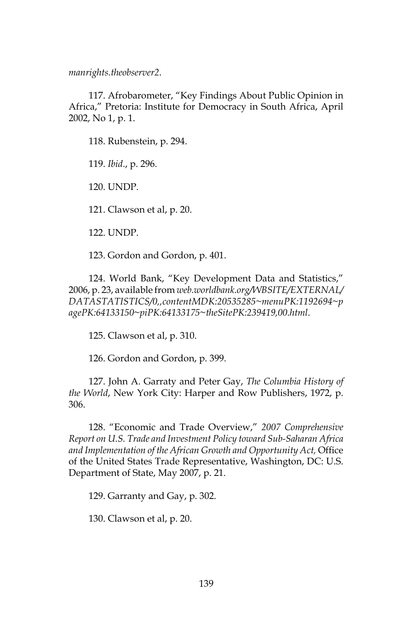*manrights.theobserver2*.

117. Afrobarometer, "Key Findings About Public Opinion in Africa," Pretoria: Institute for Democracy in South Africa, April 2002, No 1, p. 1.

118. Rubenstein, p. 294.

119. *Ibid*., p. 296.

120. UNDP.

121. Clawson et al, p. 20.

122. UNDP.

123. Gordon and Gordon, p. 401.

124. World Bank, "Key Development Data and Statistics," 2006, p. 23, available from *web.worldbank.org/WBSITE/EXTERNAL/ DATASTATISTICS/0,,contentMDK:20535285~menuPK:1192694~p agePK:64133150~piPK:64133175~theSitePK:239419,00.html*.

125. Clawson et al, p. 310.

126. Gordon and Gordon, p. 399.

127. John A. Garraty and Peter Gay, *The Columbia History of the World*, New York City: Harper and Row Publishers, 1972, p. 306.

128. "Economic and Trade Overview," *2007 Comprehensive Report on U.S. Trade and Investment Policy toward Sub-Saharan Africa and Implementation of the African Growth and Opportunity Act,* Office of the United States Trade Representative, Washington, DC: U.S. Department of State, May 2007, p. 21.

129. Garranty and Gay, p. 302.

130. Clawson et al, p. 20.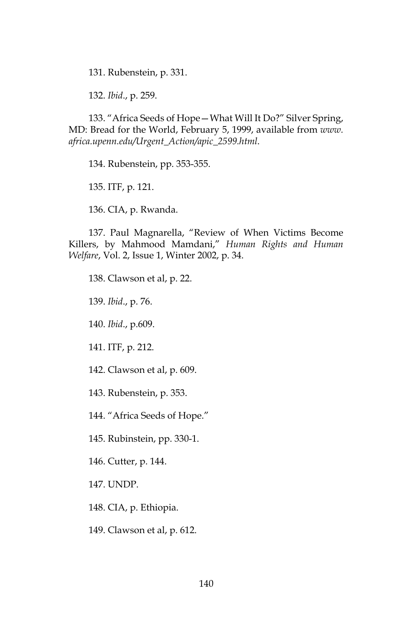131. Rubenstein, p. 331.

132. *Ibid*., p. 259.

133. "Africa Seeds of Hope—What Will It Do?" Silver Spring, MD: Bread for the World, February 5, 1999, available from *www. africa.upenn.edu/Urgent\_Action/apic\_2599.html*.

134. Rubenstein, pp. 353-355.

135. ITF, p. 121.

136. CIA, p. Rwanda.

137. Paul Magnarella, "Review of When Victims Become Killers, by Mahmood Mamdani," *Human Rights and Human Welfare*, Vol. 2, Issue 1, Winter 2002, p. 34.

138. Clawson et al, p. 22.

139. *Ibid*., p. 76.

140. *Ibid*., p.609.

141. ITF, p. 212.

142. Clawson et al, p. 609.

143. Rubenstein, p. 353.

144. "Africa Seeds of Hope."

145. Rubinstein, pp. 330-1.

146. Cutter, p. 144.

147. UNDP.

148. CIA, p. Ethiopia.

149. Clawson et al, p. 612.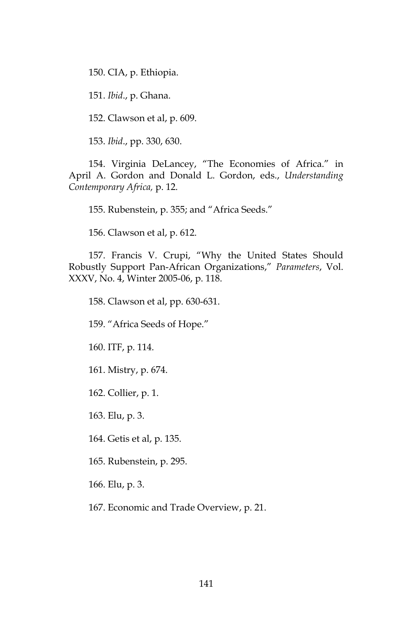150. CIA, p. Ethiopia.

151. *Ibid*., p. Ghana.

152. Clawson et al, p. 609.

153. *Ibid*., pp. 330, 630.

154. Virginia DeLancey, "The Economies of Africa." in April A. Gordon and Donald L. Gordon, eds., *Understanding Contemporary Africa,* p. 12.

155. Rubenstein, p. 355; and "Africa Seeds."

156. Clawson et al, p. 612.

157. Francis V. Crupi, "Why the United States Should Robustly Support Pan-African Organizations," *Parameters*, Vol. XXXV, No. 4, Winter 2005-06, p. 118.

158. Clawson et al, pp. 630-631.

159. "Africa Seeds of Hope."

160. ITF, p. 114.

161. Mistry, p. 674.

162. Collier, p. 1.

163. Elu, p. 3.

164. Getis et al, p. 135.

165. Rubenstein, p. 295.

166. Elu, p. 3.

167. Economic and Trade Overview, p. 21.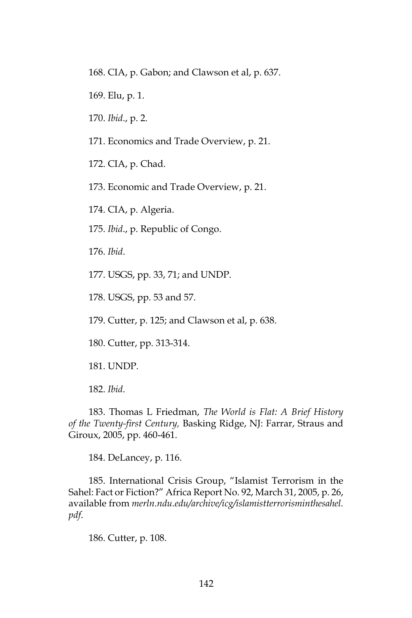168. CIA, p. Gabon; and Clawson et al, p. 637.

169. Elu, p. 1.

170. *Ibid*., p. 2.

171. Economics and Trade Overview, p. 21.

172. CIA, p. Chad.

173. Economic and Trade Overview, p. 21.

174. CIA, p. Algeria.

175. *Ibid*., p. Republic of Congo.

176. *Ibid*.

177. USGS, pp. 33, 71; and UNDP.

178. USGS, pp. 53 and 57.

179. Cutter, p. 125; and Clawson et al, p. 638.

180. Cutter, pp. 313-314.

181. UNDP.

182. *Ibid*.

183. Thomas L Friedman, *The World is Flat: A Brief History of the Twenty-first Century,* Basking Ridge, NJ: Farrar, Straus and Giroux, 2005, pp. 460-461.

184. DeLancey, p. 116.

185. International Crisis Group, "Islamist Terrorism in the Sahel: Fact or Fiction?" Africa Report No. 92, March 31, 2005, p. 26, available from *merln.ndu.edu/archive/icg/islamistterrorisminthesahel. pdf*.

186. Cutter, p. 108.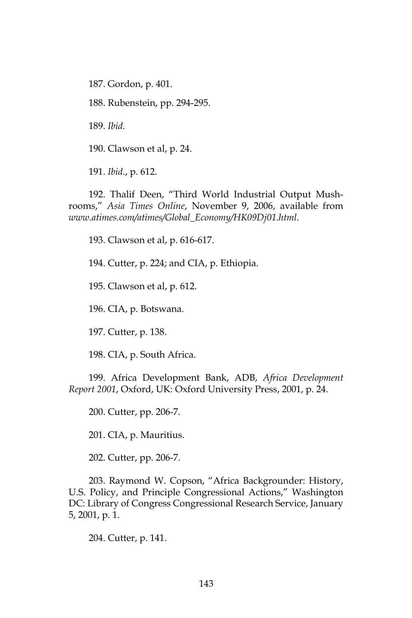187. Gordon, p. 401.

188. Rubenstein, pp. 294-295.

189. *Ibid.*

190. Clawson et al, p. 24.

191. *Ibid*., p. 612.

192. Thalif Deen, "Third World Industrial Output Mushrooms," *Asia Times Online*, November 9, 2006, available from *www.atimes.com/atimes/Global\_Economy/HK09Dj01.html*.

193. Clawson et al, p. 616-617.

194. Cutter, p. 224; and CIA, p. Ethiopia.

195. Clawson et al, p. 612.

196. CIA, p. Botswana.

197. Cutter, p. 138.

198. CIA, p. South Africa.

199. Africa Development Bank, ADB, *Africa Development Report 2001*, Oxford, UK: Oxford University Press, 2001, p. 24.

200. Cutter, pp. 206-7.

201. CIA, p. Mauritius.

202. Cutter, pp. 206-7.

203. Raymond W. Copson, "Africa Backgrounder: History, U.S. Policy, and Principle Congressional Actions," Washington DC: Library of Congress Congressional Research Service, January 5, 2001, p. 1.

204. Cutter, p. 141.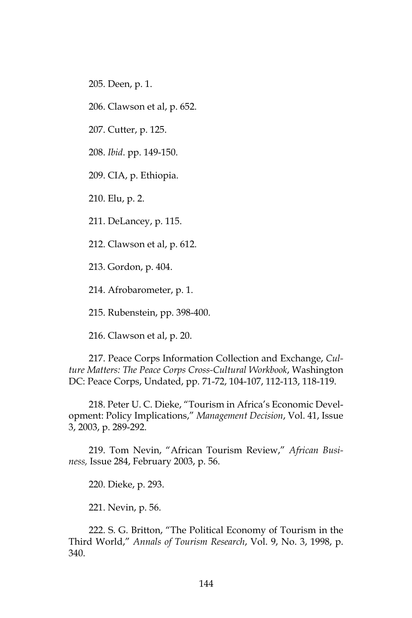205. Deen, p. 1.

206. Clawson et al, p. 652.

207. Cutter, p. 125.

208. *Ibid*. pp. 149-150.

209. CIA, p. Ethiopia.

210. Elu, p. 2.

211. DeLancey, p. 115.

212. Clawson et al, p. 612.

213. Gordon, p. 404.

214. Afrobarometer, p. 1.

215. Rubenstein, pp. 398-400.

216. Clawson et al, p. 20.

217. Peace Corps Information Collection and Exchange, *Culture Matters: The Peace Corps Cross-Cultural Workbook*, Washington DC: Peace Corps, Undated, pp. 71-72, 104-107, 112-113, 118-119.

218. Peter U. C. Dieke, "Tourism in Africa's Economic Development: Policy Implications," *Management Decision*, Vol. 41, Issue 3, 2003, p. 289-292.

219. Tom Nevin, "African Tourism Review," *African Business,* Issue 284, February 2003, p. 56.

220. Dieke, p. 293.

221. Nevin, p. 56.

222. S. G. Britton, "The Political Economy of Tourism in the Third World," *Annals of Tourism Research*, Vol. 9, No. 3, 1998, p. 340.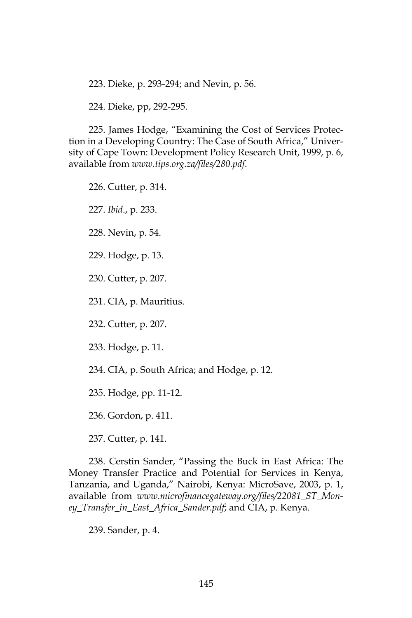223. Dieke, p. 293-294; and Nevin, p. 56.

224. Dieke, pp, 292-295.

225. James Hodge, "Examining the Cost of Services Protection in a Developing Country: The Case of South Africa," University of Cape Town: Development Policy Research Unit, 1999, p. 6, available from *www.tips.org.za/files/280.pdf*.

226. Cutter, p. 314. 227. *Ibid*., p. 233. 228. Nevin, p. 54. 229. Hodge, p. 13. 230. Cutter, p. 207. 231. CIA, p. Mauritius. 232. Cutter, p. 207. 233. Hodge, p. 11. 234. CIA, p. South Africa; and Hodge, p. 12.

235. Hodge, pp. 11-12.

236. Gordon, p. 411.

237. Cutter, p. 141.

238. Cerstin Sander, "Passing the Buck in East Africa: The Money Transfer Practice and Potential for Services in Kenya, Tanzania, and Uganda," Nairobi, Kenya: MicroSave, 2003, p. 1, available from *www.microfinancegateway.org/files/22081\_ST\_Money\_Transfer\_in\_East\_Africa\_Sander.pdf*; and CIA, p. Kenya.

239. Sander, p. 4.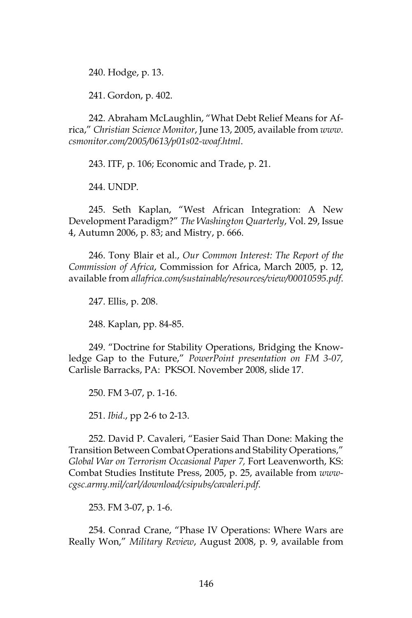240. Hodge, p. 13.

241. Gordon, p. 402.

242. Abraham McLaughlin, "What Debt Relief Means for Africa," *Christian Science Monitor*, June 13, 2005, available from *www. csmonitor.com/2005/0613/p01s02-woaf.html*.

243. ITF, p. 106; Economic and Trade, p. 21.

244. UNDP.

245. Seth Kaplan, "West African Integration: A New Development Paradigm?" *The Washington Quarterly*, Vol. 29, Issue 4, Autumn 2006, p. 83; and Mistry, p. 666.

246. Tony Blair et al., *Our Common Interest: The Report of the Commission of Africa*, Commission for Africa, March 2005, p. 12, available from *allafrica.com/sustainable/resources/view/00010595.pdf*.

247. Ellis, p. 208.

248. Kaplan, pp. 84-85.

249. "Doctrine for Stability Operations, Bridging the Knowledge Gap to the Future," *PowerPoint presentation on FM 3-07,* Carlisle Barracks, PA: PKSOI. November 2008, slide 17.

250. FM 3-07, p. 1-16.

251. *Ibid*., pp 2-6 to 2-13.

252. David P. Cavaleri, "Easier Said Than Done: Making the Transition Between Combat Operations and Stability Operations," *Global War on Terrorism Occasional Paper 7,* Fort Leavenworth, KS: Combat Studies Institute Press, 2005, p. 25, available from *wwwcgsc.army.mil/carl/download/csipubs/cavaleri.pdf*.

253. FM 3-07, p. 1-6.

254. Conrad Crane, "Phase IV Operations: Where Wars are Really Won," *Military Review*, August 2008, p. 9, available from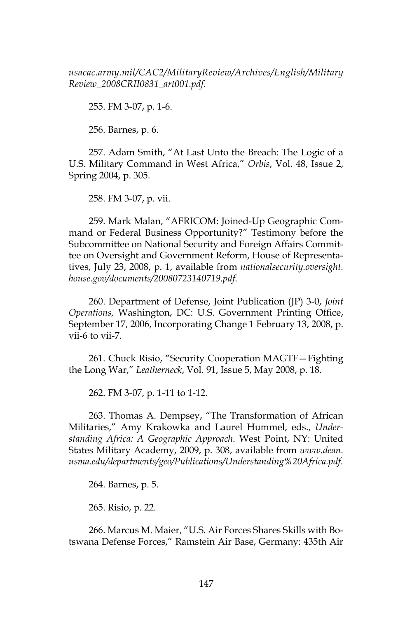*usacac.army.mil/CAC2/MilitaryReview/Archives/English/Military Review\_2008CRII0831\_art001.pdf*.

255. FM 3-07, p. 1-6.

256. Barnes, p. 6.

257. Adam Smith, "At Last Unto the Breach: The Logic of a U.S. Military Command in West Africa," *Orbis*, Vol. 48, Issue 2, Spring 2004, p. 305.

258. FM 3-07, p. vii.

259. Mark Malan, "AFRICOM: Joined-Up Geographic Command or Federal Business Opportunity?" Testimony before the Subcommittee on National Security and Foreign Affairs Committee on Oversight and Government Reform, House of Representatives, July 23, 2008, p. 1, available from *nationalsecurity.oversight. house.gov/documents/20080723140719.pdf*.

260. Department of Defense, Joint Publication (JP) 3-0, *Joint Operations,* Washington, DC: U.S. Government Printing Office, September 17, 2006, Incorporating Change 1 February 13, 2008, p. vii-6 to vii-7.

261. Chuck Risio, "Security Cooperation MAGTF—Fighting the Long War," *Leatherneck*, Vol. 91, Issue 5, May 2008, p. 18.

262. FM 3-07, p. 1-11 to 1-12.

263. Thomas A. Dempsey, "The Transformation of African Militaries," Amy Krakowka and Laurel Hummel, eds., *Understanding Africa: A Geographic Approach*. West Point, NY: United States Military Academy, 2009, p. 308, available from *www.dean. usma.edu/departments/geo/Publications/Understanding%20Africa.pdf*.

264. Barnes, p. 5.

265. Risio, p. 22.

266. Marcus M. Maier, "U.S. Air Forces Shares Skills with Botswana Defense Forces," Ramstein Air Base, Germany: 435th Air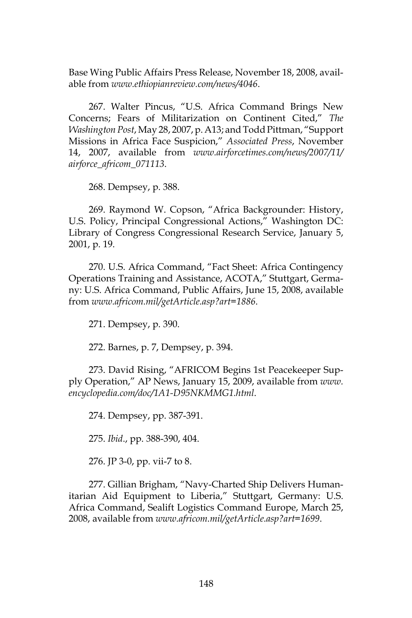Base Wing Public Affairs Press Release, November 18, 2008, available from *www.ethiopianreview.com/news/4046*.

267. Walter Pincus, "U.S. Africa Command Brings New Concerns; Fears of Militarization on Continent Cited," *The Washington Post*, May 28, 2007, p. A13; and Todd Pittman, "Support Missions in Africa Face Suspicion," *Associated Press*, November 14, 2007, available from *www.airforcetimes.com/news/2007/11/ airforce\_africom\_071113*.

268. Dempsey, p. 388.

269. Raymond W. Copson, "Africa Backgrounder: History, U.S. Policy, Principal Congressional Actions," Washington DC: Library of Congress Congressional Research Service, January 5, 2001, p. 19.

270. U.S. Africa Command, "Fact Sheet: Africa Contingency Operations Training and Assistance, ACOTA," Stuttgart, Germany: U.S. Africa Command, Public Affairs, June 15, 2008, available from *www.africom.mil/getArticle.asp?art=1886*.

271. Dempsey, p. 390.

272. Barnes, p. 7, Dempsey, p. 394.

273. David Rising, "AFRICOM Begins 1st Peacekeeper Supply Operation," AP News, January 15, 2009, available from *www. encyclopedia.com/doc/1A1-D95NKMMG1.html*.

274. Dempsey, pp. 387-391.

275. *Ibid*., pp. 388-390, 404.

276. JP 3-0, pp. vii-7 to 8.

277. Gillian Brigham, "Navy-Charted Ship Delivers Humanitarian Aid Equipment to Liberia," Stuttgart, Germany: U.S. Africa Command, Sealift Logistics Command Europe, March 25, 2008, available from *www.africom.mil/getArticle.asp?art=1699*.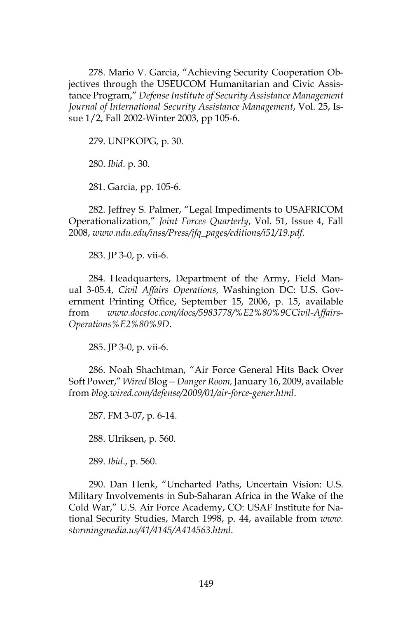278. Mario V. Garcia, "Achieving Security Cooperation Objectives through the USEUCOM Humanitarian and Civic Assistance Program," *Defense Institute of Security Assistance Management Journal of International Security Assistance Management*, Vol. 25, Issue 1/2, Fall 2002-Winter 2003, pp 105-6.

279. UNPKOPG, p. 30.

280. *Ibid*. p. 30.

281. Garcia, pp. 105-6.

282. Jeffrey S. Palmer, "Legal Impediments to USAFRICOM Operationalization," *Joint Forces Quarterly*, Vol. 51, Issue 4, Fall 2008, *www.ndu.edu/inss/Press/jfq\_pages/editions/i51/19.pdf*.

283. JP 3-0, p. vii-6.

284. Headquarters, Department of the Army, Field Manual 3-05.4, *Civil Affairs Operations*, Washington DC: U.S. Government Printing Office, September 15, 2006, p. 15, available from *www.docstoc.com/docs/5983778/%E2%80%9CCivil-Affairs-Operations%E2%80%9D*.

285. JP 3-0, p. vii-6.

286. Noah Shachtman, "Air Force General Hits Back Over Soft Power," *Wired* Blog*—Danger Room,* January 16, 2009, available from *blog.wired.com/defense/2009/01/air-force-gener.html*.

287. FM 3-07, p. 6-14.

288. Ulriksen, p. 560.

289. *Ibid*., p. 560.

290. Dan Henk, "Uncharted Paths, Uncertain Vision: U.S. Military Involvements in Sub-Saharan Africa in the Wake of the Cold War," U.S. Air Force Academy, CO: USAF Institute for National Security Studies, March 1998, p. 44, available from *www. stormingmedia.us/41/4145/A414563.html*.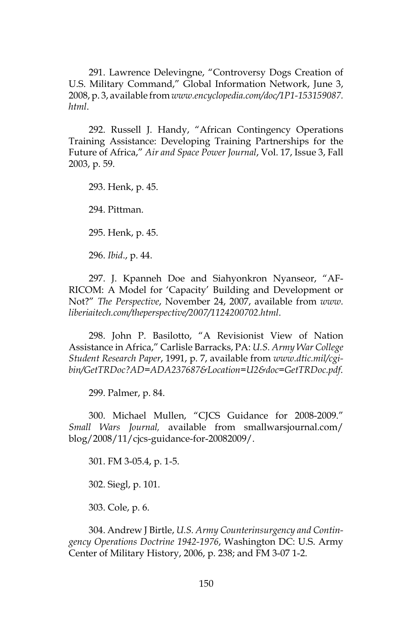291. Lawrence Delevingne, "Controversy Dogs Creation of U.S. Military Command," Global Information Network, June 3, 2008, p. 3, available from *www.encyclopedia.com/doc/1P1-153159087. html*.

292. Russell J. Handy, "African Contingency Operations Training Assistance: Developing Training Partnerships for the Future of Africa," *Air and Space Power Journal*, Vol. 17, Issue 3, Fall 2003, p. 59.

293. Henk, p. 45.

294. Pittman.

295. Henk, p. 45.

296. *Ibid*., p. 44.

297. J. Kpanneh Doe and Siahyonkron Nyanseor, "AF-RICOM: A Model for 'Capacity' Building and Development or Not?" *The Perspective*, November 24, 2007, available from *www. liberiaitech.com/theperspective/2007/1124200702.html*.

298. John P. Basilotto, "A Revisionist View of Nation Assistance in Africa," Carlisle Barracks, PA: *U.S. Army War College Student Research Paper*, 1991, p. 7, available from *www.dtic.mil/cgibin/GetTRDoc?AD=ADA237687&Location=U2&doc=GetTRDoc.pdf*.

299. Palmer, p. 84.

300. Michael Mullen, "CJCS Guidance for 2008-2009." *Small Wars Journal,* available from smallwarsjournal.com/ blog/2008/11/cjcs-guidance-for-20082009/.

301. FM 3-05.4, p. 1-5.

302. Siegl, p. 101.

303. Cole, p. 6.

304. Andrew J Birtle, *U.S. Army Counterinsurgency and Contingency Operations Doctrine 1942-1976*, Washington DC: U.S. Army Center of Military History, 2006, p. 238; and FM 3-07 1-2.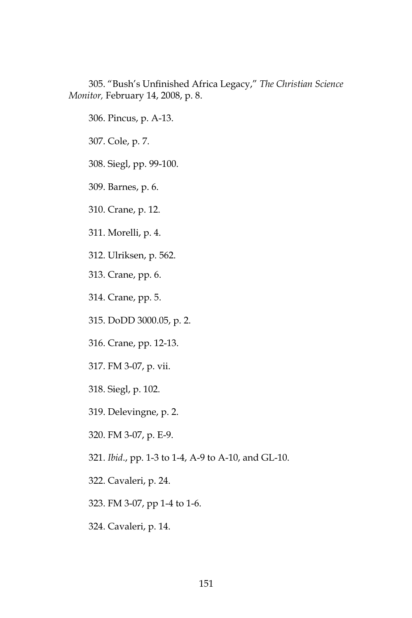305. "Bush's Unfinished Africa Legacy," *The Christian Science Monitor,* February 14, 2008, p. 8.

306. Pincus, p. A-13.

307. Cole, p. 7.

308. Siegl, pp. 99-100.

309. Barnes, p. 6.

310. Crane, p. 12.

311. Morelli, p. 4.

312. Ulriksen, p. 562.

313. Crane, pp. 6.

314. Crane, pp. 5.

315. DoDD 3000.05, p. 2.

316. Crane, pp. 12-13.

317. FM 3-07, p. vii.

318. Siegl, p. 102.

319. Delevingne, p. 2.

320. FM 3-07, p. E-9.

321. *Ibid*., pp. 1-3 to 1-4, A-9 to A-10, and GL-10.

322. Cavaleri, p. 24.

323. FM 3-07, pp 1-4 to 1-6.

324. Cavaleri, p. 14.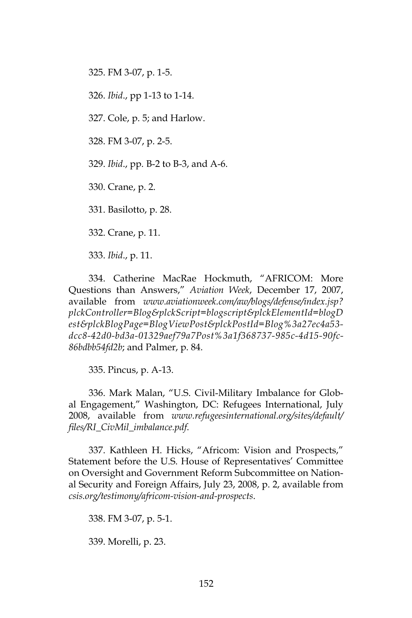325. FM 3-07, p. 1-5.

326. *Ibid*., pp 1-13 to 1-14.

327. Cole, p. 5; and Harlow.

328. FM 3-07, p. 2-5.

329. *Ibid*., pp. B-2 to B-3, and A-6.

330. Crane, p. 2.

331. Basilotto, p. 28.

332. Crane, p. 11.

333. *Ibid*., p. 11.

334. Catherine MacRae Hockmuth, "AFRICOM: More Questions than Answers," *Aviation Week*, December 17, 2007, available from *www.aviationweek.com/aw/blogs/defense/index.jsp? plckController=Blog&plckScript=blogscript&plckElementId=blogD est&plckBlogPage=BlogViewPost&plckPostId=Blog%3a27ec4a53 dcc8-42d0-bd3a-01329aef79a7Post%3a1f368737-985c-4d15-90fc-86bdbb54fd2b*; and Palmer, p. 84.

335. Pincus, p. A-13.

336. Mark Malan, "U.S. Civil-Military Imbalance for Global Engagement," Washington, DC: Refugees International, July 2008, available from *www.refugeesinternational.org/sites/default/ files/RI\_CivMil\_imbalance.pdf*.

337. Kathleen H. Hicks, "Africom: Vision and Prospects," Statement before the U.S. House of Representatives' Committee on Oversight and Government Reform Subcommittee on National Security and Foreign Affairs, July 23, 2008, p. 2, available from *csis.org/testimony/africom-vision-and-prospects*.

338. FM 3-07, p. 5-1.

339. Morelli, p. 23.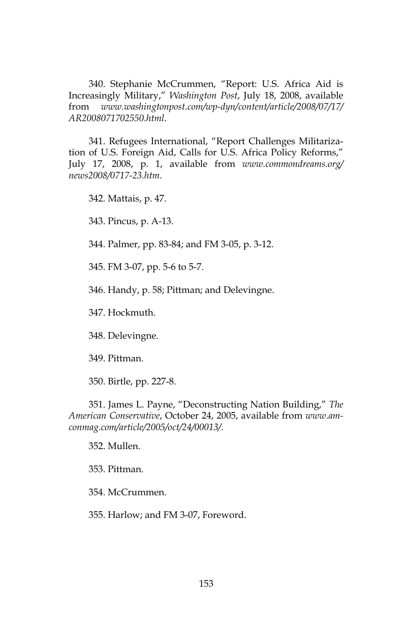340. Stephanie McCrummen, "Report: U.S. Africa Aid is Increasingly Military," *Washington Post*, July 18, 2008, available from *www.washingtonpost.com/wp-dyn/content/article/2008/07/17/ AR2008071702550.html*.

341. Refugees International, "Report Challenges Militarization of U.S. Foreign Aid, Calls for U.S. Africa Policy Reforms," July 17, 2008, p. 1, available from *www.commondreams.org/ news2008/0717-23.htm*.

342. Mattais, p. 47.

343. Pincus, p. A-13.

344. Palmer, pp. 83-84; and FM 3-05, p. 3-12.

345. FM 3-07, pp. 5-6 to 5-7.

346. Handy, p. 58; Pittman; and Delevingne.

347. Hockmuth.

348. Delevingne.

349. Pittman.

350. Birtle, pp. 227-8.

351. James L. Payne, "Deconstructing Nation Building," *The American Conservative*, October 24, 2005, available from *www.amconmag.com/article/2005/oct/24/00013/*.

352. Mullen.

353. Pittman.

354. McCrummen.

355. Harlow; and FM 3-07, Foreword.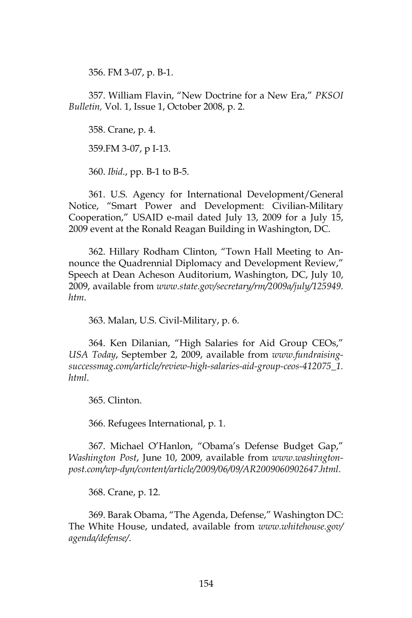356. FM 3-07, p. B-1.

357. William Flavin, "New Doctrine for a New Era," *PKSOI Bulletin,* Vol. 1, Issue 1, October 2008, p. 2*.*

358. Crane, p. 4.

359.FM 3-07, p I-13.

360. *Ibid.*, pp. B-1 to B-5.

361. U.S. Agency for International Development/General Notice, "Smart Power and Development: Civilian-Military Cooperation," USAID e-mail dated July 13, 2009 for a July 15, 2009 event at the Ronald Reagan Building in Washington, DC.

362. Hillary Rodham Clinton, "Town Hall Meeting to Announce the Quadrennial Diplomacy and Development Review," Speech at Dean Acheson Auditorium, Washington, DC, July 10, 2009, available from *www.state.gov/secretary/rm/2009a/july/125949. htm*.

363. Malan, U.S. Civil-Military, p. 6.

364. Ken Dilanian, "High Salaries for Aid Group CEOs," *USA Today*, September 2, 2009, available from *www.fundraisingsuccessmag.com/article/review-high-salaries-aid-group-ceos-412075\_1. html*.

365. Clinton.

366. Refugees International, p. 1.

367. Michael O'Hanlon, "Obama's Defense Budget Gap," *Washington Post*, June 10, 2009, available from *www.washingtonpost.com/wp-dyn/content/article/2009/06/09/AR2009060902647.html*.

368. Crane, p. 12.

369. Barak Obama, "The Agenda, Defense," Washington DC: The White House, undated, available from *www.whitehouse.gov/ agenda/defense/*.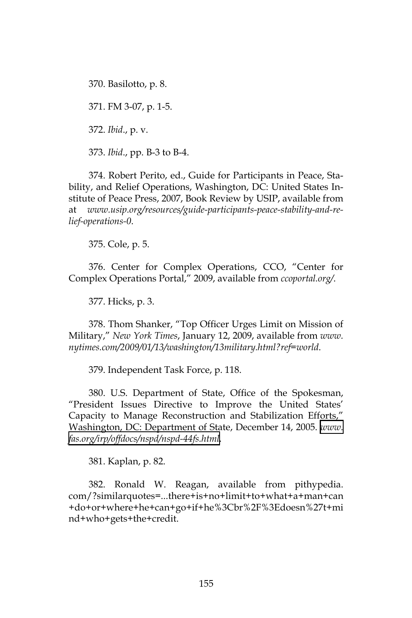370. Basilotto, p. 8.

371. FM 3-07, p. 1-5.

372. *Ibid*., p. v.

373. *Ibid*., pp. B-3 to B-4.

374. Robert Perito, ed., Guide for Participants in Peace, Stability, and Relief Operations, Washington, DC: United States Institute of Peace Press, 2007, Book Review by USIP, available from at *www.usip.org/resources/guide-participants-peace-stability-and-relief-operations-0*.

375. Cole, p. 5.

376. Center for Complex Operations, CCO, "Center for Complex Operations Portal," 2009, available from *ccoportal.org/*.

377. Hicks, p. 3.

378. Thom Shanker, "Top Officer Urges Limit on Mission of Military," *New York Times*, January 12, 2009, available from *www. nytimes.com/2009/01/13/washington/13military.html?ref=world*.

379. Independent Task Force, p. 118.

380. U.S. Department of State, Office of the Spokesman, "President Issues Directive to Improve the United States' Capacity to Manage Reconstruction and Stabilization Efforts," Washington, DC: Department of State, December 14, 2005. *[www.](http://www.fas.org/irp/offdocs/nspd/nspd-44fs.html) [fas.org/irp/offdocs/nspd/nspd-44fs.html](http://www.fas.org/irp/offdocs/nspd/nspd-44fs.html).* 

381. Kaplan, p. 82.

382. Ronald W. Reagan, available from pithypedia. com/?similarquotes=...there+is+no+limit+to+what+a+man+can +do+or+where+he+can+go+if+he%3Cbr%2F%3Edoesn%27t+mi nd+who+gets+the+credit.